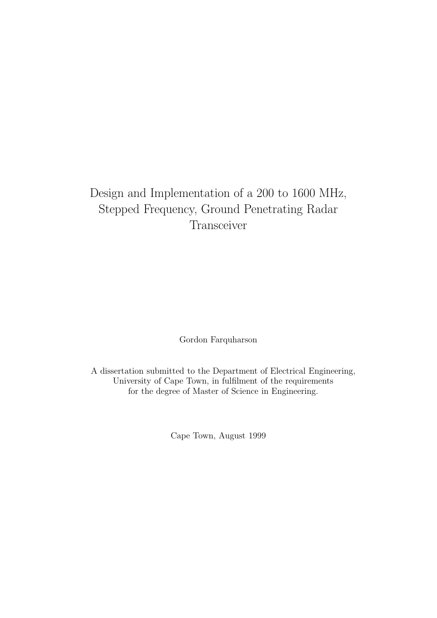### Design and Implementation of a 200 to 1600 MHz, Stepped Frequency, Ground Penetrating Radar Transceiver

Gordon Farquharson

A dissertation submitted to the Department of Electrical Engineering, University of Cape Town, in fulfilment of the requirements for the degree of Master of Science in Engineering.

Cape Town, August 1999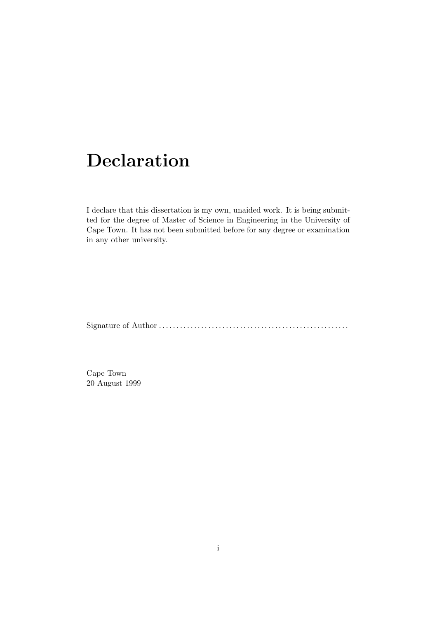## Declaration

I declare that this dissertation is my own, unaided work. It is being submitted for the degree of Master of Science in Engineering in the University of Cape Town. It has not been submitted before for any degree or examination in any other university.

Signature of Author . . . . . . . . . . . . . . . . . . . . . . . . . . . . . . . . . . . . . . . . . . . . . . . . . . . . . .

Cape Town 20 August 1999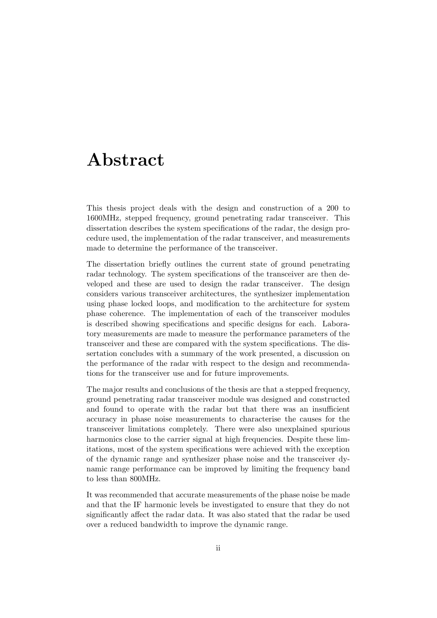### Abstract

This thesis project deals with the design and construction of a 200 to 1600MHz, stepped frequency, ground penetrating radar transceiver. This dissertation describes the system specifications of the radar, the design procedure used, the implementation of the radar transceiver, and measurements made to determine the performance of the transceiver.

The dissertation briefly outlines the current state of ground penetrating radar technology. The system specifications of the transceiver are then developed and these are used to design the radar transceiver. The design considers various transceiver architectures, the synthesizer implementation using phase locked loops, and modification to the architecture for system phase coherence. The implementation of each of the transceiver modules is described showing specifications and specific designs for each. Laboratory measurements are made to measure the performance parameters of the transceiver and these are compared with the system specifications. The dissertation concludes with a summary of the work presented, a discussion on the performance of the radar with respect to the design and recommendations for the transceiver use and for future improvements.

The major results and conclusions of the thesis are that a stepped frequency, ground penetrating radar transceiver module was designed and constructed and found to operate with the radar but that there was an insufficient accuracy in phase noise measurements to characterise the causes for the transceiver limitations completely. There were also unexplained spurious harmonics close to the carrier signal at high frequencies. Despite these limitations, most of the system specifications were achieved with the exception of the dynamic range and synthesizer phase noise and the transceiver dynamic range performance can be improved by limiting the frequency band to less than 800MHz.

It was recommended that accurate measurements of the phase noise be made and that the IF harmonic levels be investigated to ensure that they do not significantly affect the radar data. It was also stated that the radar be used over a reduced bandwidth to improve the dynamic range.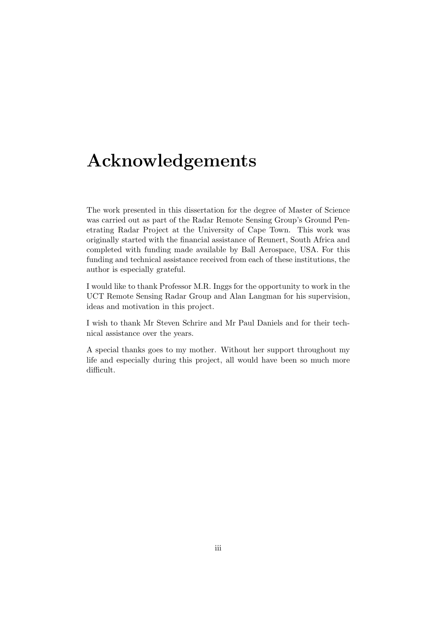### Acknowledgements

The work presented in this dissertation for the degree of Master of Science was carried out as part of the Radar Remote Sensing Group's Ground Penetrating Radar Project at the University of Cape Town. This work was originally started with the financial assistance of Reunert, South Africa and completed with funding made available by Ball Aerospace, USA. For this funding and technical assistance received from each of these institutions, the author is especially grateful.

I would like to thank Professor M.R. Inggs for the opportunity to work in the UCT Remote Sensing Radar Group and Alan Langman for his supervision, ideas and motivation in this project.

I wish to thank Mr Steven Schrire and Mr Paul Daniels and for their technical assistance over the years.

A special thanks goes to my mother. Without her support throughout my life and especially during this project, all would have been so much more difficult.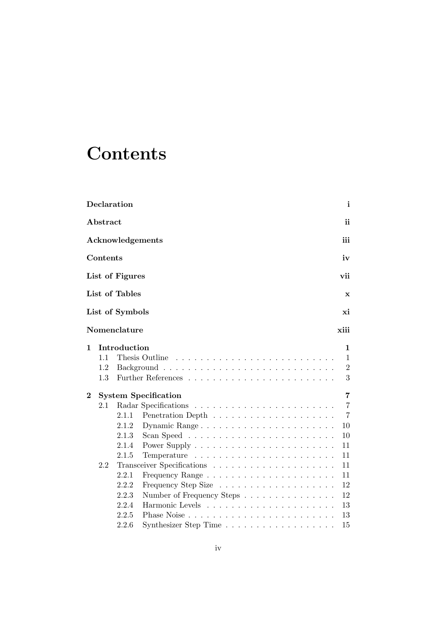# **Contents**

| Declaration                                                                                     | i                                                                                                                                                                                                                     |                                                                                                                                                                  |
|-------------------------------------------------------------------------------------------------|-----------------------------------------------------------------------------------------------------------------------------------------------------------------------------------------------------------------------|------------------------------------------------------------------------------------------------------------------------------------------------------------------|
|                                                                                                 | ii                                                                                                                                                                                                                    |                                                                                                                                                                  |
|                                                                                                 | iii                                                                                                                                                                                                                   |                                                                                                                                                                  |
|                                                                                                 | iv                                                                                                                                                                                                                    |                                                                                                                                                                  |
|                                                                                                 | vii                                                                                                                                                                                                                   |                                                                                                                                                                  |
|                                                                                                 | $\mathbf x$                                                                                                                                                                                                           |                                                                                                                                                                  |
|                                                                                                 | хi                                                                                                                                                                                                                    |                                                                                                                                                                  |
|                                                                                                 | xiii                                                                                                                                                                                                                  |                                                                                                                                                                  |
|                                                                                                 | 1<br>1<br>$\overline{2}$<br>3                                                                                                                                                                                         |                                                                                                                                                                  |
|                                                                                                 | 7                                                                                                                                                                                                                     |                                                                                                                                                                  |
| 2.1.1<br>2.1.2<br>2.1.3<br>2.1.4<br>2.1.5<br>2.2.1<br>2.2.2<br>2.2.3<br>2.2.4<br>2.2.5<br>2.2.6 | $\overline{7}$<br>$\overline{7}$<br>Dynamic Range<br>10<br>10<br>11<br>11<br>11<br>11<br>12<br>12<br>Number of Frequency Steps<br>13<br>13<br>15<br>Synthesizer Step Time $\ldots \ldots \ldots \ldots \ldots \ldots$ |                                                                                                                                                                  |
|                                                                                                 | Abstract<br>Contents                                                                                                                                                                                                  | Acknowledgements<br>List of Figures<br>List of Tables<br>List of Symbols<br>$\bf N$ omenclature<br>Introduction<br>Thesis Outline<br><b>System Specification</b> |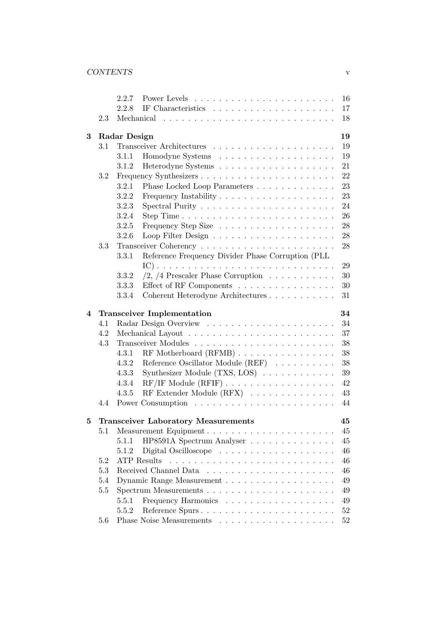|   |     | 2.2.7                                                             | 16     |
|---|-----|-------------------------------------------------------------------|--------|
|   |     | 2.2.8                                                             | 17     |
|   | 2.3 |                                                                   | 18     |
| 3 |     | Radar Design                                                      | 19     |
|   | 3.1 |                                                                   | 19     |
|   |     | 3.1.1                                                             | 19     |
|   |     | 3.1.2                                                             | 21     |
|   | 3.2 |                                                                   | 22     |
|   |     | 3.2.1<br>Phase Locked Loop Parameters                             | 23     |
|   |     | 3.2.2                                                             | 23     |
|   |     | 3.2.3                                                             | 24     |
|   |     | 3.2.4                                                             | 26     |
|   |     | 3.2.5                                                             | 28     |
|   |     | 3.2.6                                                             | 28     |
|   | 3.3 |                                                                   | 28     |
|   |     | 3.3.1<br>Reference Frequency Divider Phase Corruption (PLL        |        |
|   |     |                                                                   | 29     |
|   |     | /2, /4 Prescaler Phase Corruption $\ldots \ldots \ldots$<br>3.3.2 | 30     |
|   |     | 3.3.3<br>Effect of RF Components                                  | 30     |
|   |     | Coherent Heterodyne Architectures<br>3.3.4                        | 31     |
|   |     |                                                                   |        |
| 4 |     | <b>Transceiver Implementation</b>                                 | 34     |
|   | 4.1 |                                                                   | 34     |
|   | 4.2 |                                                                   | 37     |
|   | 4.3 |                                                                   | 38     |
|   |     | 4.3.1                                                             | 38     |
|   |     | Reference Oscillator Module (REF)<br>4.3.2                        | 38     |
|   |     | Synthesizer Module (TXS, LOS)<br>4.3.3                            | 39     |
|   |     | RF/IF Module (RFIF)<br>4.3.4                                      | 42     |
|   |     | RF Extender Module (RFX)<br>4.3.5                                 | 43     |
|   | 4.4 |                                                                   | 44     |
| 5 |     | <b>Transceiver Laboratory Measurements</b>                        | 45     |
|   | 5.1 |                                                                   | 45     |
|   |     | 5.1.1<br>HP8591A Spectrum Analyser                                | 45     |
|   |     | 5.1.2                                                             | 46     |
|   | 5.2 | <b>ATP</b> Results                                                | 46     |
|   | 5.3 |                                                                   | 46     |
|   | 5.4 |                                                                   | 49     |
|   | 5.5 |                                                                   | 49     |
|   |     | Frequency Harmonics<br>5.5.1                                      | 49     |
|   |     | Reference Spurs<br>5.5.2                                          | $52\,$ |
|   | 5.6 |                                                                   | 52     |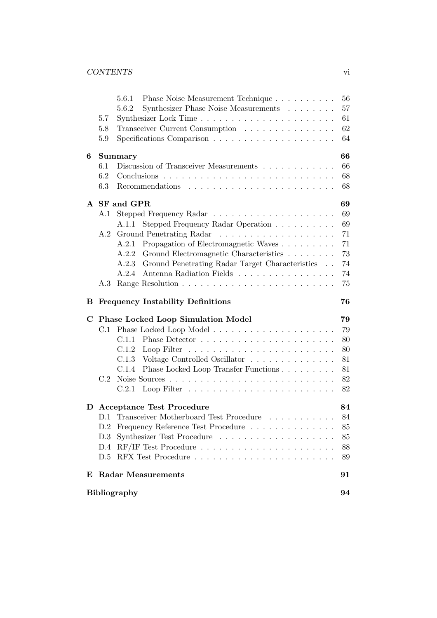|   |     | Phase Noise Measurement Technique<br>5.6.1               | 56 |
|---|-----|----------------------------------------------------------|----|
|   |     | Synthesizer Phase Noise Measurements<br>5.6.2            | 57 |
|   | 5.7 |                                                          | 61 |
|   | 5.8 | Transceiver Current Consumption                          | 62 |
|   | 5.9 |                                                          | 64 |
| 6 |     | Summary                                                  | 66 |
|   | 6.1 | Discussion of Transceiver Measurements                   | 66 |
|   | 6.2 |                                                          | 68 |
|   | 6.3 |                                                          | 68 |
|   |     | A SF and GPR                                             | 69 |
|   | A.1 |                                                          | 69 |
|   |     | Stepped Frequency Radar Operation<br>A.1.1               | 69 |
|   | A.2 |                                                          | 71 |
|   |     | Propagation of Electromagnetic Waves<br>A.2.1            | 71 |
|   |     | Ground Electromagnetic Characteristics<br>A.2.2          | 73 |
|   |     | Ground Penetrating Radar Target Characteristics<br>A.2.3 | 74 |
|   |     | Antenna Radiation Fields<br>A.2.4                        | 74 |
|   | A.3 |                                                          | 75 |
|   |     |                                                          |    |
| в |     | <b>Frequency Instability Definitions</b>                 | 76 |
| C |     | <b>Phase Locked Loop Simulation Model</b>                | 79 |
|   | C.1 |                                                          | 79 |
|   |     | C.1.1                                                    | 80 |
|   |     | C.1.2                                                    | 80 |
|   |     | C.1.3<br>Voltage Controlled Oscillator                   | 81 |
|   |     | Phase Locked Loop Transfer Functions<br>C.1.4            | 81 |
|   | C.2 |                                                          | 82 |
|   |     | C.2.1                                                    | 82 |
| D |     | <b>Acceptance Test Procedure</b>                         | 84 |
|   |     | D.1 Transceiver Motherboard Test Procedure               | 84 |
|   | D.2 | Frequency Reference Test Procedure                       | 85 |
|   | D.3 |                                                          | 85 |
|   | D.4 |                                                          | 88 |
|   | D.5 |                                                          | 89 |
| E |     | <b>Radar Measurements</b>                                | 91 |
|   |     |                                                          |    |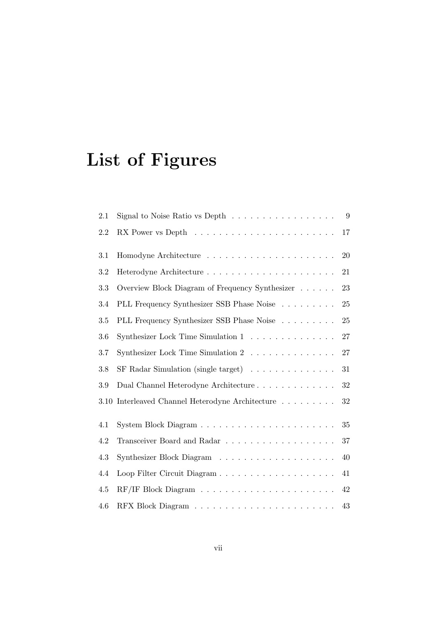# List of Figures

| 2.1  | Signal to Noise Ratio vs Depth $\dots \dots \dots \dots \dots \dots$ | 9  |
|------|----------------------------------------------------------------------|----|
| 2.2  |                                                                      | 17 |
| 3.1  |                                                                      | 20 |
| 3.2  |                                                                      | 21 |
| 3.3  | Overview Block Diagram of Frequency Synthesizer                      | 23 |
| 3.4  | PLL Frequency Synthesizer SSB Phase Noise                            | 25 |
| 3.5  | PLL Frequency Synthesizer SSB Phase Noise                            | 25 |
| 3.6  | Synthesizer Lock Time Simulation $1 \ldots \ldots \ldots \ldots$     | 27 |
| 3.7  | Synthesizer Lock Time Simulation 2 $\ldots \ldots \ldots \ldots$     | 27 |
| 3.8  |                                                                      | 31 |
| 3.9  | Dual Channel Heterodyne Architecture                                 | 32 |
| 3.10 | Interleaved Channel Heterodyne Architecture                          | 32 |
| 4.1  |                                                                      | 35 |
| 4.2  |                                                                      | 37 |
| 4.3  |                                                                      | 40 |
| 4.4  | Loop Filter Circuit Diagram                                          | 41 |
| 4.5  |                                                                      | 42 |
| 4.6  |                                                                      | 43 |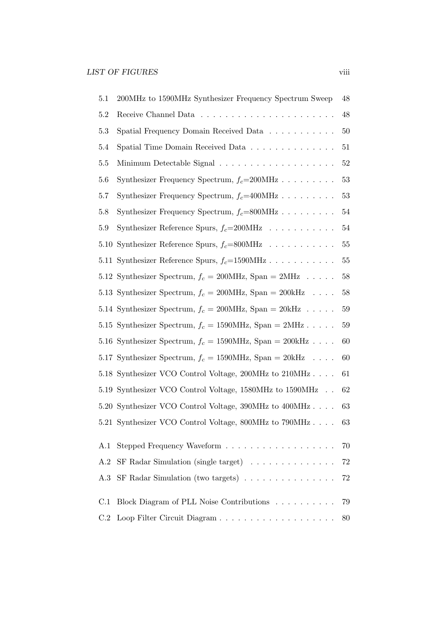| 5.1  | 200MHz to 1590MHz Synthesizer Frequency Spectrum Sweep                            | $48\,$ |
|------|-----------------------------------------------------------------------------------|--------|
| 5.2  |                                                                                   | $48\,$ |
| 5.3  | Spatial Frequency Domain Received Data                                            | $50\,$ |
| 5.4  | Spatial Time Domain Received Data                                                 | 51     |
| 5.5  |                                                                                   | $52\,$ |
| 5.6  | Synthesizer Frequency Spectrum, $f_c=200 \text{MHz} \dots \dots \dots$            | 53     |
| 5.7  | Synthesizer Frequency Spectrum, $f_c = 400 \text{MHz} \dots \dots \dots$          | $53\,$ |
| 5.8  | Synthesizer Frequency Spectrum, $f_c = 800 \text{MHz} \dots \dots \dots$          | $54\,$ |
| 5.9  | Synthesizer Reference Spurs, $f_c = 200 \text{MHz} \dots \dots \dots \dots$       | 54     |
| 5.10 | Synthesizer Reference Spurs, $f_c = 800 \text{MHz}$                               | 55     |
|      | 5.11 Synthesizer Reference Spurs, $f_c = 1590 \text{MHz} \dots \dots \dots \dots$ | $55\,$ |
|      | 5.12 Synthesizer Spectrum, $f_c = 200 \text{MHz}$ , Span = 2MHz                   | 58     |
|      | 5.13 Synthesizer Spectrum, $f_c = 200 \text{MHz}$ , Span = $200 \text{kHz}$       | 58     |
|      | 5.14 Synthesizer Spectrum, $f_c = 200 \text{MHz}$ , Span = $20 \text{kHz}$        | $59\,$ |
|      | 5.15 Synthesizer Spectrum, $f_c = 1590 \text{MHz}$ , Span = 2MHz                  | 59     |
|      | 5.16 Synthesizer Spectrum, $f_c = 1590 \text{MHz}$ , Span = 200kHz                | 60     |
|      | 5.17 Synthesizer Spectrum, $f_c = 1590 \text{MHz}$ , Span = 20kHz                 | 60     |
|      | 5.18 Synthesizer VCO Control Voltage, 200MHz to 210MHz                            | 61     |
|      | 5.19 Synthesizer VCO Control Voltage, 1580MHz to 1590MHz                          | 62     |
|      | 5.20 Synthesizer VCO Control Voltage, 390MHz to 400MHz                            | 63     |
|      | 5.21 Synthesizer VCO Control Voltage, 800MHz to 790MHz 63                         |        |
| A.1  |                                                                                   | 70     |
|      | SF Radar Simulation (single target) $\ldots \ldots \ldots \ldots$                 | $72\,$ |
| A.2  |                                                                                   |        |
| A.3  |                                                                                   | $72\,$ |
| C.1  | Block Diagram of PLL Noise Contributions                                          | 79     |
| C.2  |                                                                                   | 80     |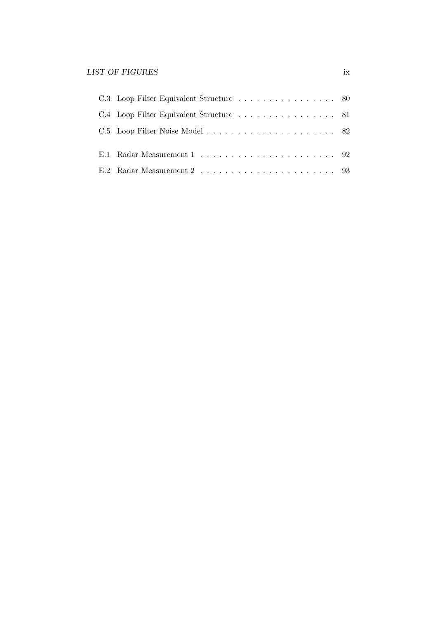| C.4 Loop Filter Equivalent Structure 81 |  |
|-----------------------------------------|--|
|                                         |  |
|                                         |  |
|                                         |  |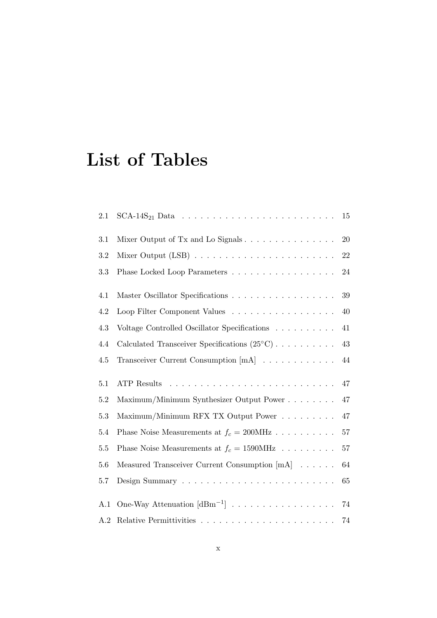# List of Tables

| 2.1     | $SCA-14S21 Data         $                                                                             | 15     |
|---------|-------------------------------------------------------------------------------------------------------|--------|
| 3.1     |                                                                                                       | 20     |
| 3.2     |                                                                                                       | 22     |
| 3.3     | Phase Locked Loop Parameters                                                                          | 24     |
| 4.1     |                                                                                                       | 39     |
| 4.2     | Loop Filter Component Values                                                                          | 40     |
| 4.3     | Voltage Controlled Oscillator Specifications                                                          | 41     |
| 4.4     | Calculated Transceiver Specifications $(25^{\circ}C) \cdot \cdot \cdot \cdot \cdot \cdot \cdot \cdot$ | 43     |
| 4.5     | Transceiver Current Consumption $[mA]$                                                                | 44     |
| 5.1     | <b>ATP</b> Results                                                                                    | 47     |
| 5.2     | Maximum/Minimum Synthesizer Output Power                                                              | 47     |
| $5.3\,$ | Maximum/Minimum RFX TX Output Power                                                                   | 47     |
| 5.4     | Phase Noise Measurements at $f_c = 200 \text{MHz} \dots \dots \dots$                                  | $57\,$ |
| 5.5     | Phase Noise Measurements at $f_c = 1590 \text{MHz} \dots \dots \dots$                                 | 57     |
| 5.6     | Measured Transceiver Current Consumption [mA]                                                         | 64     |
| 5.7     |                                                                                                       | 65     |
| A.1     | One-Way Attenuation $[dBm^{-1}]$                                                                      | 74     |
| A.2     |                                                                                                       | 74     |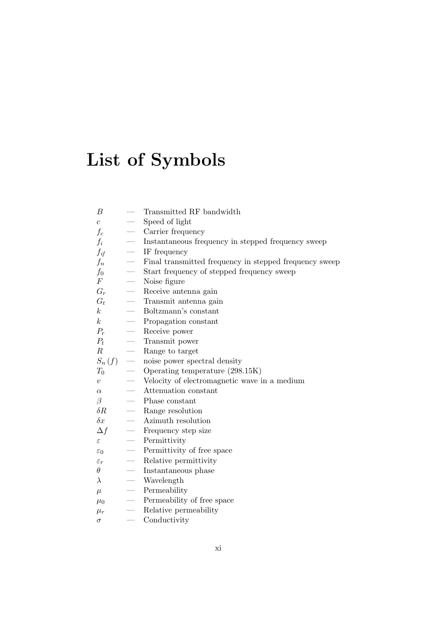# List of Symbols

| В                 |                                  | Transmitted RF bandwidth                               |
|-------------------|----------------------------------|--------------------------------------------------------|
| $\overline{c}$    |                                  | Speed of light                                         |
| $f_c$             |                                  | Carrier frequency                                      |
| $f_i$             |                                  | Instantaneous frequency in stepped frequency sweep     |
| $f_{if}$          |                                  | IF frequency                                           |
| $f_n$             |                                  | Final transmitted frequency in stepped frequency sweep |
| $f_{0}$           |                                  | Start frequency of stepped frequency sweep             |
| $\,F$             | $\overbrace{\qquad \qquad }^{ }$ | Noise figure                                           |
| $G_r$             |                                  | Receive antenna gain                                   |
| $G_t$             |                                  | Transmit antenna gain                                  |
| $\,k$             | $\overbrace{\qquad \qquad }^{}$  | Boltzmann's constant                                   |
| $\boldsymbol{k}$  |                                  | Propagation constant                                   |
| $P_r$             | $\overline{\phantom{0}}$         | Receive power                                          |
| $P_t$             |                                  | Transmit power                                         |
| R                 |                                  | Range to target                                        |
| $S_n(f)$          |                                  | noise power spectral density                           |
| $T_{\rm 0}$       |                                  | Operating temperature (298.15K)                        |
| $\overline{v}$    |                                  | Velocity of electromagnetic wave in a medium           |
| $\alpha$          |                                  | Attenuation constant                                   |
| $\beta$           | $\frac{1}{1}$                    | Phase constant                                         |
| $\delta R$        |                                  | Range resolution                                       |
| $\delta x$        |                                  | Azimuth resolution                                     |
| $\Delta f$        |                                  | Frequency step size                                    |
| ε                 |                                  | Permittivity                                           |
| $\varepsilon_0$   |                                  | Permittivity of free space                             |
| $\varepsilon_{r}$ |                                  | Relative permittivity                                  |
| $\theta$          |                                  | Instantaneous phase                                    |
| $\lambda$         |                                  | Wavelength                                             |
| $\mu$             |                                  | Permeability                                           |
| $\mu_0$           | $\overline{\phantom{m}}$         | Permeability of free space                             |
| $\mu_r$           |                                  | Relative permeability                                  |
| $\sigma$          |                                  | Conductivity                                           |
|                   |                                  |                                                        |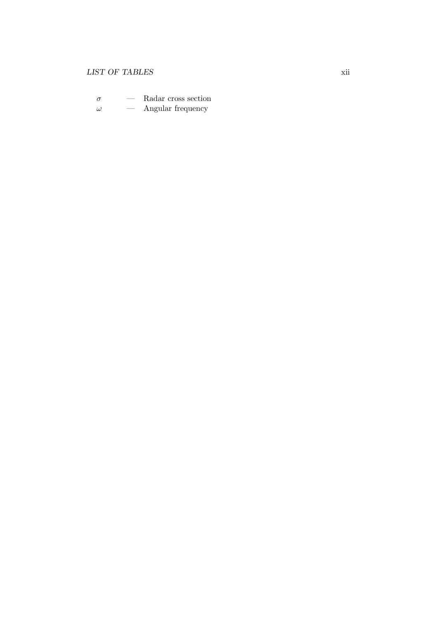#### $\begin{minipage}{0.9\linewidth} \begin{tabular}{l} \hline \textbf{LIST OF TABLES} \end{tabular} \end{minipage}$

 $\sigma$  — Radar cross section  $\omega$  — Angular frequency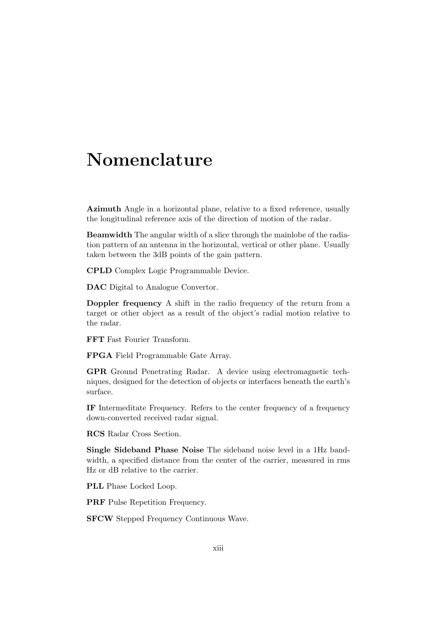## Nomenclature

Azimuth Angle in a horizontal plane, relative to a fixed reference, usually the longitudinal reference axis of the direction of motion of the radar.

Beamwidth The angular width of a slice through the mainlobe of the radiation pattern of an antenna in the horizontal, vertical or other plane. Usually taken between the 3dB points of the gain pattern.

CPLD Complex Logic Programmable Device.

DAC Digital to Analogue Convertor.

Doppler frequency A shift in the radio frequency of the return from a target or other object as a result of the object's radial motion relative to the radar.

FFT Fast Fourier Transform.

FPGA Field Programmable Gate Array.

GPR Ground Penetrating Radar. A device using electromagnetic techniques, designed for the detection of objects or interfaces beneath the earth's surface.

IF Intermeditate Frequency. Refers to the center frequency of a frequency down-converted received radar signal.

RCS Radar Cross Section.

Single Sideband Phase Noise The sideband noise level in a 1Hz bandwidth, a specified distance from the center of the carrier, measured in rms Hz or dB relative to the carrier.

PLL Phase Locked Loop.

**PRF** Pulse Repetition Frequency.

SFCW Stepped Frequency Continuous Wave.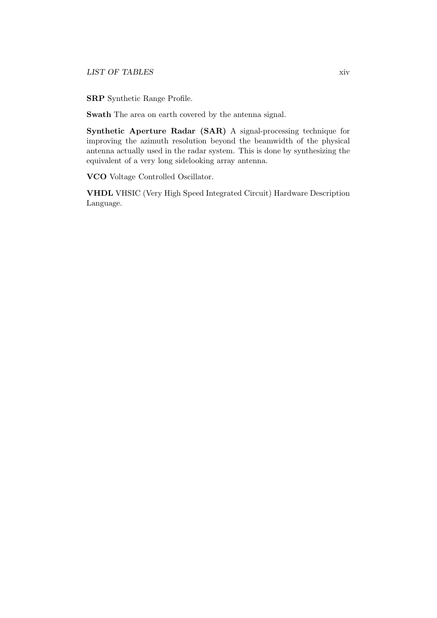SRP Synthetic Range Profile.

Swath The area on earth covered by the antenna signal.

Synthetic Aperture Radar (SAR) A signal-processing technique for improving the azimuth resolution beyond the beamwidth of the physical antenna actually used in the radar system. This is done by synthesizing the equivalent of a very long sidelooking array antenna.

VCO Voltage Controlled Oscillator.

VHDL VHSIC (Very High Speed Integrated Circuit) Hardware Description Language.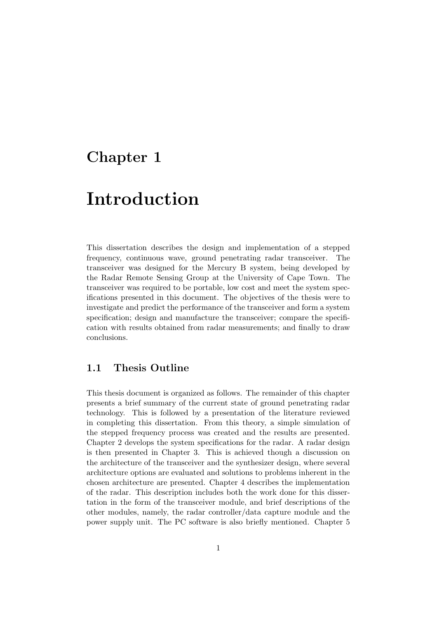### Chapter 1

### Introduction

This dissertation describes the design and implementation of a stepped frequency, continuous wave, ground penetrating radar transceiver. The transceiver was designed for the Mercury B system, being developed by the Radar Remote Sensing Group at the University of Cape Town. The transceiver was required to be portable, low cost and meet the system specifications presented in this document. The objectives of the thesis were to investigate and predict the performance of the transceiver and form a system specification; design and manufacture the transceiver; compare the specification with results obtained from radar measurements; and finally to draw conclusions.

#### 1.1 Thesis Outline

This thesis document is organized as follows. The remainder of this chapter presents a brief summary of the current state of ground penetrating radar technology. This is followed by a presentation of the literature reviewed in completing this dissertation. From this theory, a simple simulation of the stepped frequency process was created and the results are presented. Chapter 2 develops the system specifications for the radar. A radar design is then presented in Chapter 3. This is achieved though a discussion on the architecture of the transceiver and the synthesizer design, where several architecture options are evaluated and solutions to problems inherent in the chosen architecture are presented. Chapter 4 describes the implementation of the radar. This description includes both the work done for this dissertation in the form of the transceiver module, and brief descriptions of the other modules, namely, the radar controller/data capture module and the power supply unit. The PC software is also briefly mentioned. Chapter 5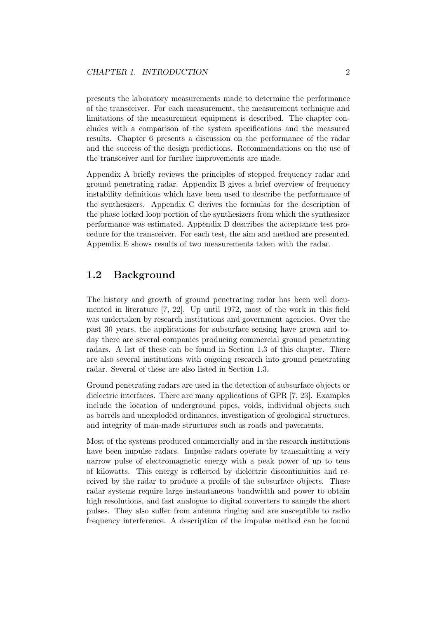presents the laboratory measurements made to determine the performance of the transceiver. For each measurement, the measurement technique and limitations of the measurement equipment is described. The chapter concludes with a comparison of the system specifications and the measured results. Chapter 6 presents a discussion on the performance of the radar and the success of the design predictions. Recommendations on the use of the transceiver and for further improvements are made.

Appendix A briefly reviews the principles of stepped frequency radar and ground penetrating radar. Appendix B gives a brief overview of frequency instability definitions which have been used to describe the performance of the synthesizers. Appendix C derives the formulas for the description of the phase locked loop portion of the synthesizers from which the synthesizer performance was estimated. Appendix D describes the acceptance test procedure for the transceiver. For each test, the aim and method are presented. Appendix E shows results of two measurements taken with the radar.

#### 1.2 Background

The history and growth of ground penetrating radar has been well documented in literature [7, 22]. Up until 1972, most of the work in this field was undertaken by research institutions and government agencies. Over the past 30 years, the applications for subsurface sensing have grown and today there are several companies producing commercial ground penetrating radars. A list of these can be found in Section 1.3 of this chapter. There are also several institutions with ongoing research into ground penetrating radar. Several of these are also listed in Section 1.3.

Ground penetrating radars are used in the detection of subsurface objects or dielectric interfaces. There are many applications of GPR [7, 23]. Examples include the location of underground pipes, voids, individual objects such as barrels and unexploded ordinances, investigation of geological structures, and integrity of man-made structures such as roads and pavements.

Most of the systems produced commercially and in the research institutions have been impulse radars. Impulse radars operate by transmitting a very narrow pulse of electromagnetic energy with a peak power of up to tens of kilowatts. This energy is reflected by dielectric discontinuities and received by the radar to produce a profile of the subsurface objects. These radar systems require large instantaneous bandwidth and power to obtain high resolutions, and fast analogue to digital converters to sample the short pulses. They also suffer from antenna ringing and are susceptible to radio frequency interference. A description of the impulse method can be found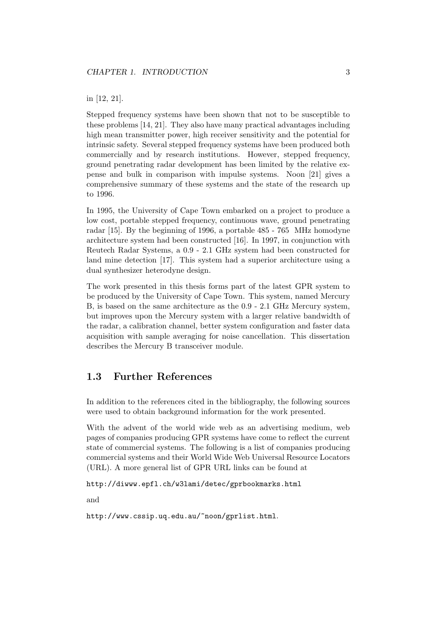#### in [12, 21].

Stepped frequency systems have been shown that not to be susceptible to these problems [14, 21]. They also have many practical advantages including high mean transmitter power, high receiver sensitivity and the potential for intrinsic safety. Several stepped frequency systems have been produced both commercially and by research institutions. However, stepped frequency, ground penetrating radar development has been limited by the relative expense and bulk in comparison with impulse systems. Noon [21] gives a comprehensive summary of these systems and the state of the research up to 1996.

In 1995, the University of Cape Town embarked on a project to produce a low cost, portable stepped frequency, continuous wave, ground penetrating radar [15]. By the beginning of 1996, a portable 485 - 765 MHz homodyne architecture system had been constructed [16]. In 1997, in conjunction with Reutech Radar Systems, a 0.9 - 2.1 GHz system had been constructed for land mine detection [17]. This system had a superior architecture using a dual synthesizer heterodyne design.

The work presented in this thesis forms part of the latest GPR system to be produced by the University of Cape Town. This system, named Mercury B, is based on the same architecture as the 0.9 - 2.1 GHz Mercury system, but improves upon the Mercury system with a larger relative bandwidth of the radar, a calibration channel, better system configuration and faster data acquisition with sample averaging for noise cancellation. This dissertation describes the Mercury B transceiver module.

#### 1.3 Further References

In addition to the references cited in the bibliography, the following sources were used to obtain background information for the work presented.

With the advent of the world wide web as an advertising medium, web pages of companies producing GPR systems have come to reflect the current state of commercial systems. The following is a list of companies producing commercial systems and their World Wide Web Universal Resource Locators (URL). A more general list of GPR URL links can be found at

http://diwww.epfl.ch/w3lami/detec/gprbookmarks.html

and

http://www.cssip.uq.edu.au/~noon/gprlist.html.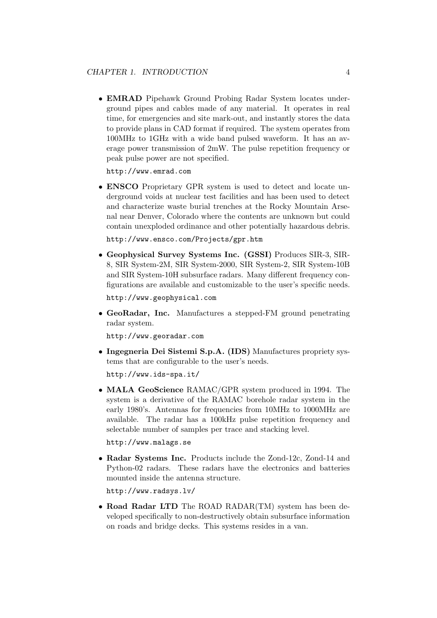• EMRAD Pipehawk Ground Probing Radar System locates underground pipes and cables made of any material. It operates in real time, for emergencies and site mark-out, and instantly stores the data to provide plans in CAD format if required. The system operates from 100MHz to 1GHz with a wide band pulsed waveform. It has an average power transmission of 2mW. The pulse repetition frequency or peak pulse power are not specified.

http://www.emrad.com

• ENSCO Proprietary GPR system is used to detect and locate underground voids at nuclear test facilities and has been used to detect and characterize waste burial trenches at the Rocky Mountain Arsenal near Denver, Colorado where the contents are unknown but could contain unexploded ordinance and other potentially hazardous debris.

http://www.ensco.com/Projects/gpr.htm

• Geophysical Survey Systems Inc. (GSSI) Produces SIR-3, SIR-8, SIR System-2M, SIR System-2000, SIR System-2, SIR System-10B and SIR System-10H subsurface radars. Many different frequency configurations are available and customizable to the user's specific needs.

http://www.geophysical.com

• GeoRadar, Inc. Manufactures a stepped-FM ground penetrating radar system.

http://www.georadar.com

• Ingegneria Dei Sistemi S.p.A. (IDS) Manufactures propriety systems that are configurable to the user's needs.

http://www.ids-spa.it/

• MALA GeoScience RAMAC/GPR system produced in 1994. The system is a derivative of the RAMAC borehole radar system in the early 1980's. Antennas for frequencies from 10MHz to 1000MHz are available. The radar has a 100kHz pulse repetition frequency and selectable number of samples per trace and stacking level.

http://www.malags.se

• Radar Systems Inc. Products include the Zond-12c, Zond-14 and Python-02 radars. These radars have the electronics and batteries mounted inside the antenna structure.

http://www.radsys.lv/

• Road Radar LTD The ROAD RADAR(TM) system has been developed specifically to non-destructively obtain subsurface information on roads and bridge decks. This systems resides in a van.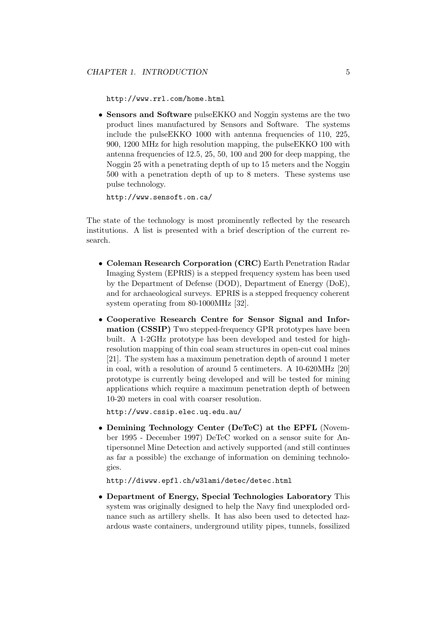http://www.rrl.com/home.html

• Sensors and Software pulseEKKO and Noggin systems are the two product lines manufactured by Sensors and Software. The systems include the pulseEKKO 1000 with antenna frequencies of 110, 225, 900, 1200 MHz for high resolution mapping, the pulseEKKO 100 with antenna frequencies of 12.5, 25, 50, 100 and 200 for deep mapping, the Noggin 25 with a penetrating depth of up to 15 meters and the Noggin 500 with a penetration depth of up to 8 meters. These systems use pulse technology.

```
http://www.sensoft.on.ca/
```
The state of the technology is most prominently reflected by the research institutions. A list is presented with a brief description of the current research.

- Coleman Research Corporation (CRC) Earth Penetration Radar Imaging System (EPRIS) is a stepped frequency system has been used by the Department of Defense (DOD), Department of Energy (DoE), and for archaeological surveys. EPRIS is a stepped frequency coherent system operating from 80-1000MHz [32].
- Cooperative Research Centre for Sensor Signal and Information (CSSIP) Two stepped-frequency GPR prototypes have been built. A 1-2GHz prototype has been developed and tested for highresolution mapping of thin coal seam structures in open-cut coal mines [21]. The system has a maximum penetration depth of around 1 meter in coal, with a resolution of around 5 centimeters. A 10-620MHz [20] prototype is currently being developed and will be tested for mining applications which require a maximum penetration depth of between 10-20 meters in coal with coarser resolution.

http://www.cssip.elec.uq.edu.au/

• Demining Technology Center (DeTeC) at the EPFL (November 1995 - December 1997) DeTeC worked on a sensor suite for Antipersonnel Mine Detection and actively supported (and still continues as far a possible) the exchange of information on demining technologies.

http://diwww.epfl.ch/w3lami/detec/detec.html

• Department of Energy, Special Technologies Laboratory This system was originally designed to help the Navy find unexploded ordnance such as artillery shells. It has also been used to detected hazardous waste containers, underground utility pipes, tunnels, fossilized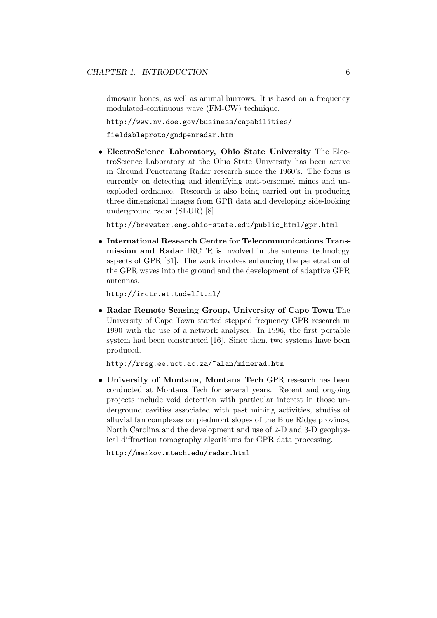dinosaur bones, as well as animal burrows. It is based on a frequency modulated-continuous wave (FM-CW) technique.

http://www.nv.doe.gov/business/capabilities/

fieldableproto/gndpenradar.htm

• ElectroScience Laboratory, Ohio State University The ElectroScience Laboratory at the Ohio State University has been active in Ground Penetrating Radar research since the 1960's. The focus is currently on detecting and identifying anti-personnel mines and unexploded ordnance. Research is also being carried out in producing three dimensional images from GPR data and developing side-looking underground radar (SLUR) [8].

http://brewster.eng.ohio-state.edu/public\_html/gpr.html

• International Research Centre for Telecommunications Transmission and Radar IRCTR is involved in the antenna technology aspects of GPR [31]. The work involves enhancing the penetration of the GPR waves into the ground and the development of adaptive GPR antennas.

http://irctr.et.tudelft.nl/

• Radar Remote Sensing Group, University of Cape Town The University of Cape Town started stepped frequency GPR research in 1990 with the use of a network analyser. In 1996, the first portable system had been constructed [16]. Since then, two systems have been produced.

http://rrsg.ee.uct.ac.za/~alan/minerad.htm

• University of Montana, Montana Tech GPR research has been conducted at Montana Tech for several years. Recent and ongoing projects include void detection with particular interest in those underground cavities associated with past mining activities, studies of alluvial fan complexes on piedmont slopes of the Blue Ridge province, North Carolina and the development and use of 2-D and 3-D geophysical diffraction tomography algorithms for GPR data processing.

http://markov.mtech.edu/radar.html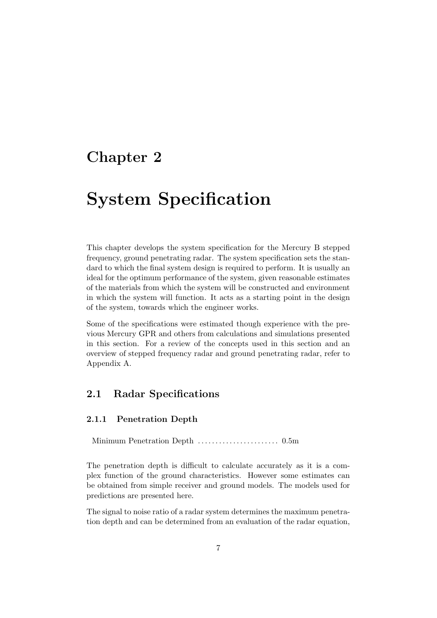### Chapter 2

## System Specification

This chapter develops the system specification for the Mercury B stepped frequency, ground penetrating radar. The system specification sets the standard to which the final system design is required to perform. It is usually an ideal for the optimum performance of the system, given reasonable estimates of the materials from which the system will be constructed and environment in which the system will function. It acts as a starting point in the design of the system, towards which the engineer works.

Some of the specifications were estimated though experience with the previous Mercury GPR and others from calculations and simulations presented in this section. For a review of the concepts used in this section and an overview of stepped frequency radar and ground penetrating radar, refer to Appendix A.

#### 2.1 Radar Specifications

#### 2.1.1 Penetration Depth

Minimum Penetration Depth . . . . . . . . . . . . . . . . . . . . . . . 0.5m

The penetration depth is difficult to calculate accurately as it is a complex function of the ground characteristics. However some estimates can be obtained from simple receiver and ground models. The models used for predictions are presented here.

The signal to noise ratio of a radar system determines the maximum penetration depth and can be determined from an evaluation of the radar equation,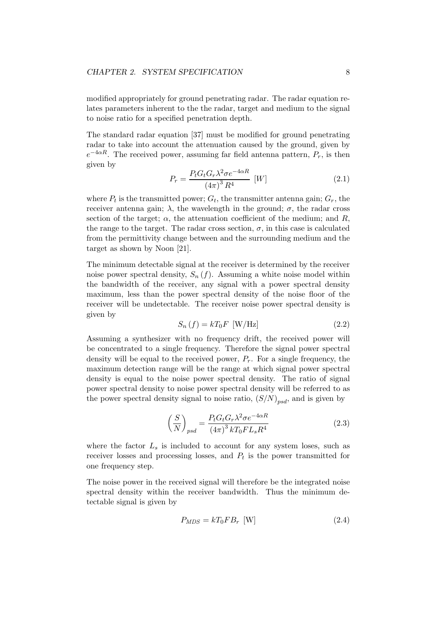modified appropriately for ground penetrating radar. The radar equation relates parameters inherent to the the radar, target and medium to the signal to noise ratio for a specified penetration depth.

The standard radar equation [37] must be modified for ground penetrating radar to take into account the attenuation caused by the ground, given by  $e^{-4\alpha R}$ . The received power, assuming far field antenna pattern,  $P_r$ , is then given by

$$
P_r = \frac{P_t G_t G_r \lambda^2 \sigma e^{-4\alpha R}}{(4\pi)^3 R^4} \quad [W] \tag{2.1}
$$

where  $P_t$  is the transmitted power;  $G_t$ , the transmitter antenna gain;  $G_r$ , the receiver antenna gain;  $\lambda$ , the wavelength in the ground;  $\sigma$ , the radar cross section of the target;  $\alpha$ , the attenuation coefficient of the medium; and R, the range to the target. The radar cross section,  $\sigma$ , in this case is calculated from the permittivity change between and the surrounding medium and the target as shown by Noon [21].

The minimum detectable signal at the receiver is determined by the receiver noise power spectral density,  $S_n(f)$ . Assuming a white noise model within the bandwidth of the receiver, any signal with a power spectral density maximum, less than the power spectral density of the noise floor of the receiver will be undetectable. The receiver noise power spectral density is given by

$$
S_n(f) = kT_0F \text{ [W/Hz]} \tag{2.2}
$$

Assuming a synthesizer with no frequency drift, the received power will be concentrated to a single frequency. Therefore the signal power spectral density will be equal to the received power,  $P_r$ . For a single frequency, the maximum detection range will be the range at which signal power spectral density is equal to the noise power spectral density. The ratio of signal power spectral density to noise power spectral density will be referred to as the power spectral density signal to noise ratio,  $(S/N)_{psd}$ , and is given by

$$
\left(\frac{S}{N}\right)_{psd} = \frac{P_t G_t G_r \lambda^2 \sigma e^{-4\alpha R}}{(4\pi)^3 k T_0 F L_s R^4}
$$
\n(2.3)

where the factor  $L_s$  is included to account for any system loses, such as receiver losses and processing losses, and  $P_t$  is the power transmitted for one frequency step.

The noise power in the received signal will therefore be the integrated noise spectral density within the receiver bandwidth. Thus the minimum detectable signal is given by

$$
P_{MDS} = kT_0 F B_r \text{ [W]}
$$
\n
$$
(2.4)
$$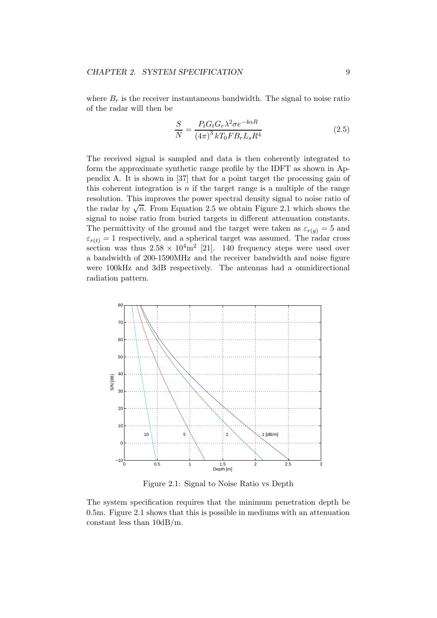where  $B_r$  is the receiver instantaneous bandwidth. The signal to noise ratio of the radar will then be

$$
\frac{S}{N} = \frac{P_t G_t G_r \lambda^2 \sigma e^{-4\alpha R}}{(4\pi)^3 k T_0 F B_r L_s R^4}
$$
\n(2.5)

The received signal is sampled and data is then coherently integrated to form the approximate synthetic range profile by the IDFT as shown in Appendix A. It is shown in [37] that for a point target the processing gain of this coherent integration is  $n$  if the target range is a multiple of the range resolution. This improves the power spectral density signal to noise ratio of the radar by  $\sqrt{n}$ . From Equation 2.5 we obtain Figure 2.1 which shows the signal to noise ratio from buried targets in different attenuation constants. The permittivity of the ground and the target were taken as  $\varepsilon_{r(q)} = 5$  and  $\varepsilon_{r(t)} = 1$  respectively, and a spherical target was assumed. The radar cross section was thus  $2.58 \times 10^4 \text{m}^2$  [21]. 140 frequency steps were used over a bandwidth of 200-1590MHz and the receiver bandwidth and noise figure were 100kHz and 3dB respectively. The antennas had a omnidirectional radiation pattern.



Figure 2.1: Signal to Noise Ratio vs Depth

The system specification requires that the minimum penetration depth be 0.5m. Figure 2.1 shows that this is possible in mediums with an attenuation constant less than 10dB/m.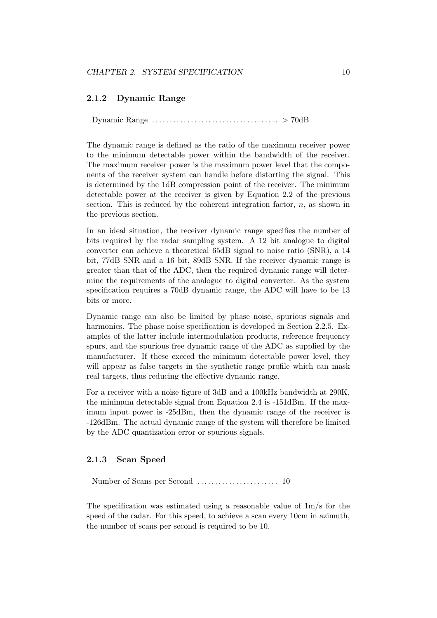#### 2.1.2 Dynamic Range

Dynamic Range . . . . . . . . . . . . . . . . . . . . . . . . . . . . . . . . . . . . > 70dB

The dynamic range is defined as the ratio of the maximum receiver power to the minimum detectable power within the bandwidth of the receiver. The maximum receiver power is the maximum power level that the components of the receiver system can handle before distorting the signal. This is determined by the 1dB compression point of the receiver. The minimum detectable power at the receiver is given by Equation 2.2 of the previous section. This is reduced by the coherent integration factor,  $n$ , as shown in the previous section.

In an ideal situation, the receiver dynamic range specifies the number of bits required by the radar sampling system. A 12 bit analogue to digital converter can achieve a theoretical 65dB signal to noise ratio (SNR), a 14 bit, 77dB SNR and a 16 bit, 89dB SNR. If the receiver dynamic range is greater than that of the ADC, then the required dynamic range will determine the requirements of the analogue to digital converter. As the system specification requires a 70dB dynamic range, the ADC will have to be 13 bits or more.

Dynamic range can also be limited by phase noise, spurious signals and harmonics. The phase noise specification is developed in Section 2.2.5. Examples of the latter include intermodulation products, reference frequency spurs, and the spurious free dynamic range of the ADC as supplied by the manufacturer. If these exceed the minimum detectable power level, they will appear as false targets in the synthetic range profile which can mask real targets, thus reducing the effective dynamic range.

For a receiver with a noise figure of 3dB and a 100kHz bandwidth at 290K, the minimum detectable signal from Equation 2.4 is -151dBm. If the maximum input power is -25dBm, then the dynamic range of the receiver is -126dBm. The actual dynamic range of the system will therefore be limited by the ADC quantization error or spurious signals.

#### 2.1.3 Scan Speed

Number of Scans per Second . . . . . . . . . . . . . . . . . . . . . . . 10

The specification was estimated using a reasonable value of 1m/s for the speed of the radar. For this speed, to achieve a scan every 10cm in azimuth, the number of scans per second is required to be 10.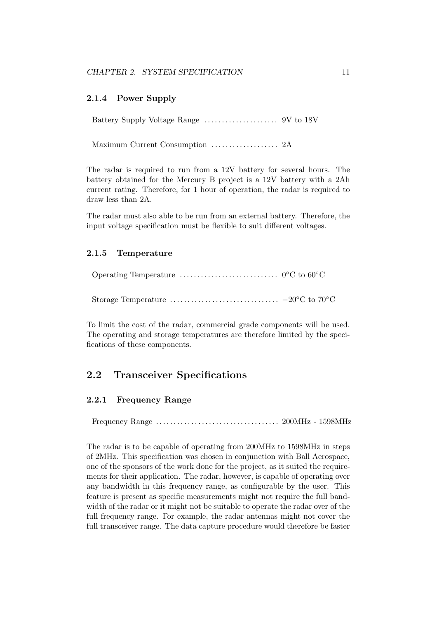#### 2.1.4 Power Supply

Battery Supply Voltage Range . . . . . . . . . . . . . . . . . . . . . 9V to 18V

Maximum Current Consumption . . . . . . . . . . . . . . . . . . . 2A

The radar is required to run from a 12V battery for several hours. The battery obtained for the Mercury B project is a 12V battery with a 2Ah current rating. Therefore, for 1 hour of operation, the radar is required to draw less than 2A.

The radar must also able to be run from an external battery. Therefore, the input voltage specification must be flexible to suit different voltages.

#### 2.1.5 Temperature

Storage Temperature  $\dots\dots\dots\dots\dots\dots\dots\dots\dots\dots -20$ °C to 70°C

To limit the cost of the radar, commercial grade components will be used. The operating and storage temperatures are therefore limited by the specifications of these components.

#### 2.2 Transceiver Specifications

#### 2.2.1 Frequency Range

Frequency Range . . . . . . . . . . . . . . . . . . . . . . . . . . . . . . . . . . . 200MHz - 1598MHz

The radar is to be capable of operating from 200MHz to 1598MHz in steps of 2MHz. This specification was chosen in conjunction with Ball Aerospace, one of the sponsors of the work done for the project, as it suited the requirements for their application. The radar, however, is capable of operating over any bandwidth in this frequency range, as configurable by the user. This feature is present as specific measurements might not require the full bandwidth of the radar or it might not be suitable to operate the radar over of the full frequency range. For example, the radar antennas might not cover the full transceiver range. The data capture procedure would therefore be faster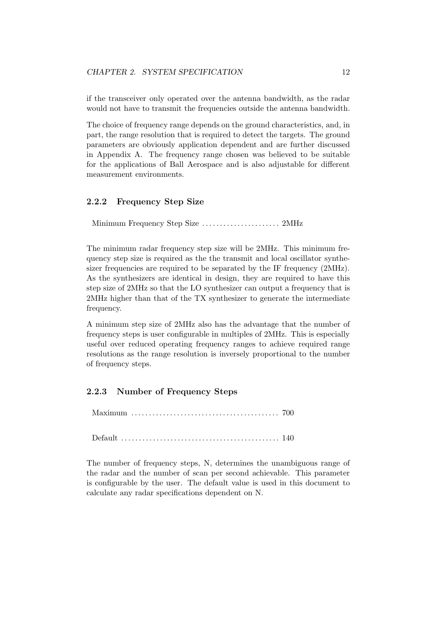if the transceiver only operated over the antenna bandwidth, as the radar would not have to transmit the frequencies outside the antenna bandwidth.

The choice of frequency range depends on the ground characteristics, and, in part, the range resolution that is required to detect the targets. The ground parameters are obviously application dependent and are further discussed in Appendix A. The frequency range chosen was believed to be suitable for the applications of Ball Aerospace and is also adjustable for different measurement environments.

#### 2.2.2 Frequency Step Size

Minimum Frequency Step Size . . . . . . . . . . . . . . . . . . . . . . 2MHz

The minimum radar frequency step size will be 2MHz. This minimum frequency step size is required as the the transmit and local oscillator synthesizer frequencies are required to be separated by the IF frequency (2MHz). As the synthesizers are identical in design, they are required to have this step size of 2MHz so that the LO synthesizer can output a frequency that is 2MHz higher than that of the TX synthesizer to generate the intermediate frequency.

A minimum step size of 2MHz also has the advantage that the number of frequency steps is user configurable in multiples of 2MHz. This is especially useful over reduced operating frequency ranges to achieve required range resolutions as the range resolution is inversely proportional to the number of frequency steps.

#### 2.2.3 Number of Frequency Steps

Maximum . . . . . . . . . . . . . . . . . . . . . . . . . . . . . . . . . . . . . . . . . . 700

Default . . . . . . . . . . . . . . . . . . . . . . . . . . . . . . . . . . . . . . . . . . . . . 140

The number of frequency steps, N, determines the unambiguous range of the radar and the number of scan per second achievable. This parameter is configurable by the user. The default value is used in this document to calculate any radar specifications dependent on N.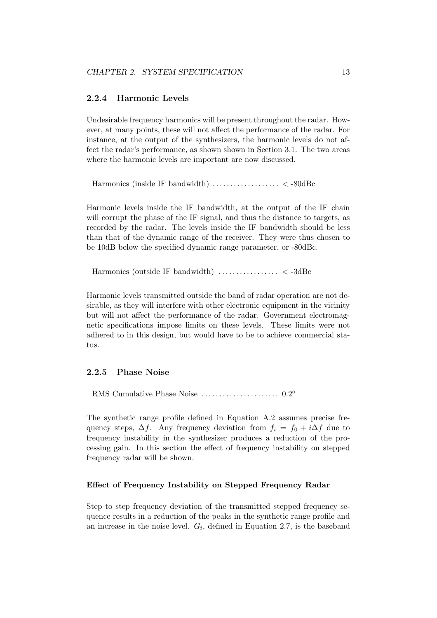#### 2.2.4 Harmonic Levels

Undesirable frequency harmonics will be present throughout the radar. However, at many points, these will not affect the performance of the radar. For instance, at the output of the synthesizers, the harmonic levels do not affect the radar's performance, as shown shown in Section 3.1. The two areas where the harmonic levels are important are now discussed.

Harmonics (inside IF bandwidth) . . . . . . . . . . . . . . . . . . . < -80dBc

Harmonic levels inside the IF bandwidth, at the output of the IF chain will corrupt the phase of the IF signal, and thus the distance to targets, as recorded by the radar. The levels inside the IF bandwidth should be less than that of the dynamic range of the receiver. They were thus chosen to be 10dB below the specified dynamic range parameter, or -80dBc.

Harmonics (outside IF bandwidth) . . . . . . . . . . . . . . . . . < -3dBc

Harmonic levels transmitted outside the band of radar operation are not desirable, as they will interfere with other electronic equipment in the vicinity but will not affect the performance of the radar. Government electromagnetic specifications impose limits on these levels. These limits were not adhered to in this design, but would have to be to achieve commercial status.

#### 2.2.5 Phase Noise

RMS Cumulative Phase Noise . . . . . . . . . . . . . . . . . . . . . . 0.2 ◦

The synthetic range profile defined in Equation A.2 assumes precise frequency steps,  $\Delta f$ . Any frequency deviation from  $f_i = f_0 + i\Delta f$  due to frequency instability in the synthesizer produces a reduction of the processing gain. In this section the effect of frequency instability on stepped frequency radar will be shown.

#### Effect of Frequency Instability on Stepped Frequency Radar

Step to step frequency deviation of the transmitted stepped frequency sequence results in a reduction of the peaks in the synthetic range profile and an increase in the noise level.  $G_i$ , defined in Equation 2.7, is the baseband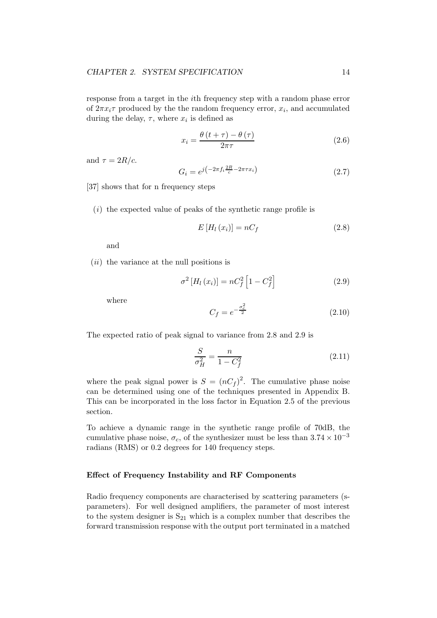response from a target in the ith frequency step with a random phase error of  $2\pi x_i \tau$  produced by the the random frequency error,  $x_i$ , and accumulated during the delay,  $\tau$ , where  $x_i$  is defined as

$$
x_i = \frac{\theta \left(t + \tau\right) - \theta \left(\tau\right)}{2\pi\tau} \tag{2.6}
$$

and  $\tau = 2R/c$ .

$$
G_i = e^{j\left(-2\pi f_i \frac{2R}{c} - 2\pi\tau x_i\right)}\tag{2.7}
$$

[37] shows that for n frequency steps

 $(i)$  the expected value of peaks of the synthetic range profile is

$$
E\left[H_l\left(x_i\right)\right] = nC_f\tag{2.8}
$$

and

 $(ii)$  the variance at the null positions is

$$
\sigma^{2}[H_{l}(x_{i})] = nC_{f}^{2}[1 - C_{f}^{2}]
$$
\n(2.9)

where

$$
C_f = e^{-\frac{\sigma_c^2}{2}}
$$
 (2.10)

The expected ratio of peak signal to variance from 2.8 and 2.9 is

$$
\frac{S}{\sigma_H^2} = \frac{n}{1 - C_f^2} \tag{2.11}
$$

where the peak signal power is  $S = (nC_f)^2$ . The cumulative phase noise can be determined using one of the techniques presented in Appendix B. This can be incorporated in the loss factor in Equation 2.5 of the previous section.

To achieve a dynamic range in the synthetic range profile of 70dB, the cumulative phase noise,  $\sigma_c$ , of the synthesizer must be less than  $3.74 \times 10^{-3}$ radians (RMS) or 0.2 degrees for 140 frequency steps.

#### Effect of Frequency Instability and RF Components

Radio frequency components are characterised by scattering parameters (sparameters). For well designed amplifiers, the parameter of most interest to the system designer is  $S_{21}$  which is a complex number that describes the forward transmission response with the output port terminated in a matched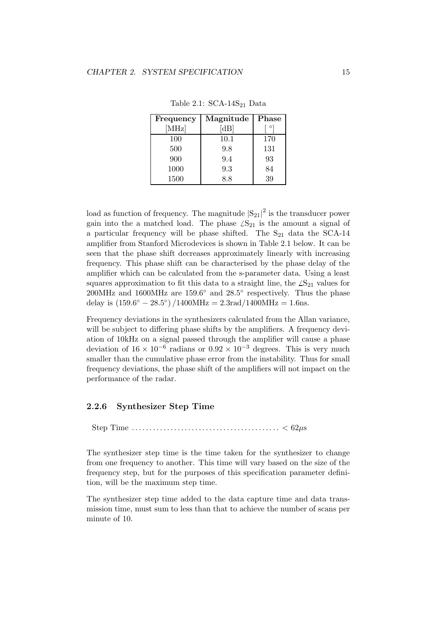| Frequency | Magnitude | Phase |
|-----------|-----------|-------|
| [MHz]     | dB        |       |
| 100       | 10.1      | 170   |
| 500       | 9.8       | 131   |
| 900       | 9.4       | 93    |
| 1000      | 9.3       | 84    |
| 1500      | 88        | 39    |

Table 2.1:  $SCA-14S_{21}$  Data

load as function of frequency. The magnitude  $|S_{21}|^2$  is the transducer power gain into the a matched load. The phase  $\angle S_{21}$  is the amount a signal of a particular frequency will be phase shifted. The  $S_{21}$  data the SCA-14 amplifier from Stanford Microdevices is shown in Table 2.1 below. It can be seen that the phase shift decreases approximately linearly with increasing frequency. This phase shift can be characterised by the phase delay of the amplifier which can be calculated from the s-parameter data. Using a least squares approximation to fit this data to a straight line, the  $\angle S_{21}$  values for 200MHz and 1600MHz are 159.6◦ and 28.5◦ respectively. Thus the phase delay is  $(159.6^{\circ} - 28.5^{\circ}) / 1400 \text{MHz} = 2.3 \text{rad} / 1400 \text{MHz} = 1.6 \text{ns}.$ 

Frequency deviations in the synthesizers calculated from the Allan variance, will be subject to differing phase shifts by the amplifiers. A frequency deviation of 10kHz on a signal passed through the amplifier will cause a phase deviation of  $16 \times 10^{-6}$  radians or  $0.92 \times 10^{-3}$  degrees. This is very much smaller than the cumulative phase error from the instability. Thus for small frequency deviations, the phase shift of the amplifiers will not impact on the performance of the radar.

#### 2.2.6 Synthesizer Step Time

Step Time . . . . . . . . . . . . . . . . . . . . . . . . . . . . . . . . . . . . . . . . . . < 62µs

The synthesizer step time is the time taken for the synthesizer to change from one frequency to another. This time will vary based on the size of the frequency step, but for the purposes of this specification parameter definition, will be the maximum step time.

The synthesizer step time added to the data capture time and data transmission time, must sum to less than that to achieve the number of scans per minute of 10.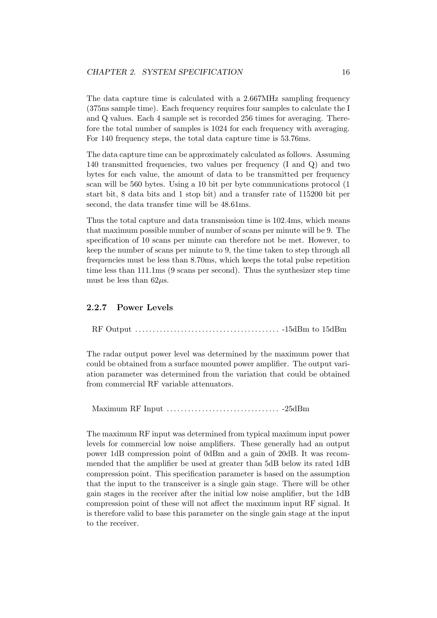The data capture time is calculated with a 2.667MHz sampling frequency (375ns sample time). Each frequency requires four samples to calculate the I and Q values. Each 4 sample set is recorded 256 times for averaging. Therefore the total number of samples is 1024 for each frequency with averaging. For 140 frequency steps, the total data capture time is 53.76ms.

The data capture time can be approximately calculated as follows. Assuming 140 transmitted frequencies, two values per frequency (I and Q) and two bytes for each value, the amount of data to be transmitted per frequency scan will be 560 bytes. Using a 10 bit per byte communications protocol (1 start bit, 8 data bits and 1 stop bit) and a transfer rate of 115200 bit per second, the data transfer time will be 48.61ms.

Thus the total capture and data transmission time is 102.4ms, which means that maximum possible number of number of scans per minute will be 9. The specification of 10 scans per minute can therefore not be met. However, to keep the number of scans per minute to 9, the time taken to step through all frequencies must be less than 8.70ms, which keeps the total pulse repetition time less than 111.1ms (9 scans per second). Thus the synthesizer step time must be less than  $62\mu$ s.

#### 2.2.7 Power Levels

RF Output . . . . . . . . . . . . . . . . . . . . . . . . . . . . . . . . . . . . . . . . . -15dBm to 15dBm

The radar output power level was determined by the maximum power that could be obtained from a surface mounted power amplifier. The output variation parameter was determined from the variation that could be obtained from commercial RF variable attenuators.

Maximum RF Input . . . . . . . . . . . . . . . . . . . . . . . . . . . . . . . . -25dBm

The maximum RF input was determined from typical maximum input power levels for commercial low noise amplifiers. These generally had an output power 1dB compression point of 0dBm and a gain of 20dB. It was recommended that the amplifier be used at greater than 5dB below its rated 1dB compression point. This specification parameter is based on the assumption that the input to the transceiver is a single gain stage. There will be other gain stages in the receiver after the initial low noise amplifier, but the 1dB compression point of these will not affect the maximum input RF signal. It is therefore valid to base this parameter on the single gain stage at the input to the receiver.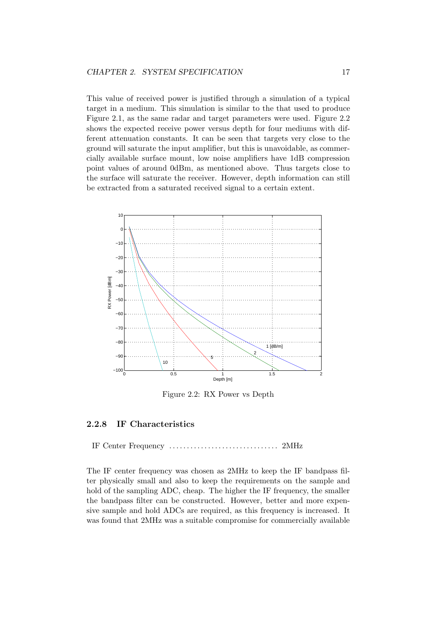This value of received power is justified through a simulation of a typical target in a medium. This simulation is similar to the that used to produce Figure 2.1, as the same radar and target parameters were used. Figure 2.2 shows the expected receive power versus depth for four mediums with different attenuation constants. It can be seen that targets very close to the ground will saturate the input amplifier, but this is unavoidable, as commercially available surface mount, low noise amplifiers have 1dB compression point values of around 0dBm, as mentioned above. Thus targets close to the surface will saturate the receiver. However, depth information can still be extracted from a saturated received signal to a certain extent.



Figure 2.2: RX Power vs Depth

#### 2.2.8 IF Characteristics

IF Center Frequency . . . . . . . . . . . . . . . . . . . . . . . . . . . . . . . 2MHz

The IF center frequency was chosen as 2MHz to keep the IF bandpass filter physically small and also to keep the requirements on the sample and hold of the sampling ADC, cheap. The higher the IF frequency, the smaller the bandpass filter can be constructed. However, better and more expensive sample and hold ADCs are required, as this frequency is increased. It was found that 2MHz was a suitable compromise for commercially available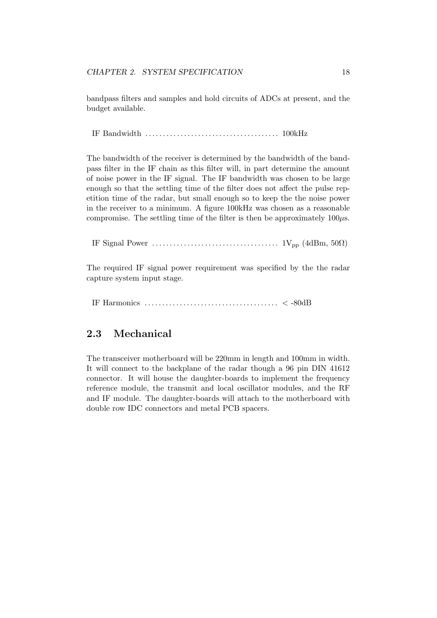bandpass filters and samples and hold circuits of ADCs at present, and the budget available.

IF Bandwidth . . . . . . . . . . . . . . . . . . . . . . . . . . . . . . . . . . . . . . 100kHz

The bandwidth of the receiver is determined by the bandwidth of the bandpass filter in the IF chain as this filter will, in part determine the amount of noise power in the IF signal. The IF bandwidth was chosen to be large enough so that the settling time of the filter does not affect the pulse repetition time of the radar, but small enough so to keep the the noise power in the receiver to a minimum. A figure 100kHz was chosen as a reasonable compromise. The settling time of the filter is then be approximately  $100\mu s$ .

IF Signal Power . . . . . . . . . . . . . . . . . . . . . . . . . . . . . . . . . . . . 1Vpp (4dBm, 50Ω)

The required IF signal power requirement was specified by the the radar capture system input stage.

IF Harmonics . . . . . . . . . . . . . . . . . . . . . . . . . . . . . . . . . . . . . . < -80dB

#### 2.3 Mechanical

The transceiver motherboard will be 220mm in length and 100mm in width. It will connect to the backplane of the radar though a 96 pin DIN 41612 connector. It will house the daughter-boards to implement the frequency reference module, the transmit and local oscillator modules, and the RF and IF module. The daughter-boards will attach to the motherboard with double row IDC connectors and metal PCB spacers.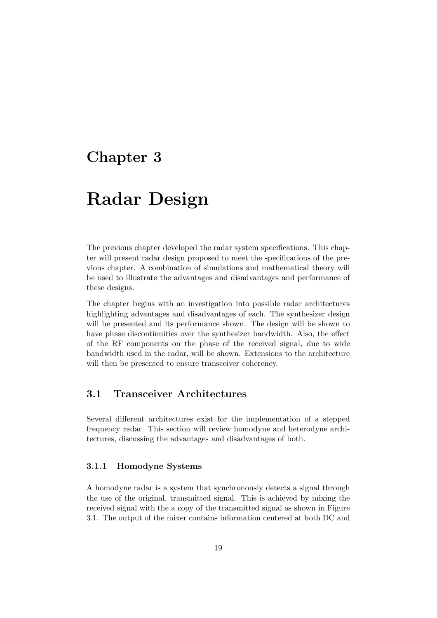### Chapter 3

### Radar Design

The previous chapter developed the radar system specifications. This chapter will present radar design proposed to meet the specifications of the previous chapter. A combination of simulations and mathematical theory will be used to illustrate the advantages and disadvantages and performance of these designs.

The chapter begins with an investigation into possible radar architectures highlighting advantages and disadvantages of each. The synthesizer design will be presented and its performance shown. The design will be shown to have phase discontinuities over the synthesizer bandwidth. Also, the effect of the RF components on the phase of the received signal, due to wide bandwidth used in the radar, will be shown. Extensions to the architecture will then be presented to ensure transceiver coherency.

#### 3.1 Transceiver Architectures

Several different architectures exist for the implementation of a stepped frequency radar. This section will review homodyne and heterodyne architectures, discussing the advantages and disadvantages of both.

#### 3.1.1 Homodyne Systems

A homodyne radar is a system that synchronously detects a signal through the use of the original, transmitted signal. This is achieved by mixing the received signal with the a copy of the transmitted signal as shown in Figure 3.1. The output of the mixer contains information centered at both DC and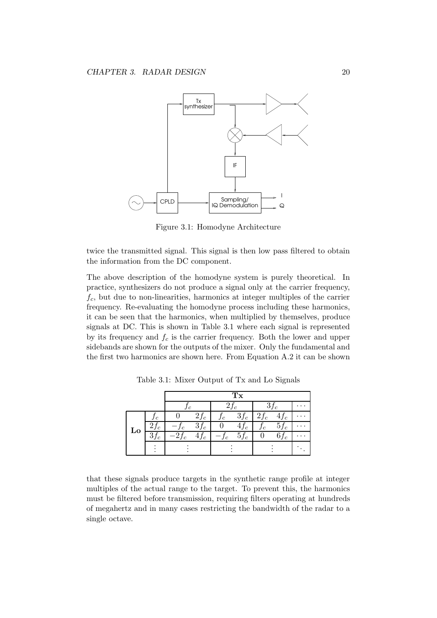

Figure 3.1: Homodyne Architecture

twice the transmitted signal. This signal is then low pass filtered to obtain the information from the DC component.

The above description of the homodyne system is purely theoretical. In practice, synthesizers do not produce a signal only at the carrier frequency,  $f_c$ , but due to non-linearities, harmonics at integer multiples of the carrier frequency. Re-evaluating the homodyne process including these harmonics, it can be seen that the harmonics, when multiplied by themselves, produce signals at DC. This is shown in Table 3.1 where each signal is represented by its frequency and  $f_c$  is the carrier frequency. Both the lower and upper sidebands are shown for the outputs of the mixer. Only the fundamental and the first two harmonics are shown here. From Equation A.2 it can be shown

|                                       | $\mathfrak{c}$ |          | $2f_c$           |                       | $3f_c$   |        |  |
|---------------------------------------|----------------|----------|------------------|-----------------------|----------|--------|--|
| Jc                                    |                | $2f_c$   | $\boldsymbol{c}$ | $3f_c$                | $z_{Jc}$ | 4Jc    |  |
| 4Jc                                   | с              | $3f_c$   |                  | 4.,<br>$\mathfrak{c}$ | J c      | $5f_c$ |  |
| $\mathbf{\sigma}$ J $\mathbf{\sigma}$ | 4/c            | $\pm Jc$ | Jc               | $5f_c$                |          | $0J_c$ |  |
|                                       |                |          |                  |                       |          |        |  |
|                                       |                |          |                  |                       |          |        |  |

Table 3.1: Mixer Output of Tx and Lo Signals

that these signals produce targets in the synthetic range profile at integer multiples of the actual range to the target. To prevent this, the harmonics must be filtered before transmission, requiring filters operating at hundreds of megahertz and in many cases restricting the bandwidth of the radar to a single octave.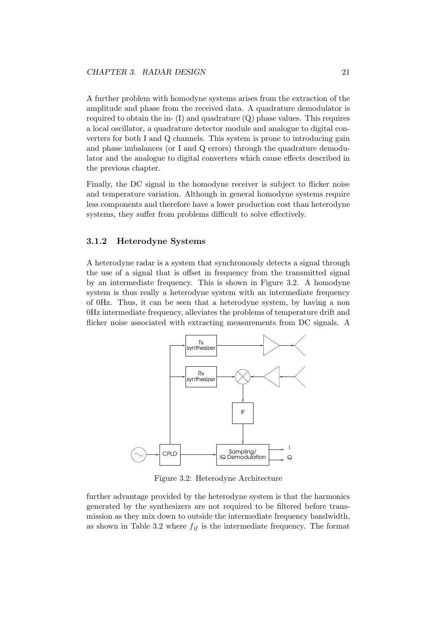A further problem with homodyne systems arises from the extraction of the amplitude and phase from the received data. A quadrature demodulator is required to obtain the in-  $(I)$  and quadrature  $(Q)$  phase values. This requires a local oscillator, a quadrature detector module and analogue to digital converters for both I and Q channels. This system is prone to introducing gain and phase imbalances (or I and Q errors) through the quadrature demodulator and the analogue to digital converters which cause effects described in the previous chapter.

Finally, the DC signal in the homodyne receiver is subject to flicker noise and temperature variation. Although in general homodyne systems require less components and therefore have a lower production cost than heterodyne systems, they suffer from problems difficult to solve effectively.

#### 3.1.2 Heterodyne Systems

A heterodyne radar is a system that synchronously detects a signal through the use of a signal that is offset in frequency from the transmitted signal by an intermediate frequency. This is shown in Figure 3.2. A homodyne system is thus really a heterodyne system with an intermediate frequency of 0Hz. Thus, it can be seen that a heterodyne system, by having a non 0Hz intermediate frequency, alleviates the problems of temperature drift and flicker noise associated with extracting measurements from DC signals. A



Figure 3.2: Heterodyne Architecture

further advantage provided by the heterodyne system is that the harmonics generated by the synthesizers are not required to be filtered before transmission as they mix down to outside the intermediate frequency bandwidth, as shown in Table 3.2 where  $f_{if}$  is the intermediate frequency. The format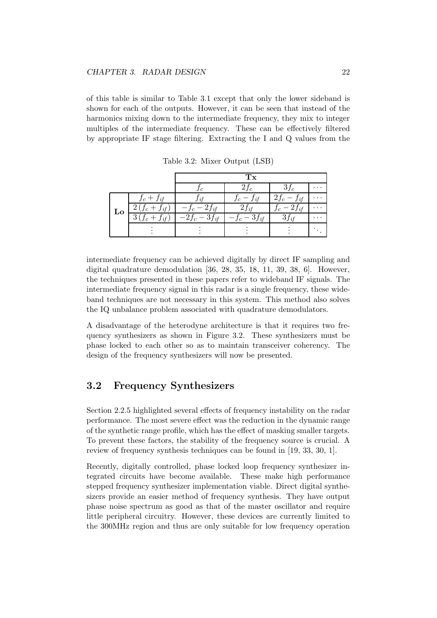of this table is similar to Table 3.1 except that only the lower sideband is shown for each of the outputs. However, it can be seen that instead of the harmonics mixing down to the intermediate frequency, they mix to integer multiples of the intermediate frequency. These can be effectively filtered by appropriate IF stage filtering. Extracting the I and Q values from the

|                        |                            | '1`x                                             |                              |  |
|------------------------|----------------------------|--------------------------------------------------|------------------------------|--|
|                        |                            | $2f_c$                                           | Ιc                           |  |
| $f_c+f_{if}$           |                            | J if<br>$\mathfrak{c}$                           | $2f_c$<br>J if               |  |
| if                     | it                         |                                                  | Jif                          |  |
| if<br>$\boldsymbol{c}$ | ച<br>$2f_c$<br>$J$ if<br>€ | $\mathfrak{I}_{\textit{if}}$<br>$\boldsymbol{c}$ | $\mathfrak{J}_{\textit{if}}$ |  |
|                        |                            |                                                  |                              |  |
|                        |                            |                                                  |                              |  |

Table 3.2: Mixer Output (LSB)

intermediate frequency can be achieved digitally by direct IF sampling and digital quadrature demodulation [36, 28, 35, 18, 11, 39, 38, 6]. However, the techniques presented in these papers refer to wideband IF signals. The intermediate frequency signal in this radar is a single frequency, these wideband techniques are not necessary in this system. This method also solves the IQ unbalance problem associated with quadrature demodulators.

A disadvantage of the heterodyne architecture is that it requires two frequency synthesizers as shown in Figure 3.2. These synthesizers must be phase locked to each other so as to maintain transceiver coherency. The design of the frequency synthesizers will now be presented.

# 3.2 Frequency Synthesizers

Section 2.2.5 highlighted several effects of frequency instability on the radar performance. The most severe effect was the reduction in the dynamic range of the synthetic range profile, which has the effect of masking smaller targets. To prevent these factors, the stability of the frequency source is crucial. A review of frequency synthesis techniques can be found in [19, 33, 30, 1].

Recently, digitally controlled, phase locked loop frequency synthesizer integrated circuits have become available. These make high performance stepped frequency synthesizer implementation viable. Direct digital synthesizers provide an easier method of frequency synthesis. They have output phase noise spectrum as good as that of the master oscillator and require little peripheral circuitry. However, these devices are currently limited to the 300MHz region and thus are only suitable for low frequency operation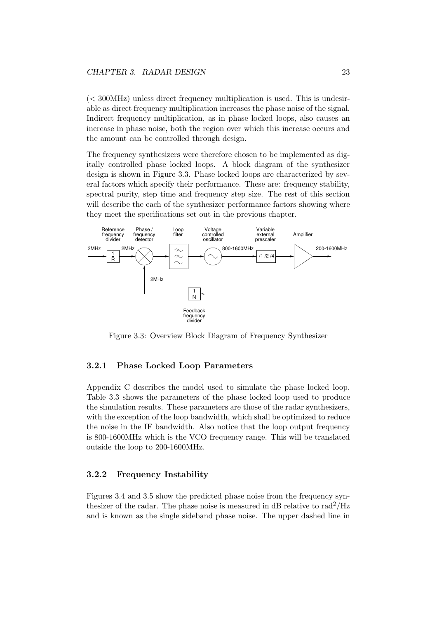$\zeta$  ( $\zeta$  300MHz) unless direct frequency multiplication is used. This is undesirable as direct frequency multiplication increases the phase noise of the signal. Indirect frequency multiplication, as in phase locked loops, also causes an increase in phase noise, both the region over which this increase occurs and the amount can be controlled through design.

The frequency synthesizers were therefore chosen to be implemented as digitally controlled phase locked loops. A block diagram of the synthesizer design is shown in Figure 3.3. Phase locked loops are characterized by several factors which specify their performance. These are: frequency stability, spectral purity, step time and frequency step size. The rest of this section will describe the each of the synthesizer performance factors showing where they meet the specifications set out in the previous chapter.



Figure 3.3: Overview Block Diagram of Frequency Synthesizer

#### 3.2.1 Phase Locked Loop Parameters

Appendix C describes the model used to simulate the phase locked loop. Table 3.3 shows the parameters of the phase locked loop used to produce the simulation results. These parameters are those of the radar synthesizers, with the exception of the loop bandwidth, which shall be optimized to reduce the noise in the IF bandwidth. Also notice that the loop output frequency is 800-1600MHz which is the VCO frequency range. This will be translated outside the loop to 200-1600MHz.

#### 3.2.2 Frequency Instability

Figures 3.4 and 3.5 show the predicted phase noise from the frequency synthesizer of the radar. The phase noise is measured in dB relative to  $\text{rad}^2/\text{Hz}$ and is known as the single sideband phase noise. The upper dashed line in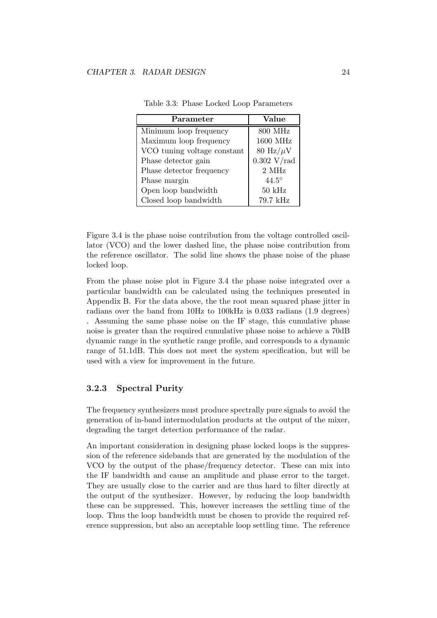| Parameter                   | Value                       |
|-----------------------------|-----------------------------|
| Minimum loop frequency      | 800 MHz                     |
| Maximum loop frequency      | 1600 MHz                    |
| VCO tuning voltage constant | $80 \text{ Hz}/\mu\text{V}$ |
| Phase detector gain         | $0.302$ V/rad               |
| Phase detector frequency    | 2 MHz                       |
| Phase margin                | $44.5^\circ$                |
| Open loop bandwidth         | $50 \text{ kHz}$            |
| Closed loop bandwidth       | 79.7 kHz                    |

Table 3.3: Phase Locked Loop Parameters

Figure 3.4 is the phase noise contribution from the voltage controlled oscillator (VCO) and the lower dashed line, the phase noise contribution from the reference oscillator. The solid line shows the phase noise of the phase locked loop.

From the phase noise plot in Figure 3.4 the phase noise integrated over a particular bandwidth can be calculated using the techniques presented in Appendix B. For the data above, the the root mean squared phase jitter in radians over the band from 10Hz to 100kHz is 0.033 radians (1.9 degrees) . Assuming the same phase noise on the IF stage, this cumulative phase noise is greater than the required cumulative phase noise to achieve a 70dB dynamic range in the synthetic range profile, and corresponds to a dynamic range of 51.1dB. This does not meet the system specification, but will be used with a view for improvement in the future.

#### 3.2.3 Spectral Purity

The frequency synthesizers must produce spectrally pure signals to avoid the generation of in-band intermodulation products at the output of the mixer, degrading the target detection performance of the radar.

An important consideration in designing phase locked loops is the suppression of the reference sidebands that are generated by the modulation of the VCO by the output of the phase/frequency detector. These can mix into the IF bandwidth and cause an amplitude and phase error to the target. They are usually close to the carrier and are thus hard to filter directly at the output of the synthesizer. However, by reducing the loop bandwidth these can be suppressed. This, however increases the settling time of the loop. Thus the loop bandwidth must be chosen to provide the required reference suppression, but also an acceptable loop settling time. The reference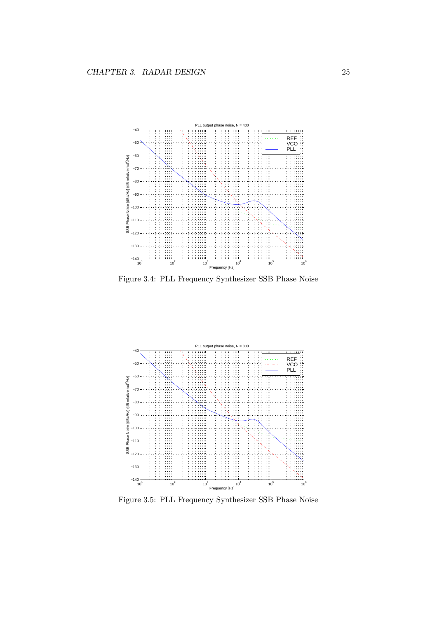

Figure 3.4: PLL Frequency Synthesizer SSB Phase Noise



Figure 3.5: PLL Frequency Synthesizer SSB Phase Noise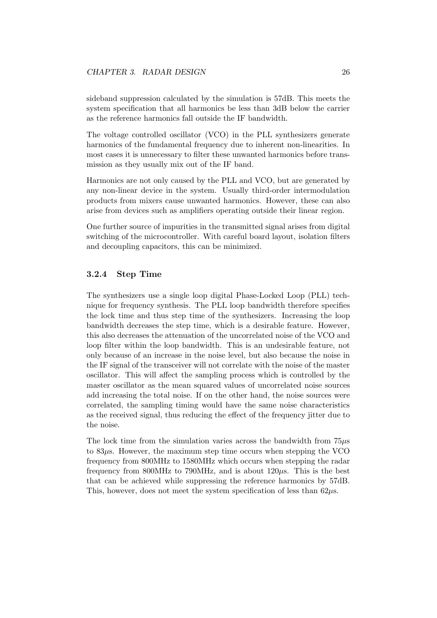sideband suppression calculated by the simulation is 57dB. This meets the system specification that all harmonics be less than 3dB below the carrier as the reference harmonics fall outside the IF bandwidth.

The voltage controlled oscillator (VCO) in the PLL synthesizers generate harmonics of the fundamental frequency due to inherent non-linearities. In most cases it is unnecessary to filter these unwanted harmonics before transmission as they usually mix out of the IF band.

Harmonics are not only caused by the PLL and VCO, but are generated by any non-linear device in the system. Usually third-order intermodulation products from mixers cause unwanted harmonics. However, these can also arise from devices such as amplifiers operating outside their linear region.

One further source of impurities in the transmitted signal arises from digital switching of the microcontroller. With careful board layout, isolation filters and decoupling capacitors, this can be minimized.

#### 3.2.4 Step Time

The synthesizers use a single loop digital Phase-Locked Loop (PLL) technique for frequency synthesis. The PLL loop bandwidth therefore specifies the lock time and thus step time of the synthesizers. Increasing the loop bandwidth decreases the step time, which is a desirable feature. However, this also decreases the attenuation of the uncorrelated noise of the VCO and loop filter within the loop bandwidth. This is an undesirable feature, not only because of an increase in the noise level, but also because the noise in the IF signal of the transceiver will not correlate with the noise of the master oscillator. This will affect the sampling process which is controlled by the master oscillator as the mean squared values of uncorrelated noise sources add increasing the total noise. If on the other hand, the noise sources were correlated, the sampling timing would have the same noise characteristics as the received signal, thus reducing the effect of the frequency jitter due to the noise.

The lock time from the simulation varies across the bandwidth from  $75\mu s$ to 83µs. However, the maximum step time occurs when stepping the VCO frequency from 800MHz to 1580MHz which occurs when stepping the radar frequency from 800MHz to 790MHz, and is about  $120\mu$ s. This is the best that can be achieved while suppressing the reference harmonics by 57dB. This, however, does not meet the system specification of less than  $62\mu s$ .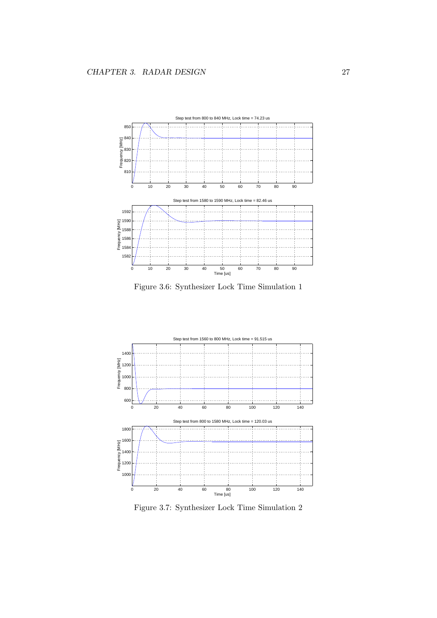

Figure 3.6: Synthesizer Lock Time Simulation 1



Figure 3.7: Synthesizer Lock Time Simulation 2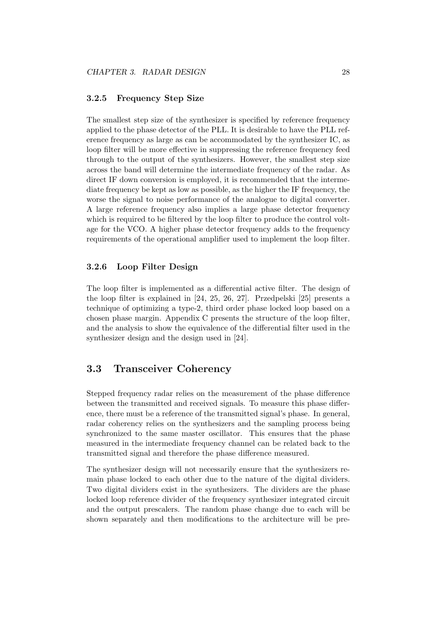#### 3.2.5 Frequency Step Size

The smallest step size of the synthesizer is specified by reference frequency applied to the phase detector of the PLL. It is desirable to have the PLL reference frequency as large as can be accommodated by the synthesizer IC, as loop filter will be more effective in suppressing the reference frequency feed through to the output of the synthesizers. However, the smallest step size across the band will determine the intermediate frequency of the radar. As direct IF down conversion is employed, it is recommended that the intermediate frequency be kept as low as possible, as the higher the IF frequency, the worse the signal to noise performance of the analogue to digital converter. A large reference frequency also implies a large phase detector frequency which is required to be filtered by the loop filter to produce the control voltage for the VCO. A higher phase detector frequency adds to the frequency requirements of the operational amplifier used to implement the loop filter.

#### 3.2.6 Loop Filter Design

The loop filter is implemented as a differential active filter. The design of the loop filter is explained in [24, 25, 26, 27]. Przedpelski [25] presents a technique of optimizing a type-2, third order phase locked loop based on a chosen phase margin. Appendix C presents the structure of the loop filter, and the analysis to show the equivalence of the differential filter used in the synthesizer design and the design used in [24].

# 3.3 Transceiver Coherency

Stepped frequency radar relies on the measurement of the phase difference between the transmitted and received signals. To measure this phase difference, there must be a reference of the transmitted signal's phase. In general, radar coherency relies on the synthesizers and the sampling process being synchronized to the same master oscillator. This ensures that the phase measured in the intermediate frequency channel can be related back to the transmitted signal and therefore the phase difference measured.

The synthesizer design will not necessarily ensure that the synthesizers remain phase locked to each other due to the nature of the digital dividers. Two digital dividers exist in the synthesizers. The dividers are the phase locked loop reference divider of the frequency synthesizer integrated circuit and the output prescalers. The random phase change due to each will be shown separately and then modifications to the architecture will be pre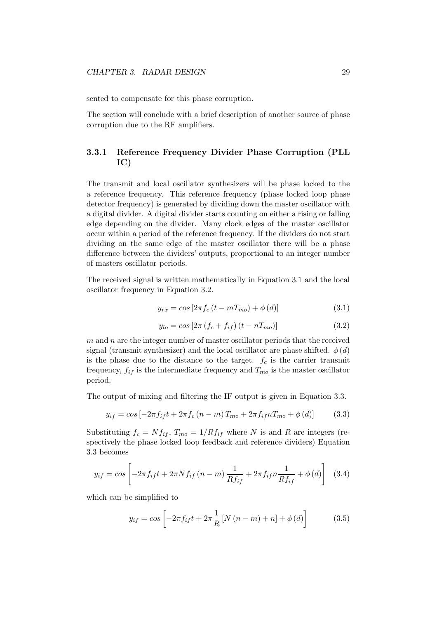sented to compensate for this phase corruption.

The section will conclude with a brief description of another source of phase corruption due to the RF amplifiers.

### 3.3.1 Reference Frequency Divider Phase Corruption (PLL IC)

The transmit and local oscillator synthesizers will be phase locked to the a reference frequency. This reference frequency (phase locked loop phase detector frequency) is generated by dividing down the master oscillator with a digital divider. A digital divider starts counting on either a rising or falling edge depending on the divider. Many clock edges of the master oscillator occur within a period of the reference frequency. If the dividers do not start dividing on the same edge of the master oscillator there will be a phase difference between the dividers' outputs, proportional to an integer number of masters oscillator periods.

The received signal is written mathematically in Equation 3.1 and the local oscillator frequency in Equation 3.2.

$$
y_{rx} = \cos\left[2\pi f_c \left(t - mT_{mo}\right) + \phi\left(d\right)\right] \tag{3.1}
$$

$$
y_{lo} = \cos\left[2\pi \left(f_c + f_{if}\right)\left(t - nT_{mo}\right)\right]
$$
 (3.2)

 $m$  and  $n$  are the integer number of master oscillator periods that the received signal (transmit synthesizer) and the local oscillator are phase shifted.  $\phi(d)$ is the phase due to the distance to the target.  $f_c$  is the carrier transmit frequency,  $f_{if}$  is the intermediate frequency and  $T_{mo}$  is the master oscillator period.

The output of mixing and filtering the IF output is given in Equation 3.3.

$$
y_{if} = \cos[-2\pi f_{if}t + 2\pi f_c(n-m)T_{mo} + 2\pi f_{if}nT_{mo} + \phi(d)] \tag{3.3}
$$

Substituting  $f_c = Nf_{if}$ ,  $T_{mo} = 1/Rf_{if}$  where N is and R are integers (respectively the phase locked loop feedback and reference dividers) Equation 3.3 becomes

$$
y_{if} = \cos \left[ -2\pi f_{if} t + 2\pi N f_{if} (n - m) \frac{1}{Rf_{if}} + 2\pi f_{if} n \frac{1}{Rf_{if}} + \phi (d) \right] \tag{3.4}
$$

which can be simplified to

$$
y_{if} = \cos \left[ -2\pi f_{if} t + 2\pi \frac{1}{R} \left[ N \left( n - m \right) + n \right] + \phi \left( d \right) \right] \tag{3.5}
$$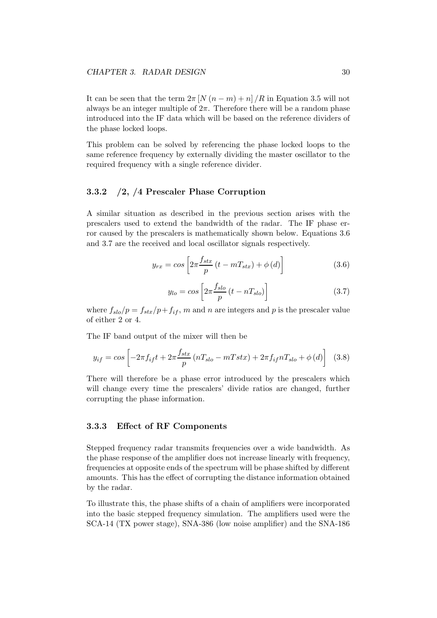It can be seen that the term  $2\pi [N(n-m)+n]/R$  in Equation 3.5 will not always be an integer multiple of  $2\pi$ . Therefore there will be a random phase introduced into the IF data which will be based on the reference dividers of the phase locked loops.

This problem can be solved by referencing the phase locked loops to the same reference frequency by externally dividing the master oscillator to the required frequency with a single reference divider.

#### 3.3.2 /2, /4 Prescaler Phase Corruption

A similar situation as described in the previous section arises with the prescalers used to extend the bandwidth of the radar. The IF phase error caused by the prescalers is mathematically shown below. Equations 3.6 and 3.7 are the received and local oscillator signals respectively.

$$
y_{rx} = \cos\left[2\pi \frac{f_{stx}}{p}\left(t - mT_{stx}\right) + \phi\left(d\right)\right]
$$
 (3.6)

$$
y_{lo} = \cos\left[2\pi \frac{f_{slo}}{p} \left(t - nT_{slo}\right)\right]
$$
 (3.7)

where  $f_{slo}/p = f_{str}/p + f_{if}$ , m and n are integers and p is the prescaler value of either 2 or 4.

The IF band output of the mixer will then be

$$
y_{if} = \cos\left[-2\pi f_{if}t + 2\pi \frac{f_{str}}{p}\left(nT_{slo} - mTstx\right) + 2\pi f_{if}nT_{slo} + \phi\left(d\right)\right]
$$
(3.8)

There will therefore be a phase error introduced by the prescalers which will change every time the prescalers' divide ratios are changed, further corrupting the phase information.

#### 3.3.3 Effect of RF Components

Stepped frequency radar transmits frequencies over a wide bandwidth. As the phase response of the amplifier does not increase linearly with frequency, frequencies at opposite ends of the spectrum will be phase shifted by different amounts. This has the effect of corrupting the distance information obtained by the radar.

To illustrate this, the phase shifts of a chain of amplifiers were incorporated into the basic stepped frequency simulation. The amplifiers used were the SCA-14 (TX power stage), SNA-386 (low noise amplifier) and the SNA-186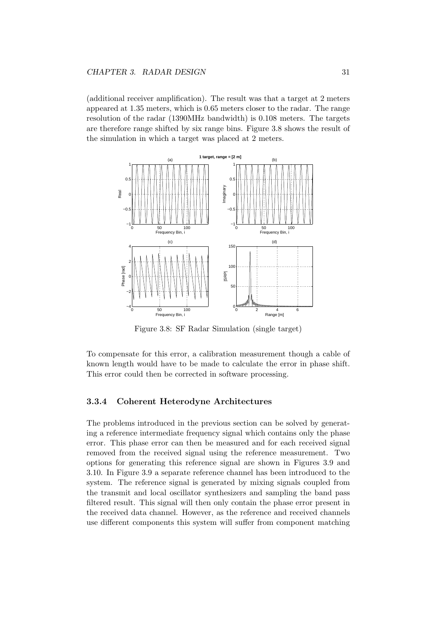(additional receiver amplification). The result was that a target at 2 meters appeared at 1.35 meters, which is 0.65 meters closer to the radar. The range resolution of the radar (1390MHz bandwidth) is 0.108 meters. The targets are therefore range shifted by six range bins. Figure 3.8 shows the result of the simulation in which a target was placed at 2 meters.



Figure 3.8: SF Radar Simulation (single target)

To compensate for this error, a calibration measurement though a cable of known length would have to be made to calculate the error in phase shift. This error could then be corrected in software processing.

#### 3.3.4 Coherent Heterodyne Architectures

The problems introduced in the previous section can be solved by generating a reference intermediate frequency signal which contains only the phase error. This phase error can then be measured and for each received signal removed from the received signal using the reference measurement. Two options for generating this reference signal are shown in Figures 3.9 and 3.10. In Figure 3.9 a separate reference channel has been introduced to the system. The reference signal is generated by mixing signals coupled from the transmit and local oscillator synthesizers and sampling the band pass filtered result. This signal will then only contain the phase error present in the received data channel. However, as the reference and received channels use different components this system will suffer from component matching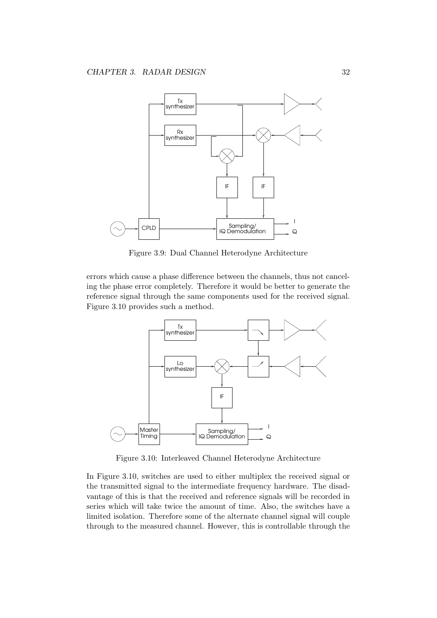

Figure 3.9: Dual Channel Heterodyne Architecture

errors which cause a phase difference between the channels, thus not canceling the phase error completely. Therefore it would be better to generate the reference signal through the same components used for the received signal. Figure 3.10 provides such a method.



Figure 3.10: Interleaved Channel Heterodyne Architecture

In Figure 3.10, switches are used to either multiplex the received signal or the transmitted signal to the intermediate frequency hardware. The disadvantage of this is that the received and reference signals will be recorded in series which will take twice the amount of time. Also, the switches have a limited isolation. Therefore some of the alternate channel signal will couple through to the measured channel. However, this is controllable through the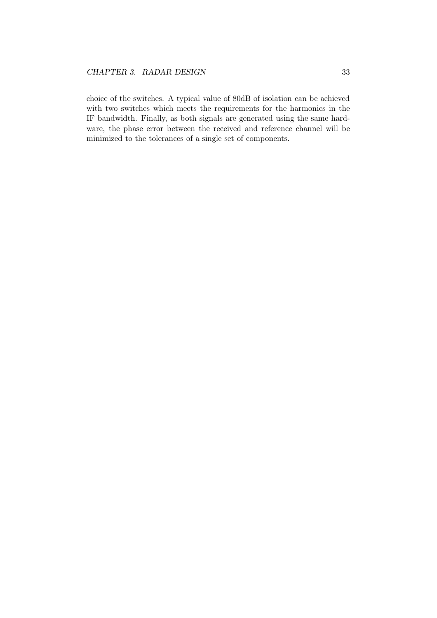choice of the switches. A typical value of 80dB of isolation can be achieved with two switches which meets the requirements for the harmonics in the IF bandwidth. Finally, as both signals are generated using the same hardware, the phase error between the received and reference channel will be minimized to the tolerances of a single set of components.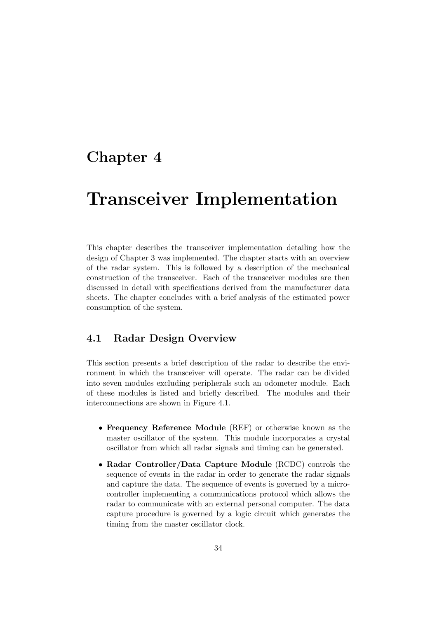# Chapter 4

# Transceiver Implementation

This chapter describes the transceiver implementation detailing how the design of Chapter 3 was implemented. The chapter starts with an overview of the radar system. This is followed by a description of the mechanical construction of the transceiver. Each of the transceiver modules are then discussed in detail with specifications derived from the manufacturer data sheets. The chapter concludes with a brief analysis of the estimated power consumption of the system.

# 4.1 Radar Design Overview

This section presents a brief description of the radar to describe the environment in which the transceiver will operate. The radar can be divided into seven modules excluding peripherals such an odometer module. Each of these modules is listed and briefly described. The modules and their interconnections are shown in Figure 4.1.

- Frequency Reference Module (REF) or otherwise known as the master oscillator of the system. This module incorporates a crystal oscillator from which all radar signals and timing can be generated.
- Radar Controller/Data Capture Module (RCDC) controls the sequence of events in the radar in order to generate the radar signals and capture the data. The sequence of events is governed by a microcontroller implementing a communications protocol which allows the radar to communicate with an external personal computer. The data capture procedure is governed by a logic circuit which generates the timing from the master oscillator clock.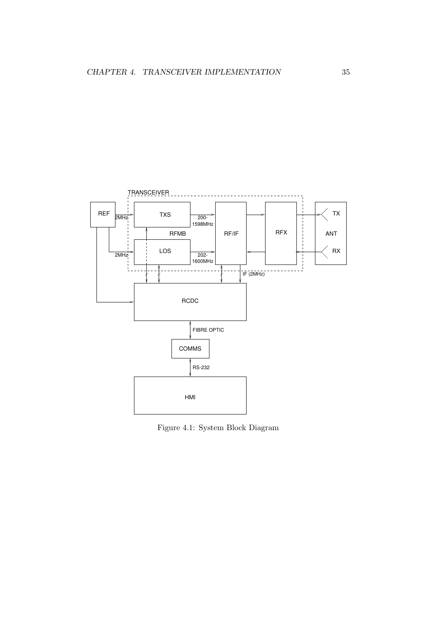

Figure 4.1: System Block Diagram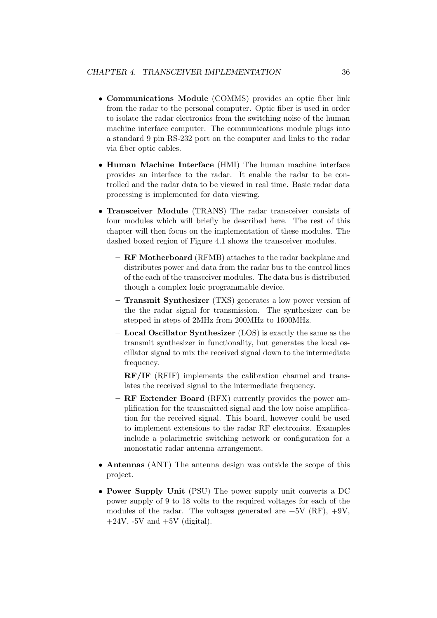- Communications Module (COMMS) provides an optic fiber link from the radar to the personal computer. Optic fiber is used in order to isolate the radar electronics from the switching noise of the human machine interface computer. The communications module plugs into a standard 9 pin RS-232 port on the computer and links to the radar via fiber optic cables.
- Human Machine Interface (HMI) The human machine interface provides an interface to the radar. It enable the radar to be controlled and the radar data to be viewed in real time. Basic radar data processing is implemented for data viewing.
- Transceiver Module (TRANS) The radar transceiver consists of four modules which will briefly be described here. The rest of this chapter will then focus on the implementation of these modules. The dashed boxed region of Figure 4.1 shows the transceiver modules.
	- RF Motherboard (RFMB) attaches to the radar backplane and distributes power and data from the radar bus to the control lines of the each of the transceiver modules. The data bus is distributed though a complex logic programmable device.
	- Transmit Synthesizer (TXS) generates a low power version of the the radar signal for transmission. The synthesizer can be stepped in steps of 2MHz from 200MHz to 1600MHz.
	- Local Oscillator Synthesizer (LOS) is exactly the same as the transmit synthesizer in functionality, but generates the local oscillator signal to mix the received signal down to the intermediate frequency.
	- RF/IF (RFIF) implements the calibration channel and translates the received signal to the intermediate frequency.
	- RF Extender Board (RFX) currently provides the power amplification for the transmitted signal and the low noise amplification for the received signal. This board, however could be used to implement extensions to the radar RF electronics. Examples include a polarimetric switching network or configuration for a monostatic radar antenna arrangement.
- Antennas (ANT) The antenna design was outside the scope of this project.
- Power Supply Unit (PSU) The power supply unit converts a DC power supply of 9 to 18 volts to the required voltages for each of the modules of the radar. The voltages generated are  $+5V$  (RF),  $+9V$ ,  $+24V$ ,  $-5V$  and  $+5V$  (digital).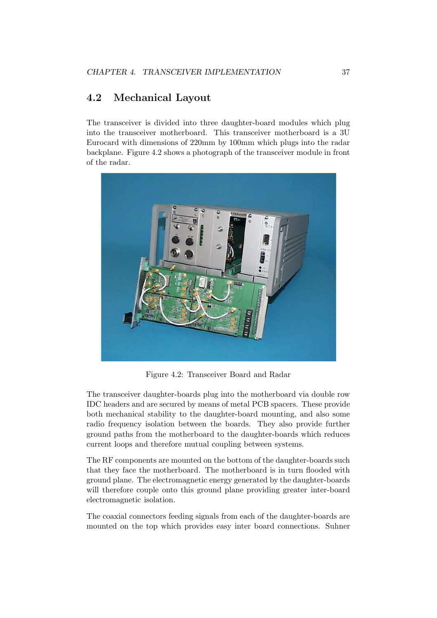# 4.2 Mechanical Layout

The transceiver is divided into three daughter-board modules which plug into the transceiver motherboard. This transceiver motherboard is a 3U Eurocard with dimensions of 220mm by 100mm which plugs into the radar backplane. Figure 4.2 shows a photograph of the transceiver module in front of the radar.



Figure 4.2: Transceiver Board and Radar

The transceiver daughter-boards plug into the motherboard via double row IDC headers and are secured by means of metal PCB spacers. These provide both mechanical stability to the daughter-board mounting, and also some radio frequency isolation between the boards. They also provide further ground paths from the motherboard to the daughter-boards which reduces current loops and therefore mutual coupling between systems.

The RF components are mounted on the bottom of the daughter-boards such that they face the motherboard. The motherboard is in turn flooded with ground plane. The electromagnetic energy generated by the daughter-boards will therefore couple onto this ground plane providing greater inter-board electromagnetic isolation.

The coaxial connectors feeding signals from each of the daughter-boards are mounted on the top which provides easy inter board connections. Suhner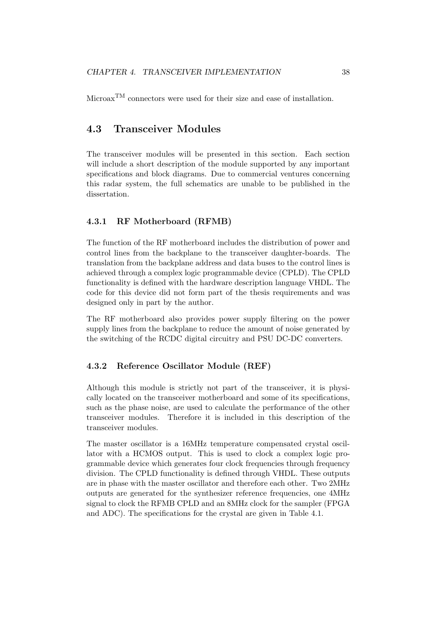$\text{Microsoft}^{\text{TM}}$  connectors were used for their size and ease of installation.

# 4.3 Transceiver Modules

The transceiver modules will be presented in this section. Each section will include a short description of the module supported by any important specifications and block diagrams. Due to commercial ventures concerning this radar system, the full schematics are unable to be published in the dissertation.

#### 4.3.1 RF Motherboard (RFMB)

The function of the RF motherboard includes the distribution of power and control lines from the backplane to the transceiver daughter-boards. The translation from the backplane address and data buses to the control lines is achieved through a complex logic programmable device (CPLD). The CPLD functionality is defined with the hardware description language VHDL. The code for this device did not form part of the thesis requirements and was designed only in part by the author.

The RF motherboard also provides power supply filtering on the power supply lines from the backplane to reduce the amount of noise generated by the switching of the RCDC digital circuitry and PSU DC-DC converters.

#### 4.3.2 Reference Oscillator Module (REF)

Although this module is strictly not part of the transceiver, it is physically located on the transceiver motherboard and some of its specifications, such as the phase noise, are used to calculate the performance of the other transceiver modules. Therefore it is included in this description of the transceiver modules.

The master oscillator is a 16MHz temperature compensated crystal oscillator with a HCMOS output. This is used to clock a complex logic programmable device which generates four clock frequencies through frequency division. The CPLD functionality is defined through VHDL. These outputs are in phase with the master oscillator and therefore each other. Two 2MHz outputs are generated for the synthesizer reference frequencies, one 4MHz signal to clock the RFMB CPLD and an 8MHz clock for the sampler (FPGA and ADC). The specifications for the crystal are given in Table 4.1.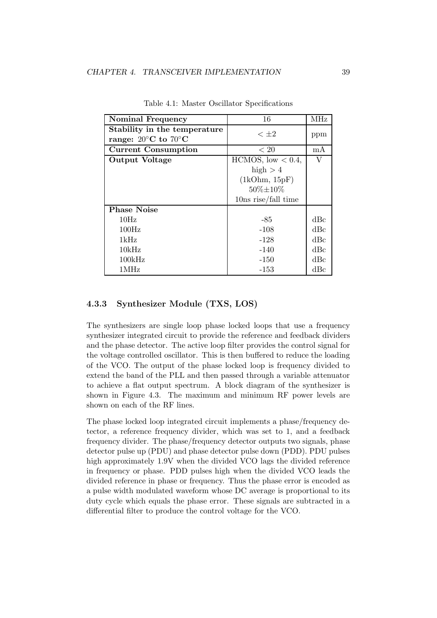| <b>Nominal Frequency</b>                                                | 16                      | MHz |
|-------------------------------------------------------------------------|-------------------------|-----|
| Stability in the temperature<br>range: $20^{\circ}$ C to $70^{\circ}$ C | $< \pm 2$               | ppm |
| <b>Current Consumption</b>                                              | < 20                    | mA  |
| <b>Output Voltage</b>                                                   | $HCMOS$ , low $< 0.4$ , | V   |
|                                                                         | high $>4$               |     |
|                                                                         | (1kOhm, 15pF)           |     |
|                                                                         | $50\% \pm 10\%$         |     |
|                                                                         | $10ns$ rise/fall time   |     |
| <b>Phase Noise</b>                                                      |                         |     |
| 10Hz                                                                    | -85                     | dBc |
| 100Hz                                                                   | $-108$                  | dBc |
| 1kHz                                                                    | $-128$                  | dBc |
| 10kHz                                                                   | $-140$                  | dBc |
| 100kHz                                                                  | $-150$                  | dBc |
| 1MHz                                                                    | $-153$                  | dBc |

Table 4.1: Master Oscillator Specifications

#### 4.3.3 Synthesizer Module (TXS, LOS)

The synthesizers are single loop phase locked loops that use a frequency synthesizer integrated circuit to provide the reference and feedback dividers and the phase detector. The active loop filter provides the control signal for the voltage controlled oscillator. This is then buffered to reduce the loading of the VCO. The output of the phase locked loop is frequency divided to extend the band of the PLL and then passed through a variable attenuator to achieve a flat output spectrum. A block diagram of the synthesizer is shown in Figure 4.3. The maximum and minimum RF power levels are shown on each of the RF lines.

The phase locked loop integrated circuit implements a phase/frequency detector, a reference frequency divider, which was set to 1, and a feedback frequency divider. The phase/frequency detector outputs two signals, phase detector pulse up (PDU) and phase detector pulse down (PDD). PDU pulses high approximately 1.9V when the divided VCO lags the divided reference in frequency or phase. PDD pulses high when the divided VCO leads the divided reference in phase or frequency. Thus the phase error is encoded as a pulse width modulated waveform whose DC average is proportional to its duty cycle which equals the phase error. These signals are subtracted in a differential filter to produce the control voltage for the VCO.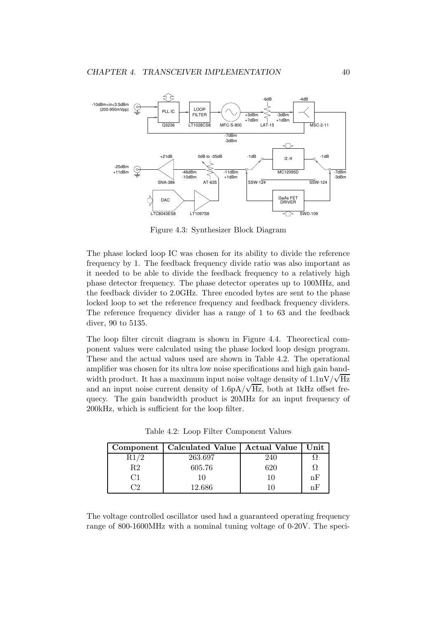

Figure 4.3: Synthesizer Block Diagram

The phase locked loop IC was chosen for its ability to divide the reference frequency by 1. The feedback frequency divide ratio was also important as it needed to be able to divide the feedback frequency to a relatively high phase detector frequency. The phase detector operates up to 100MHz, and the feedback divider to 2.0GHz. Three encoded bytes are sent to the phase locked loop to set the reference frequency and feedback frequency dividers. The reference frequency divider has a range of 1 to 63 and the feedback diver, 90 to 5135.

The loop filter circuit diagram is shown in Figure 4.4. Theorectical component values were calculated using the phase locked loop design program. These and the actual values used are shown in Table 4.2. The operational amplifier was chosen for its ultra low noise specifications and high gain bandwidth product. It has a maximum input noise voltage density of  $1.1 \text{nV}/\sqrt{\text{Hz}}$ and an input noise current density of  $1.6pA/\sqrt{Hz}$ , both at 1kHz offset frequecy. The gain bandwidth product is 20MHz for an input frequency of 200kHz, which is sufficient for the loop filter.

|                | Component   Calculated Value   Actual Value   Unit |     |     |
|----------------|----------------------------------------------------|-----|-----|
|                | 263.697                                            | 240 |     |
| R2             | 605.76                                             | 620 |     |
| C <sub>1</sub> | 10                                                 | 10  | nЕ  |
| - 10           | 12.686                                             |     | 'nΗ |

Table 4.2: Loop Filter Component Values

The voltage controlled oscillator used had a guaranteed operating frequency range of 800-1600MHz with a nominal tuning voltage of 0-20V. The speci-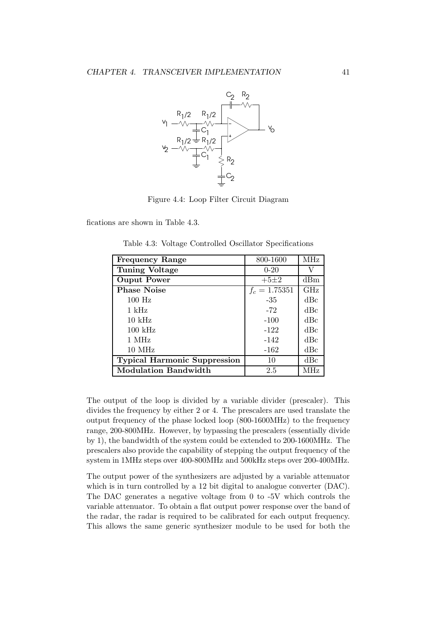

Figure 4.4: Loop Filter Circuit Diagram

fications are shown in Table 4.3.

|  |  | Table 4.3: Voltage Controlled Oscillator Specifications |
|--|--|---------------------------------------------------------|
|  |  |                                                         |

| <b>Frequency Range</b>              | 800-1600        | <b>MHz</b> |
|-------------------------------------|-----------------|------------|
| <b>Tuning Voltage</b>               | $0 - 20$        | V          |
| <b>Ouput Power</b>                  | $+5\pm2$        | dBm        |
| <b>Phase Noise</b>                  | $f_c = 1.75351$ | GHz        |
| $100$ Hz                            | -35             | dBc        |
| $1 \text{ kHz}$                     | $-72$           | dBc        |
| $10 \text{ kHz}$                    | $-100$          | dBc        |
| $100 \text{ kHz}$                   | $-122$          | dBc        |
| 1 MHz                               | $-142$          | dBc        |
| $10$ MHz                            | $-162$          | dBc        |
| <b>Typical Harmonic Suppression</b> | 10              | dBc        |
| <b>Modulation Bandwidth</b>         | 2.5             | MHz        |

The output of the loop is divided by a variable divider (prescaler). This divides the frequency by either 2 or 4. The prescalers are used translate the output frequency of the phase locked loop (800-1600MHz) to the frequency range, 200-800MHz. However, by bypassing the prescalers (essentially divide by 1), the bandwidth of the system could be extended to 200-1600MHz. The prescalers also provide the capability of stepping the output frequency of the system in 1MHz steps over 400-800MHz and 500kHz steps over 200-400MHz.

The output power of the synthesizers are adjusted by a variable attenuator which is in turn controlled by a 12 bit digital to analogue converter (DAC). The DAC generates a negative voltage from 0 to -5V which controls the variable attenuator. To obtain a flat output power response over the band of the radar, the radar is required to be calibrated for each output frequency. This allows the same generic synthesizer module to be used for both the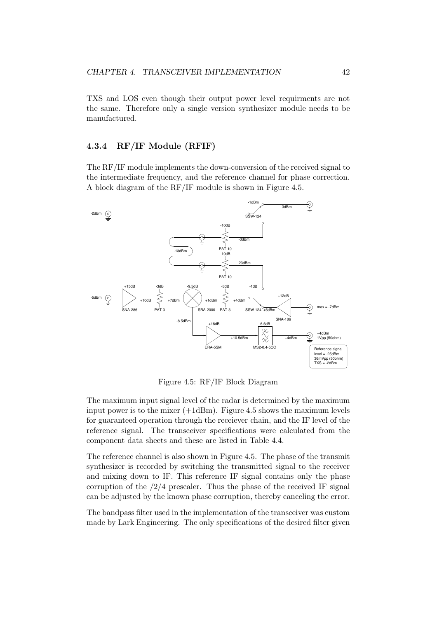TXS and LOS even though their output power level requirments are not the same. Therefore only a single version synthesizer module needs to be manufactured.

#### 4.3.4 RF/IF Module (RFIF)

The RF/IF module implements the down-conversion of the received signal to the intermediate frequency, and the reference channel for phase correction. A block diagram of the RF/IF module is shown in Figure 4.5.



Figure 4.5: RF/IF Block Diagram

The maximum input signal level of the radar is determined by the maximum input power is to the mixer  $(+1dBm)$ . Figure 4.5 shows the maximum levels for guaranteed operation through the receiever chain, and the IF level of the reference signal. The transceiver specifications were calculated from the component data sheets and these are listed in Table 4.4.

The reference channel is also shown in Figure 4.5. The phase of the transmit synthesizer is recorded by switching the transmitted signal to the receiver and mixing down to IF. This reference IF signal contains only the phase corruption of the  $/2/4$  prescaler. Thus the phase of the received IF signal can be adjusted by the known phase corruption, thereby canceling the error.

The bandpass filter used in the implementation of the transceiver was custom made by Lark Engineering. The only specifications of the desired filter given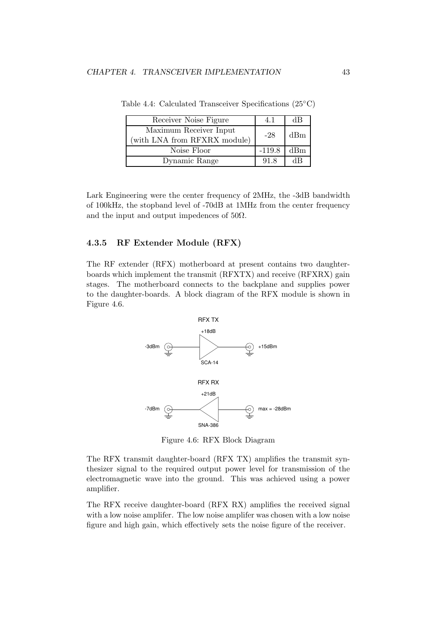| Receiver Noise Figure                                  | 4.1      | dВ  |
|--------------------------------------------------------|----------|-----|
| Maximum Receiver Input<br>(with LNA from RFXRX module) | $-28$    | dBm |
| Noise Floor                                            | $-119.8$ | dBm |
| Dynamic Range                                          | 91.8     | dВ  |

Table 4.4: Calculated Transceiver Specifications (25◦C)

Lark Engineering were the center frequency of 2MHz, the -3dB bandwidth of 100kHz, the stopband level of -70dB at 1MHz from the center frequency and the input and output impedences of  $50\Omega$ .

#### 4.3.5 RF Extender Module (RFX)

The RF extender (RFX) motherboard at present contains two daughterboards which implement the transmit (RFXTX) and receive (RFXRX) gain stages. The motherboard connects to the backplane and supplies power to the daughter-boards. A block diagram of the RFX module is shown in Figure 4.6.



Figure 4.6: RFX Block Diagram

The RFX transmit daughter-board (RFX TX) amplifies the transmit synthesizer signal to the required output power level for transmission of the electromagnetic wave into the ground. This was achieved using a power amplifier.

The RFX receive daughter-board (RFX RX) amplifies the received signal with a low noise amplifer. The low noise amplifer was chosen with a low noise figure and high gain, which effectively sets the noise figure of the receiver.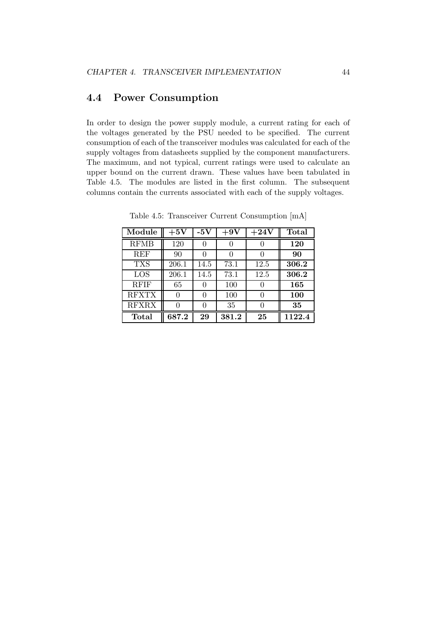# 4.4 Power Consumption

In order to design the power supply module, a current rating for each of the voltages generated by the PSU needed to be specified. The current consumption of each of the transceiver modules was calculated for each of the supply voltages from datasheets supplied by the component manufacturers. The maximum, and not typical, current ratings were used to calculate an upper bound on the current drawn. These values have been tabulated in Table 4.5. The modules are listed in the first column. The subsequent columns contain the currents associated with each of the supply voltages.

| Module       | $+5\mathrm{V}$ | -5V  | $+9V$ | $+24V$ | <b>Total</b> |
|--------------|----------------|------|-------|--------|--------------|
| <b>RFMB</b>  | 120            |      |       |        | <b>120</b>   |
| <b>REF</b>   | 90             |      |       |        | 90           |
| <b>TXS</b>   | 206.1          | 14.5 | 73.1  | 12.5   | 306.2        |
| LOS          | 206.1          | 14.5 | 73.1  | 12.5   | 306.2        |
| <b>RFIF</b>  | 65             |      | 100   |        | 165          |
| <b>RFXTX</b> | 0              | 0    | 100   | 0      | <b>100</b>   |
| <b>RFXRX</b> |                |      | 35    |        | 35           |
| Total        | 687.2          | 29   | 381.2 | 25     | 1122.4       |

Table 4.5: Transceiver Current Consumption [mA]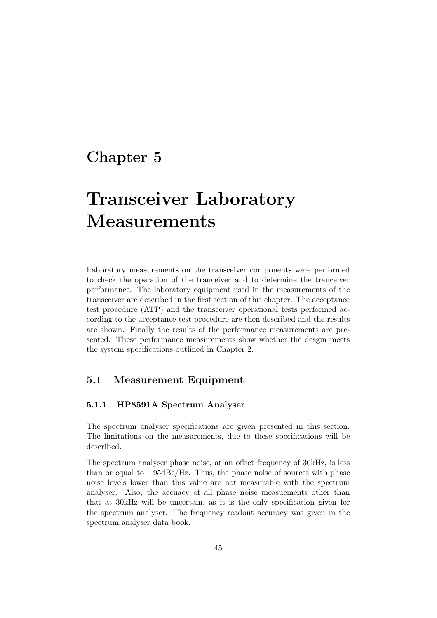# Chapter 5

# Transceiver Laboratory Measurements

Laboratory measurements on the transceiver components were performed to check the operation of the tranceiver and to determine the tranceiver performance. The laboratory equipment used in the measurements of the transceiver are described in the first section of this chapter. The acceptance test procedure (ATP) and the transceiver operational tests performed according to the acceptance test procedure are then described and the results are shown. Finally the results of the performance measurements are presented. These performance measurements show whether the desgin meets the system specifications outlined in Chapter 2.

# 5.1 Measurement Equipment

### 5.1.1 HP8591A Spectrum Analyser

The spectrum analyser specifications are given presented in this section. The limitations on the measurements, due to these specifications will be described.

The spectrum analyser phase noise, at an offset frequency of 30kHz, is less than or equal to  $-95$ dBc/Hz. Thus, the phase noise of sources with phase noise levels lower than this value are not measurable with the spectrum analyser. Also, the accuacy of all phase noise measuements other than that at 30kHz will be uncertain, as it is the only specification given for the spectrum analyser. The frequency readout accuracy was given in the spectrum analyser data book.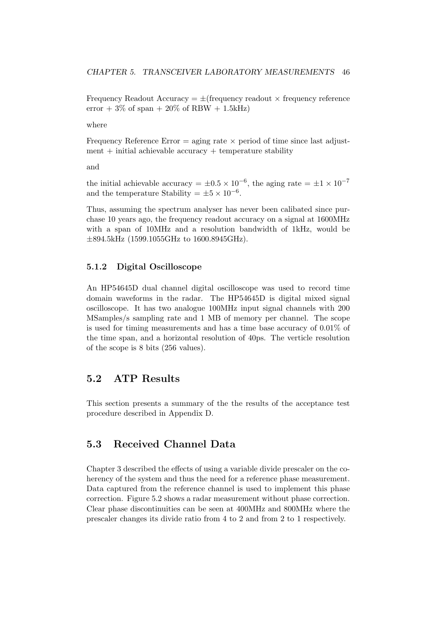Frequency Readout Accuracy  $= \pm$ (frequency readout  $\times$  frequency reference error  $+3\%$  of span  $+20\%$  of RBW  $+1.5kHz$ 

where

Frequency Reference Error  $=$  aging rate  $\times$  period of time since last adjust $ment + initial achievable accuracy + temperature stability$ 

and

the initial achievable accuracy =  $\pm 0.5 \times 10^{-6}$ , the aging rate =  $\pm 1 \times 10^{-7}$ and the temperature Stability =  $\pm 5 \times 10^{-6}$ .

Thus, assuming the spectrum analyser has never been calibated since purchase 10 years ago, the frequency readout accuracy on a signal at 1600MHz with a span of 10MHz and a resolution bandwidth of 1kHz, would be ±894.5kHz (1599.1055GHz to 1600.8945GHz).

#### 5.1.2 Digital Oscilloscope

An HP54645D dual channel digital oscilloscope was used to record time domain waveforms in the radar. The HP54645D is digital mixed signal oscilloscope. It has two analogue 100MHz input signal channels with 200 MSamples/s sampling rate and 1 MB of memory per channel. The scope is used for timing measurements and has a time base accuracy of 0.01% of the time span, and a horizontal resolution of 40ps. The verticle resolution of the scope is 8 bits (256 values).

# 5.2 ATP Results

This section presents a summary of the the results of the acceptance test procedure described in Appendix D.

# 5.3 Received Channel Data

Chapter 3 described the effects of using a variable divide prescaler on the coherency of the system and thus the need for a reference phase measurement. Data captured from the reference channel is used to implement this phase correction. Figure 5.2 shows a radar measurement without phase correction. Clear phase discontinuities can be seen at 400MHz and 800MHz where the prescaler changes its divide ratio from 4 to 2 and from 2 to 1 respectively.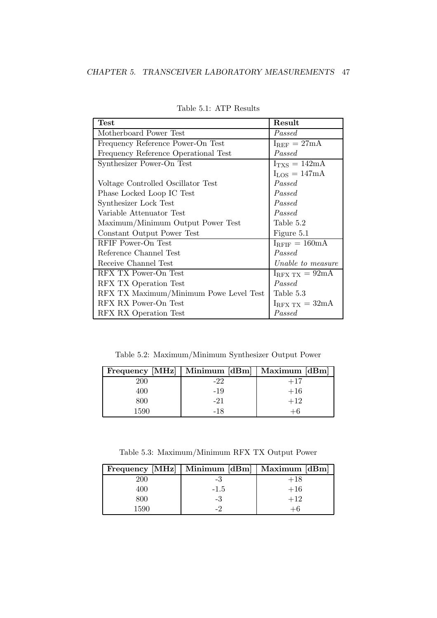| <b>Test</b>                            | Result                       |
|----------------------------------------|------------------------------|
| Motherboard Power Test                 | Passed                       |
| Frequency Reference Power-On Test      | $I_{REF} = 27mA$             |
| Frequency Reference Operational Test   | Passed                       |
| Synthesizer Power-On Test              | $I_{TXS} = 142mA$            |
|                                        | $I_{LOS} = 147mA$            |
| Voltage Controlled Oscillator Test     | Passed                       |
| Phase Locked Loop IC Test              | Passed                       |
| Synthesizer Lock Test                  | Passed                       |
| Variable Attenuator Test               | Passed                       |
| Maximum/Minimum Output Power Test      | Table 5.2                    |
| Constant Output Power Test             | Figure 5.1                   |
| RFIF Power-On Test                     | $I_{RFIF} = 160mA$           |
| Reference Channel Test                 | Passed                       |
| Receive Channel Test                   | Unable to measure            |
| RFX TX Power-On Test                   | $I_{RFX\;TX} = 92 \text{mA}$ |
| RFX TX Operation Test                  | Passed                       |
| RFX TX Maximum/Minimum Powe Level Test | Table 5.3                    |
| RFX RX Power-On Test                   | $I_{RFX\;TX} = 32mA$         |
| RFX RX Operation Test                  | Passed                       |

Table 5.1: ATP Results

Table 5.2: Maximum/Minimum Synthesizer Output Power

|      | Frequency [MHz]   Minimum [dBm]   Maximum [dBm] |       |
|------|-------------------------------------------------|-------|
| 200  | -22                                             | $+17$ |
| 400  | -19                                             | $+16$ |
| 800  | $-21$                                           | $+12$ |
| 1590 | -18                                             |       |

Table 5.3: Maximum/Minimum RFX TX Output Power

|      | Frequency [MHz]   Minimum [dBm]   Maximum [dBm] |       |
|------|-------------------------------------------------|-------|
|      | -3                                              | $+18$ |
| 400  | $-1.5$                                          | $+16$ |
| 800  | -3                                              | $+12$ |
| 1590 |                                                 |       |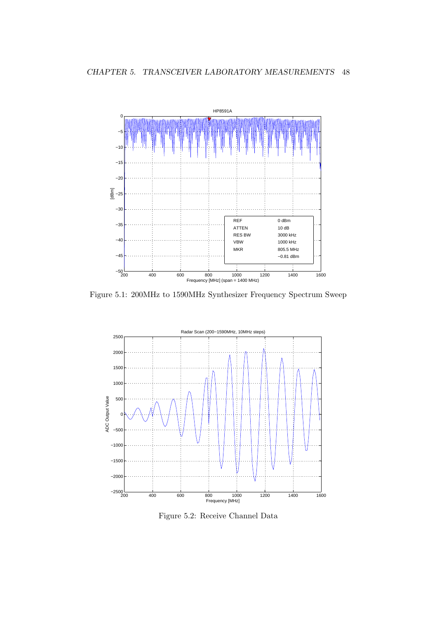

Figure 5.1: 200MHz to 1590MHz Synthesizer Frequency Spectrum Sweep



Figure 5.2: Receive Channel Data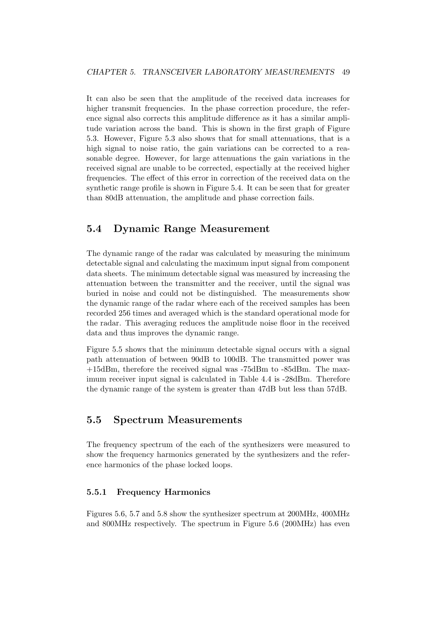It can also be seen that the amplitude of the received data increases for higher transmit frequencies. In the phase correction procedure, the reference signal also corrects this amplitude difference as it has a similar amplitude variation across the band. This is shown in the first graph of Figure 5.3. However, Figure 5.3 also shows that for small attenuations, that is a high signal to noise ratio, the gain variations can be corrected to a reasonable degree. However, for large attenuations the gain variations in the received signal are unable to be corrected, espectially at the received higher frequencies. The effect of this error in correction of the received data on the synthetic range profile is shown in Figure 5.4. It can be seen that for greater than 80dB attenuation, the amplitude and phase correction fails.

# 5.4 Dynamic Range Measurement

The dynamic range of the radar was calculated by measuring the minimum detectable signal and calculating the maximum input signal from component data sheets. The minimum detectable signal was measured by increasing the attenuation between the transmitter and the receiver, until the signal was buried in noise and could not be distinguished. The measurements show the dynamic range of the radar where each of the received samples has been recorded 256 times and averaged which is the standard operational mode for the radar. This averaging reduces the amplitude noise floor in the received data and thus improves the dynamic range.

Figure 5.5 shows that the minimum detectable signal occurs with a signal path attenuation of between 90dB to 100dB. The transmitted power was +15dBm, therefore the received signal was -75dBm to -85dBm. The maximum receiver input signal is calculated in Table 4.4 is -28dBm. Therefore the dynamic range of the system is greater than 47dB but less than 57dB.

# 5.5 Spectrum Measurements

The frequency spectrum of the each of the synthesizers were measured to show the frequency harmonics generated by the synthesizers and the reference harmonics of the phase locked loops.

#### 5.5.1 Frequency Harmonics

Figures 5.6, 5.7 and 5.8 show the synthesizer spectrum at 200MHz, 400MHz and 800MHz respectively. The spectrum in Figure 5.6 (200MHz) has even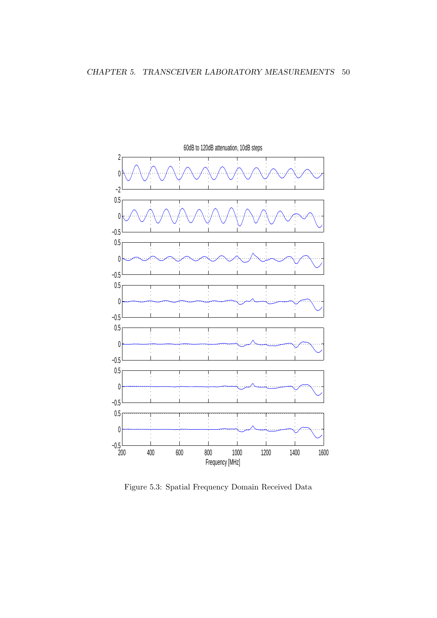

Figure 5.3: Spatial Frequency Domain Received Data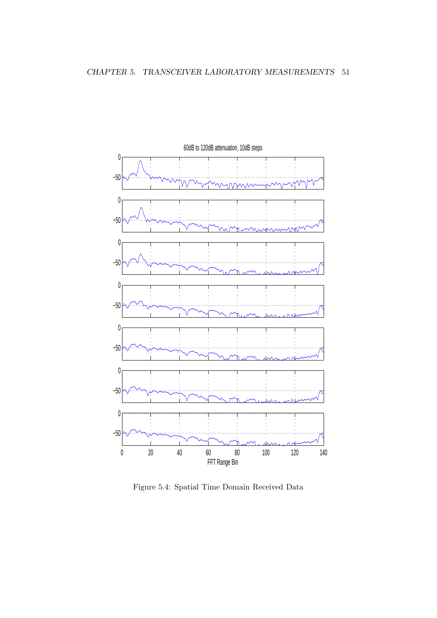

Figure 5.4: Spatial Time Domain Received Data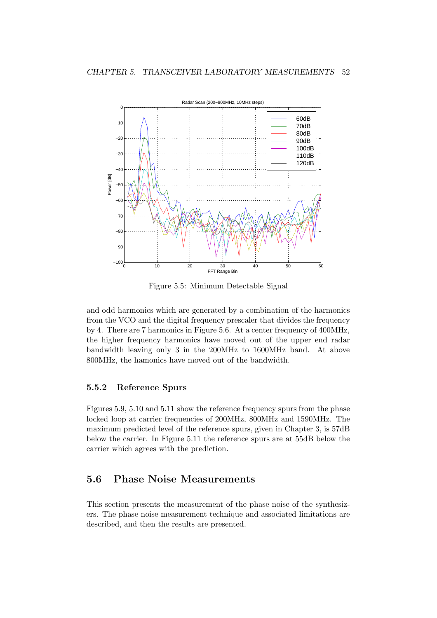

Figure 5.5: Minimum Detectable Signal

and odd harmonics which are generated by a combination of the harmonics from the VCO and the digital frequency prescaler that divides the frequency by 4. There are 7 harmonics in Figure 5.6. At a center frequency of 400MHz, the higher frequency harmonics have moved out of the upper end radar bandwidth leaving only 3 in the 200MHz to 1600MHz band. At above 800MHz, the hamonics have moved out of the bandwidth.

#### 5.5.2 Reference Spurs

Figures 5.9, 5.10 and 5.11 show the reference frequency spurs from the phase locked loop at carrier frequencies of 200MHz, 800MHz and 1590MHz. The maximum predicted level of the reference spurs, given in Chapter 3, is 57dB below the carrier. In Figure 5.11 the reference spurs are at 55dB below the carrier which agrees with the prediction.

# 5.6 Phase Noise Measurements

This section presents the measurement of the phase noise of the synthesizers. The phase noise measurement technique and associated limitations are described, and then the results are presented.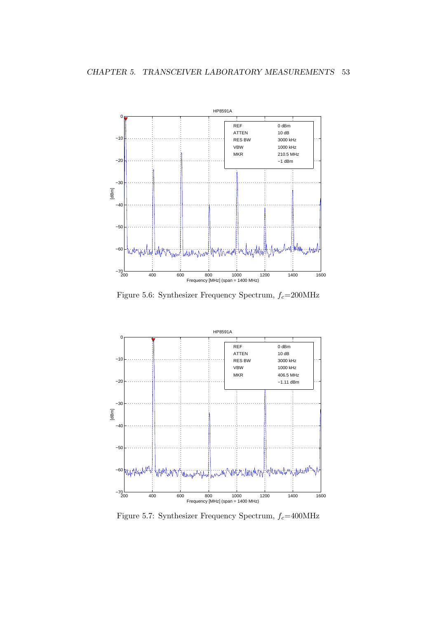

Figure 5.6: Synthesizer Frequency Spectrum,  $f_c$ =200MHz



Figure 5.7: Synthesizer Frequency Spectrum,  $f_c$ =400MHz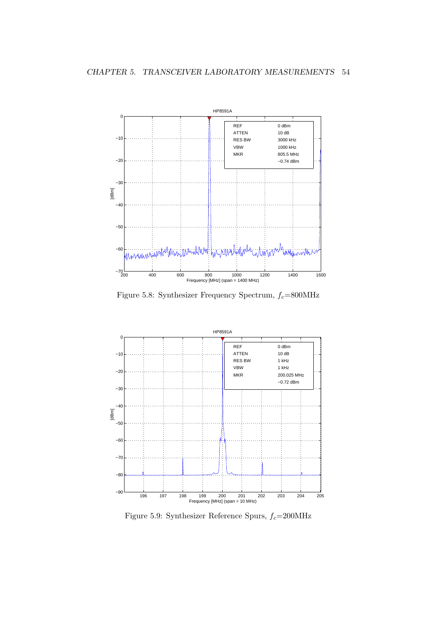

Figure 5.8: Synthesizer Frequency Spectrum,  $f_c{=}800\rm{MHz}$ 



Figure 5.9: Synthesizer Reference Spurs,  $f_c$ =200MHz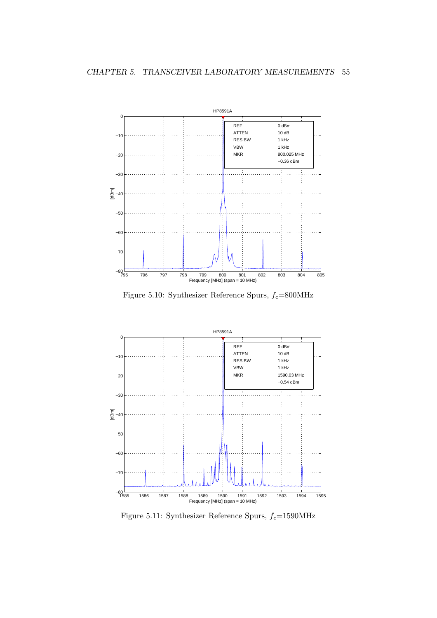

Figure 5.10: Synthesizer Reference Spurs,  $f_c{=}800\rm{MHz}$ 



Figure 5.11: Synthesizer Reference Spurs,  $f_c$ =1590MHz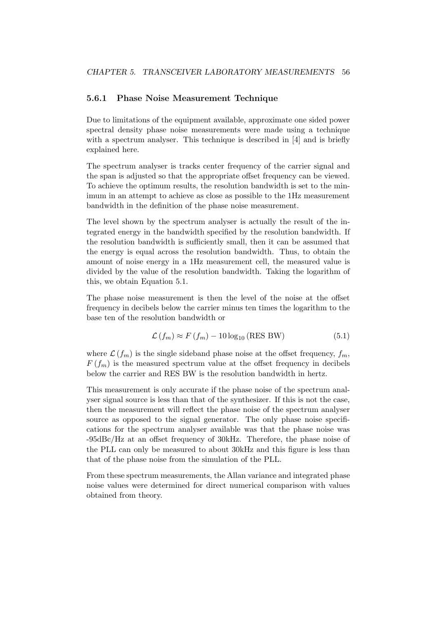#### 5.6.1 Phase Noise Measurement Technique

Due to limitations of the equipment available, approximate one sided power spectral density phase noise measurements were made using a technique with a spectrum analyser. This technique is described in [4] and is briefly explained here.

The spectrum analyser is tracks center frequency of the carrier signal and the span is adjusted so that the appropriate offset frequency can be viewed. To achieve the optimum results, the resolution bandwidth is set to the minimum in an attempt to achieve as close as possible to the 1Hz measurement bandwidth in the definition of the phase noise measurement.

The level shown by the spectrum analyser is actually the result of the integrated energy in the bandwidth specified by the resolution bandwidth. If the resolution bandwidth is sufficiently small, then it can be assumed that the energy is equal across the resolution bandwidth. Thus, to obtain the amount of noise energy in a 1Hz measurement cell, the measured value is divided by the value of the resolution bandwidth. Taking the logarithm of this, we obtain Equation 5.1.

The phase noise measurement is then the level of the noise at the offset frequency in decibels below the carrier minus ten times the logarithm to the base ten of the resolution bandwidth or

$$
\mathcal{L}(f_m) \approx F(f_m) - 10 \log_{10} (\text{RES BW}) \tag{5.1}
$$

where  $\mathcal{L}(f_m)$  is the single sideband phase noise at the offset frequency,  $f_m$ ,  $F(f_m)$  is the measured spectrum value at the offset frequency in decibels below the carrier and RES BW is the resolution bandwidth in hertz.

This measurement is only accurate if the phase noise of the spectrum analyser signal source is less than that of the synthesizer. If this is not the case, then the measurement will reflect the phase noise of the spectrum analyser source as opposed to the signal generator. The only phase noise specifications for the spectrum analyser available was that the phase noise was -95dBc/Hz at an offset frequency of 30kHz. Therefore, the phase noise of the PLL can only be measured to about 30kHz and this figure is less than that of the phase noise from the simulation of the PLL.

From these spectrum measurements, the Allan variance and integrated phase noise values were determined for direct numerical comparison with values obtained from theory.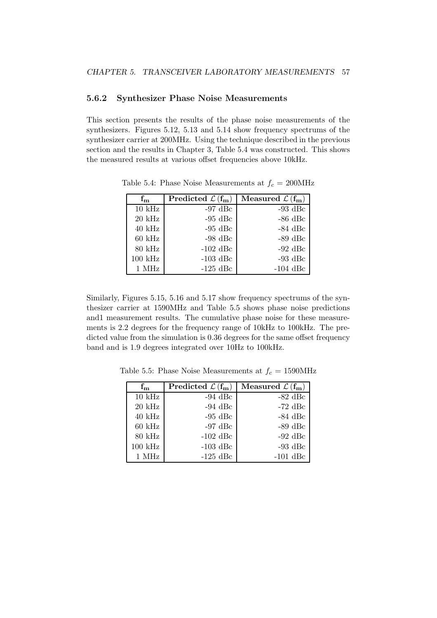#### 5.6.2 Synthesizer Phase Noise Measurements

This section presents the results of the phase noise measurements of the synthesizers. Figures 5.12, 5.13 and 5.14 show frequency spectrums of the synthesizer carrier at 200MHz. Using the technique described in the previous section and the results in Chapter 3, Table 5.4 was constructed. This shows the measured results at various offset frequencies above 10kHz.

| $\mathbf{f}_{\mathbf{m}}$ | Predicted $\mathcal{L}(f_m)$ | Measured $\mathcal{L}(\mathbf{f}_{\mathbf{m}})$ |
|---------------------------|------------------------------|-------------------------------------------------|
| $10$ kHz                  | $-97$ dBc                    | $-93$ dBc                                       |
| $20$ kHz                  | $-95$ dBc                    | $-86$ dBc                                       |
| $40$ kHz                  | $-95$ dBc                    | $-84$ dBc                                       |
| $60$ kHz                  | $-98$ dBc                    | $-89$ dBc                                       |
| $80$ kHz                  | $-102$ dBc                   | $-92$ dBc                                       |
| $100$ kHz                 | $-103$ dBc                   | $-93$ dBc                                       |
| 1 MHz                     | $-125$ dBc                   | $-104$ dBc                                      |

Table 5.4: Phase Noise Measurements at  $f_c = 200 \text{MHz}$ 

Similarly, Figures 5.15, 5.16 and 5.17 show frequency spectrums of the synthesizer carrier at 1590MHz and Table 5.5 shows phase noise predictions and1 measurement results. The cumulative phase noise for these measurements is 2.2 degrees for the frequency range of 10kHz to 100kHz. The predicted value from the simulation is 0.36 degrees for the same offset frequency band and is 1.9 degrees integrated over 10Hz to 100kHz.

| $\rm f_m$ | Predicted $\mathcal{L}(f_m)$ | Measured $\mathcal{L}(\mathbf{f}_{\mathbf{m}})$ |
|-----------|------------------------------|-------------------------------------------------|
| $10$ kHz  | $-94$ dBc                    | $-82$ dBc                                       |
| $20$ kHz  | $-94$ dBc                    | $-72$ dBc                                       |
| $40$ kHz  | $-95$ dBc                    | $-84$ dBc                                       |
| $60$ kHz  | $-97$ dBc                    | $-89$ dBc                                       |
| $80$ kHz  | $-102$ dBc                   | $-92$ dBc                                       |
| $100$ kHz | $-103$ dBc                   | -93 dBc                                         |
| 1 MHz     | $-125$ dBc                   | $-101$ dBc                                      |

Table 5.5: Phase Noise Measurements at  $f_c = 1590 \text{MHz}$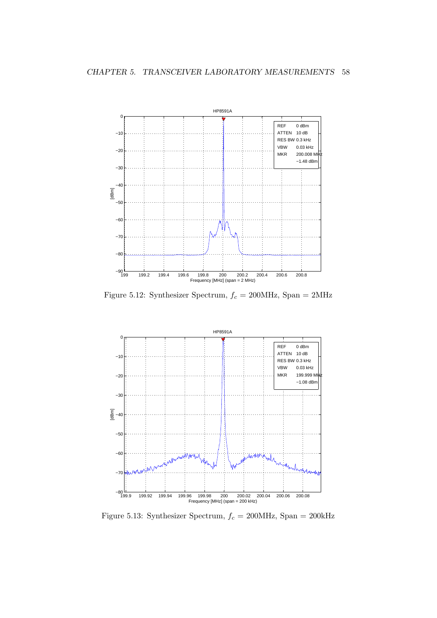

Figure 5.12: Synthesizer Spectrum,  $f_c = 200\mathrm{MHz}$  , Span =  $2\mathrm{MHz}$ 



Figure 5.13: Synthesizer Spectrum,  $f_c = 200 \text{MHz}$ , Span =  $200 \text{kHz}$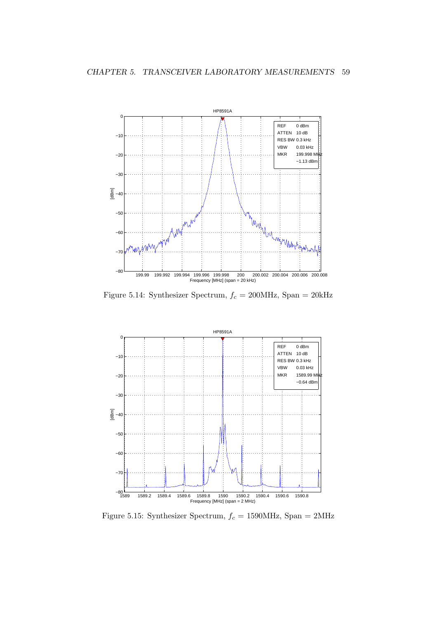

Figure 5.14: Synthesizer Spectrum,  $f_c = 200\mathrm{MHz}$ , Span = 20kHz



Figure 5.15: Synthesizer Spectrum,  $f_c = 1590 \text{MHz}$ , Span = 2MHz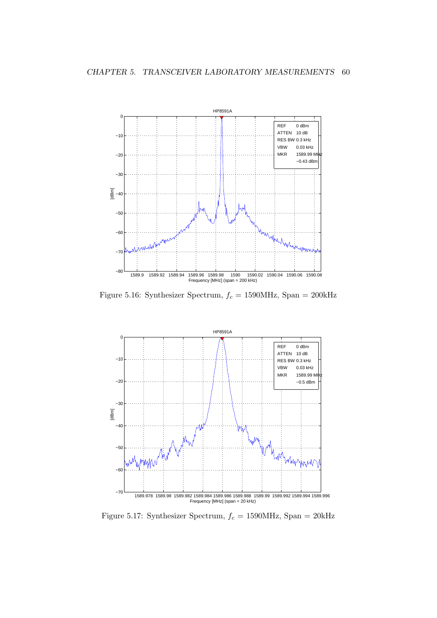

Figure 5.16: Synthesizer Spectrum,  $f_c = 1590 \mathrm{MHz}$ , Span = 200kHz



Figure 5.17: Synthesizer Spectrum,  $f_c = 1590 \text{MHz}$ , Span = 20kHz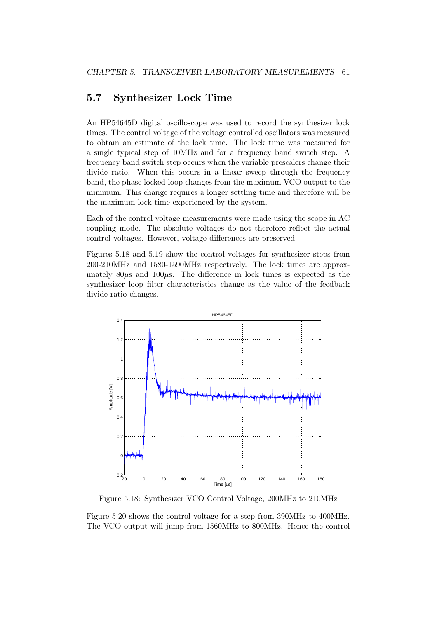## 5.7 Synthesizer Lock Time

An HP54645D digital oscilloscope was used to record the synthesizer lock times. The control voltage of the voltage controlled oscillators was measured to obtain an estimate of the lock time. The lock time was measured for a single typical step of 10MHz and for a frequency band switch step. A frequency band switch step occurs when the variable prescalers change their divide ratio. When this occurs in a linear sweep through the frequency band, the phase locked loop changes from the maximum VCO output to the minimum. This change requires a longer settling time and therefore will be the maximum lock time experienced by the system.

Each of the control voltage measurements were made using the scope in AC coupling mode. The absolute voltages do not therefore reflect the actual control voltages. However, voltage differences are preserved.

Figures 5.18 and 5.19 show the control voltages for synthesizer steps from 200-210MHz and 1580-1590MHz respectively. The lock times are approximately  $80\mu s$  and  $100\mu s$ . The difference in lock times is expected as the synthesizer loop filter characteristics change as the value of the feedback divide ratio changes.



Figure 5.18: Synthesizer VCO Control Voltage, 200MHz to 210MHz

Figure 5.20 shows the control voltage for a step from 390MHz to 400MHz. The VCO output will jump from 1560MHz to 800MHz. Hence the control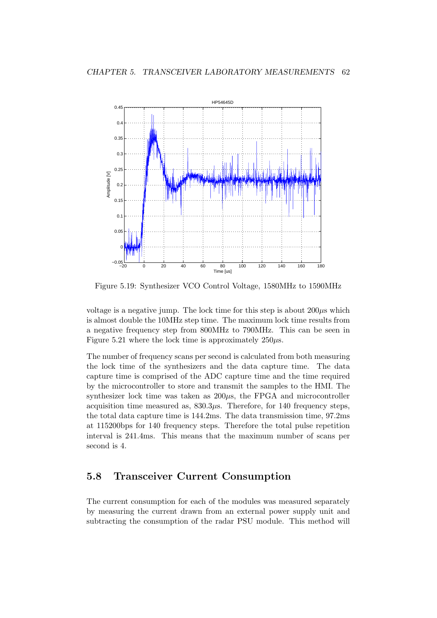

Figure 5.19: Synthesizer VCO Control Voltage, 1580MHz to 1590MHz

voltage is a negative jump. The lock time for this step is about  $200\mu s$  which is almost double the 10MHz step time. The maximum lock time results from a negative frequency step from 800MHz to 790MHz. This can be seen in Figure 5.21 where the lock time is approximately  $250\mu s$ .

The number of frequency scans per second is calculated from both measuring the lock time of the synthesizers and the data capture time. The data capture time is comprised of the ADC capture time and the time required by the microcontroller to store and transmit the samples to the HMI. The synthesizer lock time was taken as  $200\mu s$ , the FPGA and microcontroller acquisition time measured as,  $830.3\mu$ s. Therefore, for 140 frequency steps, the total data capture time is 144.2ms. The data transmission time, 97.2ms at 115200bps for 140 frequency steps. Therefore the total pulse repetition interval is 241.4ms. This means that the maximum number of scans per second is 4.

### 5.8 Transceiver Current Consumption

The current consumption for each of the modules was measured separately by measuring the current drawn from an external power supply unit and subtracting the consumption of the radar PSU module. This method will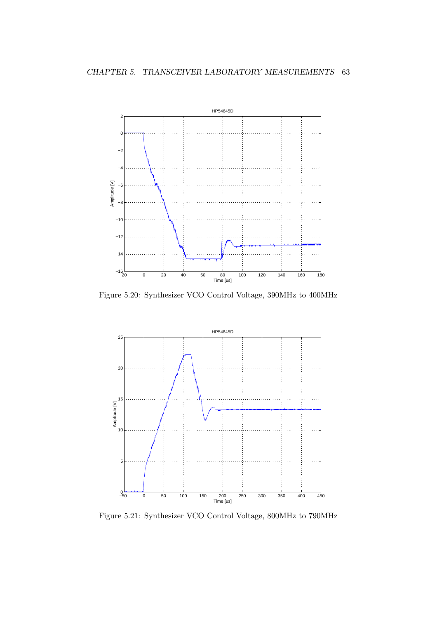

Figure 5.20: Synthesizer VCO Control Voltage, 390MHz to 400MHz



Figure 5.21: Synthesizer VCO Control Voltage, 800MHz to 790MHz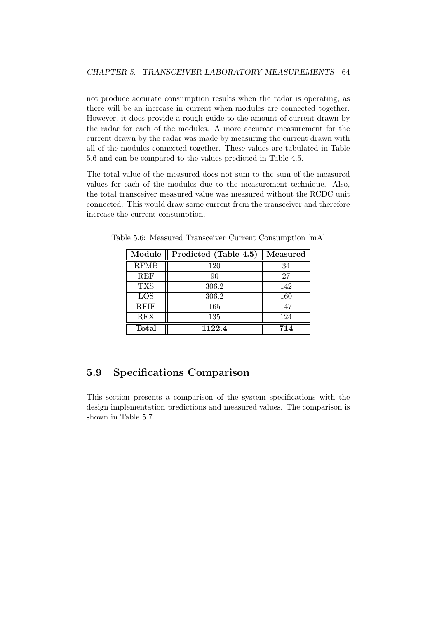not produce accurate consumption results when the radar is operating, as there will be an increase in current when modules are connected together. However, it does provide a rough guide to the amount of current drawn by the radar for each of the modules. A more accurate measurement for the current drawn by the radar was made by measuring the current drawn with all of the modules connected together. These values are tabulated in Table 5.6 and can be compared to the values predicted in Table 4.5.

The total value of the measured does not sum to the sum of the measured values for each of the modules due to the measurement technique. Also, the total transceiver measured value was measured without the RCDC unit connected. This would draw some current from the transceiver and therefore increase the current consumption.

| Module       | Predicted (Table 4.5) | <b>Measured</b> |
|--------------|-----------------------|-----------------|
| <b>RFMB</b>  | 120                   | 34              |
| <b>REF</b>   | 90                    | 27              |
| <b>TXS</b>   | 306.2                 | 142             |
| LOS          | 306.2                 | 160             |
| <b>RFIF</b>  | 165                   | 147             |
| <b>RFX</b>   | 135                   | 124             |
| <b>Total</b> | 1122.4                | 714             |

Table 5.6: Measured Transceiver Current Consumption [mA]

## 5.9 Specifications Comparison

This section presents a comparison of the system specifications with the design implementation predictions and measured values. The comparison is shown in Table 5.7.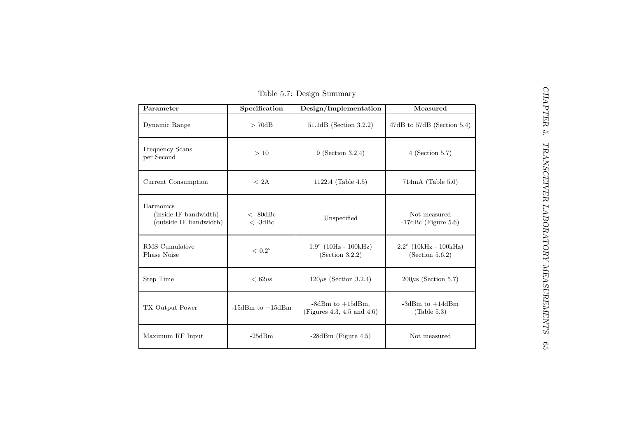| Table 5.7: Design Summary                                    |                        |                                                     |                                                   |  |
|--------------------------------------------------------------|------------------------|-----------------------------------------------------|---------------------------------------------------|--|
| Parameter                                                    | Specification          | Design/Implementation                               | Measured                                          |  |
| Dynamic Range                                                | > 70dB                 | 51.1dB (Section 3.2.2)                              | $47dB$ to $57dB$ (Section 5.4)                    |  |
| Frequency Scans<br>per Second                                | $>10$                  | 9 (Section 3.2.4)                                   | $4$ (Section 5.7)                                 |  |
| Current Consumption                                          | $<$ 2A $\,$            | 1122.4 (Table 4.5)                                  | $714mA$ (Table 5.6)                               |  |
| Harmonics<br>(inside IF bandwidth)<br>(outside IF bandwidth) | $<-80dBc$<br>$<$ -3dBc | Unspecified                                         | Not measured<br>$-17$ dBc (Figure 5.6)            |  |
| RMS Cumulative<br>Phase Noise                                | $<$ $0.2^{\circ}$      | $1.9^{\circ}$ (10Hz - 100kHz)<br>(Section 3.2.2)    | $2.2^{\circ}$ (10kHz - 100kHz)<br>(Section 5.6.2) |  |
| Step Time                                                    | $< 62 \mu s$           | $120\mu s$ (Section 3.2.4)                          | $200\mu s$ (Section 5.7)                          |  |
| TX Output Power                                              | $-15dBm$ to $+15dBm$   | $-8dBm$ to $+15dBm$ ,<br>(Figures 4.3, 4.5 and 4.6) | -3dBm to $+14$ dBm<br>(Table 5.3)                 |  |
| Maximum RF Input                                             | $-25dBm$               | $-28dBm$ (Figure 4.5)                               | Not measured                                      |  |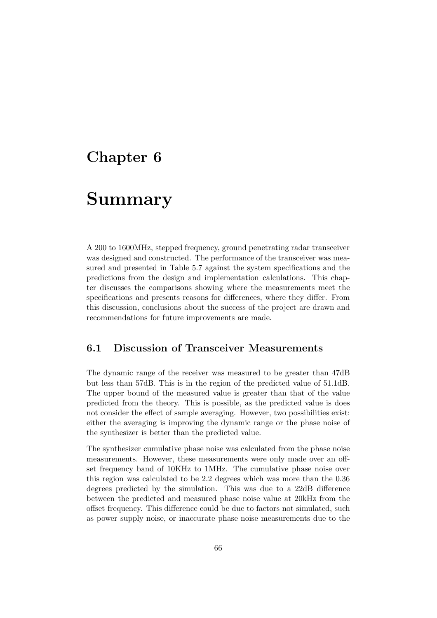# Chapter 6

# Summary

A 200 to 1600MHz, stepped frequency, ground penetrating radar transceiver was designed and constructed. The performance of the transceiver was measured and presented in Table 5.7 against the system specifications and the predictions from the design and implementation calculations. This chapter discusses the comparisons showing where the measurements meet the specifications and presents reasons for differences, where they differ. From this discussion, conclusions about the success of the project are drawn and recommendations for future improvements are made.

### 6.1 Discussion of Transceiver Measurements

The dynamic range of the receiver was measured to be greater than 47dB but less than 57dB. This is in the region of the predicted value of 51.1dB. The upper bound of the measured value is greater than that of the value predicted from the theory. This is possible, as the predicted value is does not consider the effect of sample averaging. However, two possibilities exist: either the averaging is improving the dynamic range or the phase noise of the synthesizer is better than the predicted value.

The synthesizer cumulative phase noise was calculated from the phase noise measurements. However, these measurements were only made over an offset frequency band of 10KHz to 1MHz. The cumulative phase noise over this region was calculated to be 2.2 degrees which was more than the 0.36 degrees predicted by the simulation. This was due to a 22dB difference between the predicted and measured phase noise value at 20kHz from the offset frequency. This difference could be due to factors not simulated, such as power supply noise, or inaccurate phase noise measurements due to the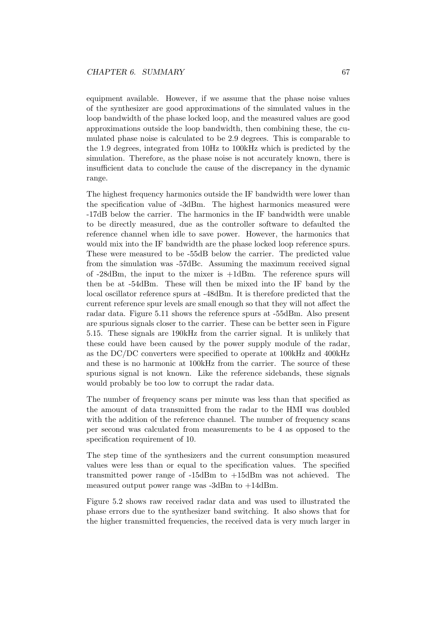equipment available. However, if we assume that the phase noise values of the synthesizer are good approximations of the simulated values in the loop bandwidth of the phase locked loop, and the measured values are good approximations outside the loop bandwidth, then combining these, the cumulated phase noise is calculated to be 2.9 degrees. This is comparable to the 1.9 degrees, integrated from 10Hz to 100kHz which is predicted by the simulation. Therefore, as the phase noise is not accurately known, there is insufficient data to conclude the cause of the discrepancy in the dynamic range.

The highest frequency harmonics outside the IF bandwidth were lower than the specification value of -3dBm. The highest harmonics measured were -17dB below the carrier. The harmonics in the IF bandwidth were unable to be directly measured, due as the controller software to defaulted the reference channel when idle to save power. However, the harmonics that would mix into the IF bandwidth are the phase locked loop reference spurs. These were measured to be -55dB below the carrier. The predicted value from the simulation was -57dBc. Assuming the maximum received signal of  $-28dBm$ , the input to the mixer is  $+1dBm$ . The reference spurs will then be at -54dBm. These will then be mixed into the IF band by the local oscillator reference spurs at -48dBm. It is therefore predicted that the current reference spur levels are small enough so that they will not affect the radar data. Figure 5.11 shows the reference spurs at -55dBm. Also present are spurious signals closer to the carrier. These can be better seen in Figure 5.15. These signals are 190kHz from the carrier signal. It is unlikely that these could have been caused by the power supply module of the radar, as the DC/DC converters were specified to operate at 100kHz and 400kHz and these is no harmonic at 100kHz from the carrier. The source of these spurious signal is not known. Like the reference sidebands, these signals would probably be too low to corrupt the radar data.

The number of frequency scans per minute was less than that specified as the amount of data transmitted from the radar to the HMI was doubled with the addition of the reference channel. The number of frequency scans per second was calculated from measurements to be 4 as opposed to the specification requirement of 10.

The step time of the synthesizers and the current consumption measured values were less than or equal to the specification values. The specified transmitted power range of -15dBm to +15dBm was not achieved. The measured output power range was -3dBm to +14dBm.

Figure 5.2 shows raw received radar data and was used to illustrated the phase errors due to the synthesizer band switching. It also shows that for the higher transmitted frequencies, the received data is very much larger in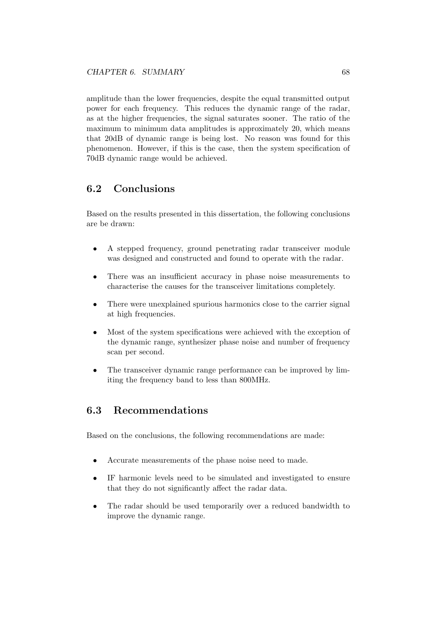amplitude than the lower frequencies, despite the equal transmitted output power for each frequency. This reduces the dynamic range of the radar, as at the higher frequencies, the signal saturates sooner. The ratio of the maximum to minimum data amplitudes is approximately 20, which means that 20dB of dynamic range is being lost. No reason was found for this phenomenon. However, if this is the case, then the system specification of 70dB dynamic range would be achieved.

## 6.2 Conclusions

Based on the results presented in this dissertation, the following conclusions are be drawn:

- A stepped frequency, ground penetrating radar transceiver module was designed and constructed and found to operate with the radar.
- There was an insufficient accuracy in phase noise measurements to characterise the causes for the transceiver limitations completely.
- There were unexplained spurious harmonics close to the carrier signal at high frequencies.
- Most of the system specifications were achieved with the exception of the dynamic range, synthesizer phase noise and number of frequency scan per second.
- The transceiver dynamic range performance can be improved by limiting the frequency band to less than 800MHz.

### 6.3 Recommendations

Based on the conclusions, the following recommendations are made:

- Accurate measurements of the phase noise need to made.
- IF harmonic levels need to be simulated and investigated to ensure that they do not significantly affect the radar data.
- The radar should be used temporarily over a reduced bandwidth to improve the dynamic range.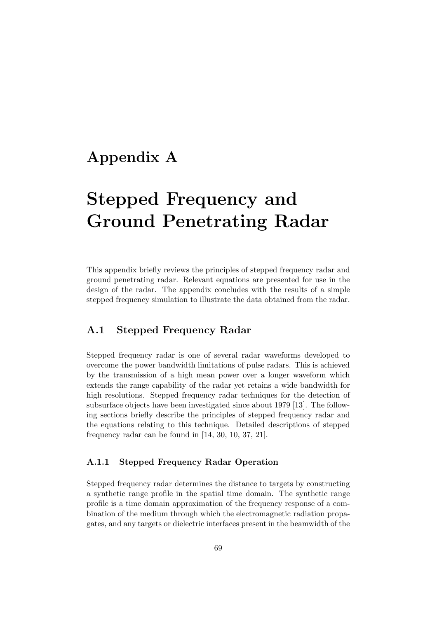# Appendix A

# Stepped Frequency and Ground Penetrating Radar

This appendix briefly reviews the principles of stepped frequency radar and ground penetrating radar. Relevant equations are presented for use in the design of the radar. The appendix concludes with the results of a simple stepped frequency simulation to illustrate the data obtained from the radar.

### A.1 Stepped Frequency Radar

Stepped frequency radar is one of several radar waveforms developed to overcome the power bandwidth limitations of pulse radars. This is achieved by the transmission of a high mean power over a longer waveform which extends the range capability of the radar yet retains a wide bandwidth for high resolutions. Stepped frequency radar techniques for the detection of subsurface objects have been investigated since about 1979 [13]. The following sections briefly describe the principles of stepped frequency radar and the equations relating to this technique. Detailed descriptions of stepped frequency radar can be found in [14, 30, 10, 37, 21].

#### A.1.1 Stepped Frequency Radar Operation

Stepped frequency radar determines the distance to targets by constructing a synthetic range profile in the spatial time domain. The synthetic range profile is a time domain approximation of the frequency response of a combination of the medium through which the electromagnetic radiation propagates, and any targets or dielectric interfaces present in the beamwidth of the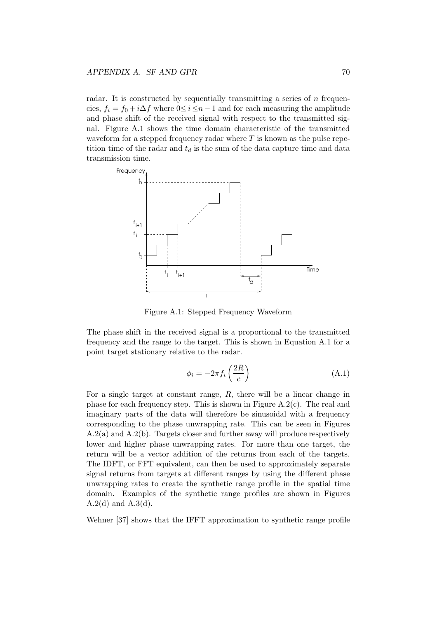radar. It is constructed by sequentially transmitting a series of  $n$  frequencies,  $f_i = f_0 + i\Delta f$  where  $0 \leq i \leq n-1$  and for each measuring the amplitude and phase shift of the received signal with respect to the transmitted signal. Figure A.1 shows the time domain characteristic of the transmitted waveform for a stepped frequency radar where  $T$  is known as the pulse repetition time of the radar and  $t_d$  is the sum of the data capture time and data transmission time.



Figure A.1: Stepped Frequency Waveform

The phase shift in the received signal is a proportional to the transmitted frequency and the range to the target. This is shown in Equation A.1 for a point target stationary relative to the radar.

$$
\phi_i = -2\pi f_i \left(\frac{2R}{c}\right) \tag{A.1}
$$

For a single target at constant range, R, there will be a linear change in phase for each frequency step. This is shown in Figure A.2(c). The real and imaginary parts of the data will therefore be sinusoidal with a frequency corresponding to the phase unwrapping rate. This can be seen in Figures A.2(a) and A.2(b). Targets closer and further away will produce respectively lower and higher phase unwrapping rates. For more than one target, the return will be a vector addition of the returns from each of the targets. The IDFT, or FFT equivalent, can then be used to approximately separate signal returns from targets at different ranges by using the different phase unwrapping rates to create the synthetic range profile in the spatial time domain. Examples of the synthetic range profiles are shown in Figures  $A.2(d)$  and  $A.3(d)$ .

Wehner [37] shows that the IFFT approximation to synthetic range profile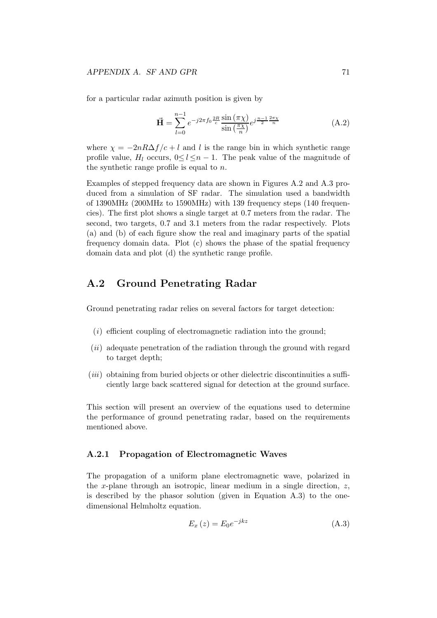for a particular radar azimuth position is given by

$$
\vec{H} = \sum_{l=0}^{n-1} e^{-j2\pi f_0 \frac{2R}{c}} \frac{\sin(\pi \chi)}{\sin(\frac{\pi \chi}{n})} e^{j\frac{n-1}{2} \frac{2\pi \chi}{n}}
$$
(A.2)

where  $\chi = -2nR\Delta f/c + l$  and l is the range bin in which synthetic range profile value,  $H_l$  occurs,  $0 \le l \le n - 1$ . The peak value of the magnitude of the synthetic range profile is equal to  $n$ .

Examples of stepped frequency data are shown in Figures A.2 and A.3 produced from a simulation of SF radar. The simulation used a bandwidth of 1390MHz (200MHz to 1590MHz) with 139 frequency steps (140 frequencies). The first plot shows a single target at 0.7 meters from the radar. The second, two targets, 0.7 and 3.1 meters from the radar respectively. Plots (a) and (b) of each figure show the real and imaginary parts of the spatial frequency domain data. Plot (c) shows the phase of the spatial frequency domain data and plot (d) the synthetic range profile.

#### A.2 Ground Penetrating Radar

Ground penetrating radar relies on several factors for target detection:

- $(i)$  efficient coupling of electromagnetic radiation into the ground;
- (ii) adequate penetration of the radiation through the ground with regard to target depth;
- $(iii)$  obtaining from buried objects or other dielectric discontinuities a sufficiently large back scattered signal for detection at the ground surface.

This section will present an overview of the equations used to determine the performance of ground penetrating radar, based on the requirements mentioned above.

#### A.2.1 Propagation of Electromagnetic Waves

The propagation of a uniform plane electromagnetic wave, polarized in the x-plane through an isotropic, linear medium in a single direction,  $z$ , is described by the phasor solution (given in Equation A.3) to the onedimensional Helmholtz equation.

$$
E_x(z) = E_0 e^{-jkz}
$$
 (A.3)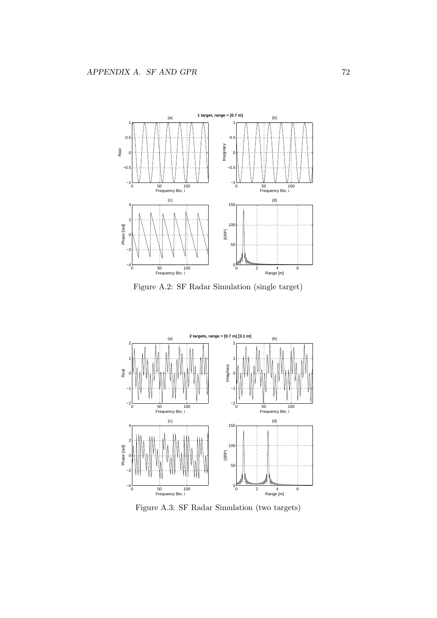

Figure A.2: SF Radar Simulation (single target)



Figure A.3: SF Radar Simulation (two targets)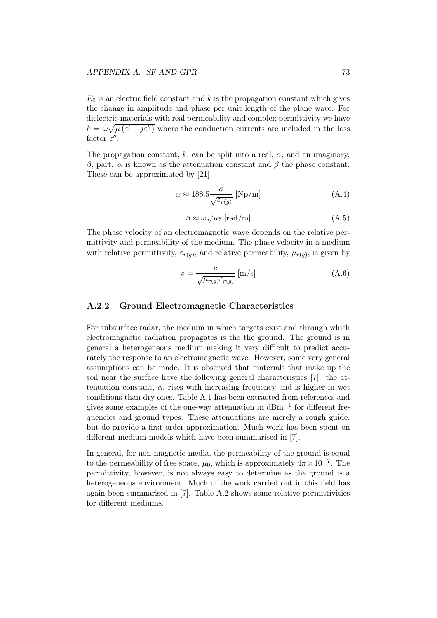$E_0$  is an electric field constant and k is the propagation constant which gives the change in amplitude and phase per unit length of the plane wave. For dielectric materials with real permeability and complex permittivity we have  $k = \omega \sqrt{\mu (\varepsilon' - j\varepsilon'')}$  where the conduction currents are included in the loss factor  $\varepsilon$ ".

The propagation constant, k, can be split into a real,  $\alpha$ , and an imaginary,  $β$ , part.  $α$  is known as the attenuation constant and  $β$  the phase constant. These can be approximated by [21]

$$
\alpha \approx 188.5 \frac{\sigma}{\sqrt{\varepsilon_{r(g)}}} \text{ [Np/m]} \tag{A.4}
$$

$$
\beta \approx \omega \sqrt{\mu \varepsilon} \, [\text{rad/m}] \tag{A.5}
$$

The phase velocity of an electromagnetic wave depends on the relative permittivity and permeability of the medium. The phase velocity in a medium with relative permittivity,  $\varepsilon_{r(g)}$ , and relative permeability,  $\mu_{r(g)}$ , is given by

$$
v = \frac{c}{\sqrt{\mu_{r(g)} \varepsilon_{r(g)}}} \,\mathrm{[m/s]}
$$
\n(A.6)

#### A.2.2 Ground Electromagnetic Characteristics

For subsurface radar, the medium in which targets exist and through which electromagnetic radiation propagates is the the ground. The ground is in general a heterogeneous medium making it very difficult to predict accurately the response to an electromagnetic wave. However, some very general assumptions can be made. It is observed that materials that make up the soil near the surface have the following general characteristics [7]: the attenuation constant,  $\alpha$ , rises with increasing frequency and is higher in wet conditions than dry ones. Table A.1 has been extracted from references and gives some examples of the one-way attenuation in  $dBm^{-1}$  for different frequencies and ground types. These attenuations are merely a rough guide, but do provide a first order approximation. Much work has been spent on different medium models which have been summarised in [7].

In general, for non-magnetic media, the permeability of the ground is equal to the permeability of free space,  $\mu_0$ , which is approximately  $4\pi \times 10^{-7}$ . The permittivity, however, is not always easy to determine as the ground is a heterogeneous environment. Much of the work carried out in this field has again been summarised in [7]. Table A.2 shows some relative permittivities for different mediums.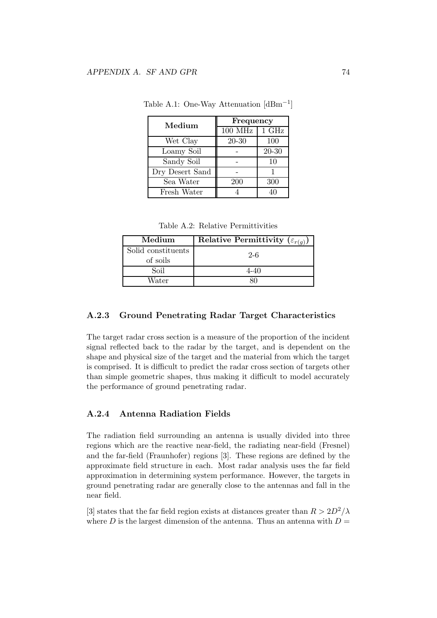| Medium          | Frequency               |       |
|-----------------|-------------------------|-------|
|                 | $100$ MHz $\vert$ 1 GHz |       |
| Wet Clay        | $20 - 30$               | 100   |
| Loamy Soil      |                         | 20-30 |
| Sandy Soil      |                         | 10    |
| Dry Desert Sand |                         |       |
| Sea Water       | 200                     | 300   |
| Fresh Water     |                         |       |

Table A.1: One-Way Attenuation [dBm−<sup>1</sup> ]

Table A.2: Relative Permittivities

| Medium                         | Relative Permittivity $(\varepsilon_{r(a)})$ |
|--------------------------------|----------------------------------------------|
| Solid constituents<br>of soils | $2-6$                                        |
| Soil                           | 4-40                                         |
| Water                          |                                              |

#### A.2.3 Ground Penetrating Radar Target Characteristics

The target radar cross section is a measure of the proportion of the incident signal reflected back to the radar by the target, and is dependent on the shape and physical size of the target and the material from which the target is comprised. It is difficult to predict the radar cross section of targets other than simple geometric shapes, thus making it difficult to model accurately the performance of ground penetrating radar.

#### A.2.4 Antenna Radiation Fields

The radiation field surrounding an antenna is usually divided into three regions which are the reactive near-field, the radiating near-field (Fresnel) and the far-field (Fraunhofer) regions [3]. These regions are defined by the approximate field structure in each. Most radar analysis uses the far field approximation in determining system performance. However, the targets in ground penetrating radar are generally close to the antennas and fall in the near field.

[3] states that the far field region exists at distances greater than  $R > 2D^2/\lambda$ where D is the largest dimension of the antenna. Thus an antenna with  $D =$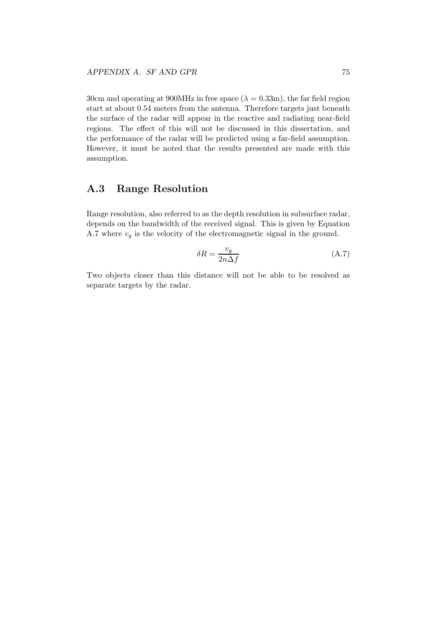30cm and operating at 900MHz in free space ( $\lambda = 0.33$ m), the far field region start at about 0.54 meters from the antenna. Therefore targets just beneath the surface of the radar will appear in the reactive and radiating near-field regions. The effect of this will not be discussed in this dissertation, and the performance of the radar will be predicted using a far-field assumption. However, it must be noted that the results presented are made with this assumption.

### A.3 Range Resolution

Range resolution, also referred to as the depth resolution in subsurface radar, depends on the bandwidth of the received signal. This is given by Equation A.7 where  $v_q$  is the velocity of the electromagnetic signal in the ground.

$$
\delta R = \frac{v_g}{2n\Delta f} \tag{A.7}
$$

Two objects closer than this distance will not be able to be resolved as separate targets by the radar.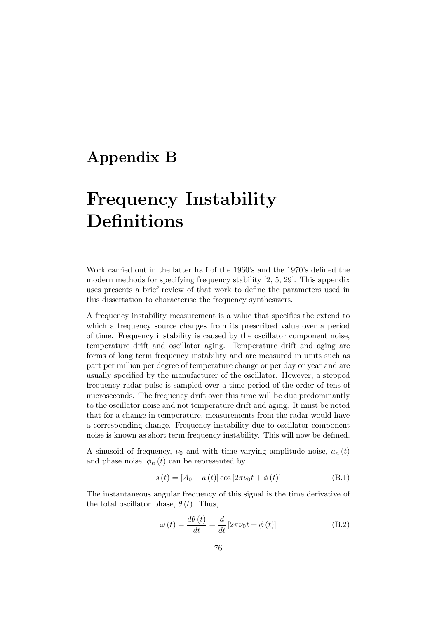# Appendix B

# Frequency Instability Definitions

Work carried out in the latter half of the 1960's and the 1970's defined the modern methods for specifying frequency stability [2, 5, 29]. This appendix uses presents a brief review of that work to define the parameters used in this dissertation to characterise the frequency synthesizers.

A frequency instability measurement is a value that specifies the extend to which a frequency source changes from its prescribed value over a period of time. Frequency instability is caused by the oscillator component noise, temperature drift and oscillator aging. Temperature drift and aging are forms of long term frequency instability and are measured in units such as part per million per degree of temperature change or per day or year and are usually specified by the manufacturer of the oscillator. However, a stepped frequency radar pulse is sampled over a time period of the order of tens of microseconds. The frequency drift over this time will be due predominantly to the oscillator noise and not temperature drift and aging. It must be noted that for a change in temperature, measurements from the radar would have a corresponding change. Frequency instability due to oscillator component noise is known as short term frequency instability. This will now be defined.

A sinusoid of frequency,  $\nu_0$  and with time varying amplitude noise,  $a_n(t)$ and phase noise,  $\phi_n(t)$  can be represented by

$$
s(t) = [A_0 + a(t)] \cos [2\pi\nu_0 t + \phi(t)]
$$
 (B.1)

The instantaneous angular frequency of this signal is the time derivative of the total oscillator phase,  $\theta(t)$ . Thus,

$$
\omega(t) = \frac{d\theta(t)}{dt} = \frac{d}{dt} \left[ 2\pi\nu_0 t + \phi(t) \right]
$$
 (B.2)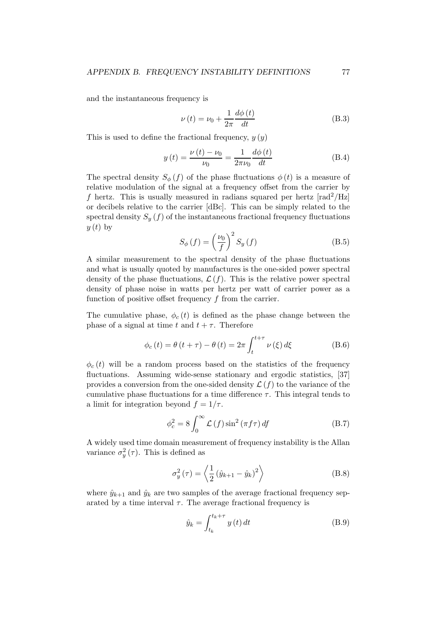and the instantaneous frequency is

$$
\nu(t) = \nu_0 + \frac{1}{2\pi} \frac{d\phi(t)}{dt}
$$
 (B.3)

This is used to define the fractional frequency,  $y(y)$ 

$$
y(t) = \frac{\nu(t) - \nu_0}{\nu_0} = \frac{1}{2\pi\nu_0} \frac{d\phi(t)}{dt}
$$
 (B.4)

The spectral density  $S_{\phi}(f)$  of the phase fluctuations  $\phi(t)$  is a measure of relative modulation of the signal at a frequency offset from the carrier by f hertz. This is usually measured in radians squared per hertz  $\lceil rad^2 / Hz \rceil$ or decibels relative to the carrier [dBc]. This can be simply related to the spectral density  $S_y(f)$  of the instantaneous fractional frequency fluctuations  $y(t)$  by

$$
S_{\phi}\left(f\right) = \left(\frac{\nu_0}{f}\right)^2 S_y\left(f\right) \tag{B.5}
$$

A similar measurement to the spectral density of the phase fluctuations and what is usually quoted by manufactures is the one-sided power spectral density of the phase fluctuations,  $\mathcal{L}(f)$ . This is the relative power spectral density of phase noise in watts per hertz per watt of carrier power as a function of positive offset frequency f from the carrier.

The cumulative phase,  $\phi_c(t)$  is defined as the phase change between the phase of a signal at time t and  $t + \tau$ . Therefore

$$
\phi_c(t) = \theta(t+\tau) - \theta(t) = 2\pi \int_t^{t+\tau} \nu(\xi) d\xi
$$
 (B.6)

 $\phi_c(t)$  will be a random process based on the statistics of the frequency fluctuations. Assuming wide-sense stationary and ergodic statistics, [37] provides a conversion from the one-sided density  $\mathcal{L}(f)$  to the variance of the cumulative phase fluctuations for a time difference  $\tau$ . This integral tends to a limit for integration beyond  $f = 1/\tau$ .

$$
\phi_c^2 = 8 \int_0^\infty \mathcal{L}(f) \sin^2(\pi f \tau) df
$$
 (B.7)

A widely used time domain measurement of frequency instability is the Allan variance  $\sigma_y^2(\tau)$ . This is defined as

$$
\sigma_y^2(\tau) = \left\langle \frac{1}{2} \left( \hat{y}_{k+1} - \hat{y}_k \right)^2 \right\rangle \tag{B.8}
$$

where  $\hat{y}_{k+1}$  and  $\hat{y}_k$  are two samples of the average fractional frequency separated by a time interval  $\tau$ . The average fractional frequency is

$$
\hat{y}_k = \int_{t_k}^{t_k + \tau} y(t) dt
$$
\n(B.9)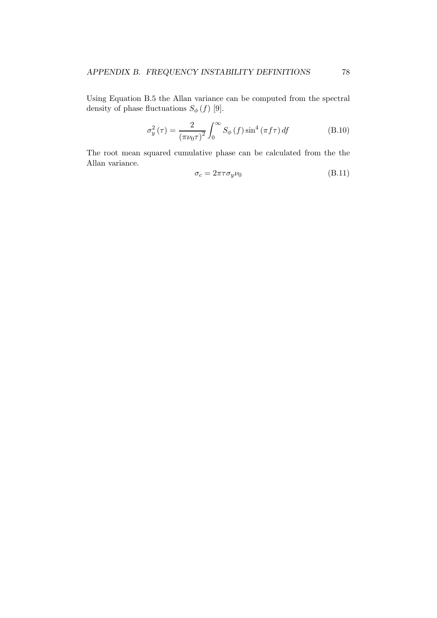Using Equation B.5 the Allan variance can be computed from the spectral density of phase fluctuations  $S_{\phi}(f)$  [9].

$$
\sigma_y^2(\tau) = \frac{2}{\left(\pi\nu_0\tau\right)^2} \int_0^\infty S_\phi\left(f\right) \sin^4\left(\pi f\tau\right) df \tag{B.10}
$$

The root mean squared cumulative phase can be calculated from the the Allan variance.

$$
\sigma_c = 2\pi\tau\sigma_y\nu_0\tag{B.11}
$$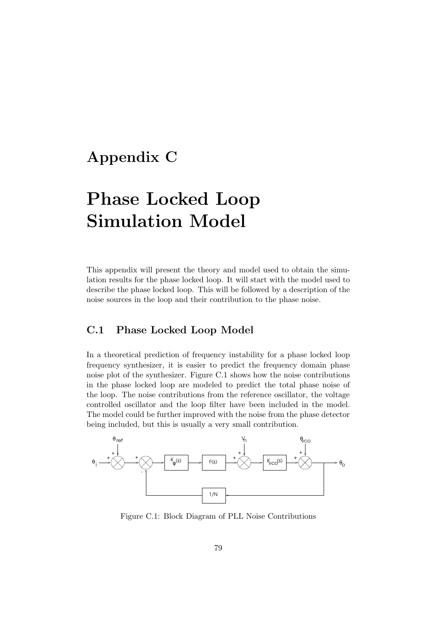# Appendix C

# Phase Locked Loop Simulation Model

This appendix will present the theory and model used to obtain the simulation results for the phase locked loop. It will start with the model used to describe the phase locked loop. This will be followed by a description of the noise sources in the loop and their contribution to the phase noise.

## C.1 Phase Locked Loop Model

In a theoretical prediction of frequency instability for a phase locked loop frequency synthesizer, it is easier to predict the frequency domain phase noise plot of the synthesizer. Figure C.1 shows how the noise contributions in the phase locked loop are modeled to predict the total phase noise of the loop. The noise contributions from the reference oscillator, the voltage controlled oscillator and the loop filter have been included in the model. The model could be further improved with the noise from the phase detector being included, but this is usually a very small contribution.



Figure C.1: Block Diagram of PLL Noise Contributions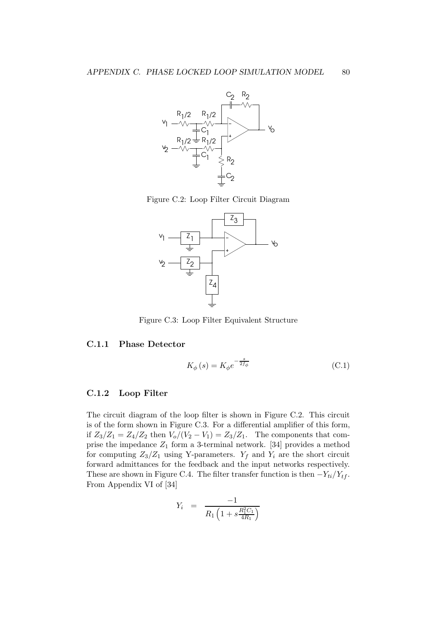

Figure C.2: Loop Filter Circuit Diagram



Figure C.3: Loop Filter Equivalent Structure

#### C.1.1 Phase Detector

$$
K_{\phi}(s) = K_{\phi}e^{-\frac{s}{2f_{\phi}}}
$$
\n(C.1)

#### C.1.2 Loop Filter

The circuit diagram of the loop filter is shown in Figure C.2. This circuit is of the form shown in Figure C.3. For a differential amplifier of this form, if  $Z_3/Z_1 = Z_4/Z_2$  then  $V_o/(V_2 - V_1) = Z_3/Z_1$ . The components that comprise the impedance  $Z_1$  form a 3-terminal network. [34] provides a method for computing  $Z_3/Z_1$  using Y-parameters.  $Y_f$  and  $Y_i$  are the short circuit forward admittances for the feedback and the input networks respectively. These are shown in Figure C.4. The filter transfer function is then  $-Y_{ti}/Y_{tf}$ . From Appendix VI of [34]

$$
Y_i = \frac{-1}{R_1 \left(1 + s \frac{R_1^2 C_1}{4R_1}\right)}
$$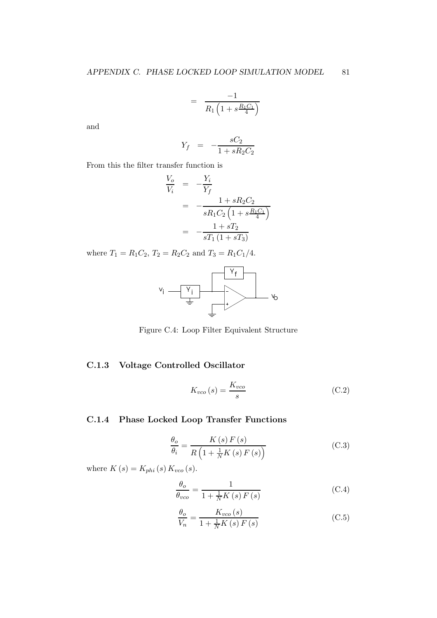$$
= \frac{-1}{R_1 \left(1 + s \frac{R_1 C_1}{4}\right)}
$$

and

$$
Y_f \;\; = \;\; - \frac{sC_2}{1 + sR_2C_2}
$$

From this the filter transfer function is

$$
\frac{V_o}{V_i} = -\frac{Y_i}{Y_f}
$$
\n
$$
= -\frac{1 + sR_2C_2}{sR_1C_2\left(1 + s\frac{R_1C_1}{4}\right)}
$$
\n
$$
= -\frac{1 + sT_2}{sT_1\left(1 + sT_3\right)}
$$

where  $T_1 = R_1C_2$ ,  $T_2 = R_2C_2$  and  $T_3 = R_1C_1/4$ .



Figure C.4: Loop Filter Equivalent Structure

#### C.1.3 Voltage Controlled Oscillator

$$
K_{vco}(s) = \frac{K_{vco}}{s} \tag{C.2}
$$

## C.1.4 Phase Locked Loop Transfer Functions

$$
\frac{\theta_o}{\theta_i} = \frac{K\left(s\right)F\left(s\right)}{R\left(1 + \frac{1}{N}K\left(s\right)F\left(s\right)\right)}\tag{C.3}
$$

where  $K(s) = K_{phi}(s) K_{vco}(s)$ .

$$
\frac{\theta_o}{\theta_{vco}} = \frac{1}{1 + \frac{1}{N}K\left(s\right)F\left(s\right)}\tag{C.4}
$$

$$
\frac{\theta_o}{V_n} = \frac{K_{vco}(s)}{1 + \frac{1}{N}K\left(s\right)F\left(s\right)}\tag{C.5}
$$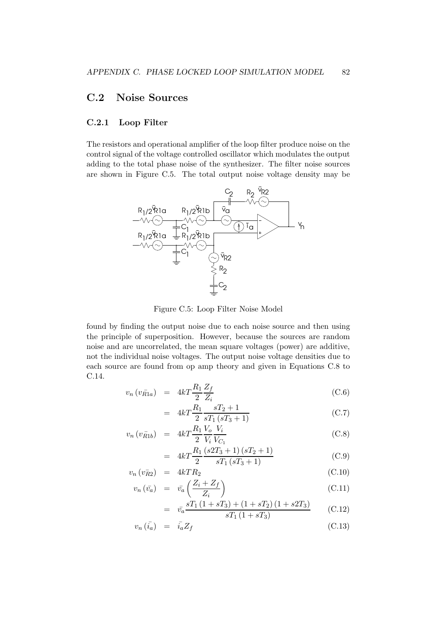### C.2 Noise Sources

#### C.2.1 Loop Filter

The resistors and operational amplifier of the loop filter produce noise on the control signal of the voltage controlled oscillator which modulates the output adding to the total phase noise of the synthesizer. The filter noise sources are shown in Figure C.5. The total output noise voltage density may be



Figure C.5: Loop Filter Noise Model

found by finding the output noise due to each noise source and then using the principle of superposition. However, because the sources are random noise and are uncorrelated, the mean square voltages (power) are additive, not the individual noise voltages. The output noise voltage densities due to each source are found from op amp theory and given in Equations C.8 to C.14.

$$
v_n \left( v_{R1a} \right) = 4kT \frac{R_1}{2} \frac{Z_f}{Z_i} \tag{C.6}
$$

$$
= 4kT \frac{R_1}{2} \frac{sT_2 + 1}{sT_1(sT_3 + 1)}
$$
(C.7)

$$
v_n(v_{\bar{R}1b}) = 4kT \frac{R_1}{2} \frac{V_o}{V_i} \frac{V_i}{V_{C_1}}
$$
\n(C.8)

$$
= 4kT \frac{R_1}{2} \frac{(s2T_3+1)(sT_2+1)}{sT_1(sT_3+1)}
$$
(C.9)

$$
v_n \left( v_{R2}^- \right) = 4kTR_2 \tag{C.10}
$$

$$
v_n\left(\bar{v_a}\right) = \bar{v_a}\left(\frac{Z_i + Z_f}{Z_i}\right) \tag{C.11}
$$

$$
= \bar{v_a} \frac{sT_1(1+sT_3) + (1+sT_2)(1+s2T_3)}{sT_1(1+sT_3)} \qquad (C.12)
$$

$$
v_n\left(\bar{i}_a\right) = \bar{i}_a Z_f \tag{C.13}
$$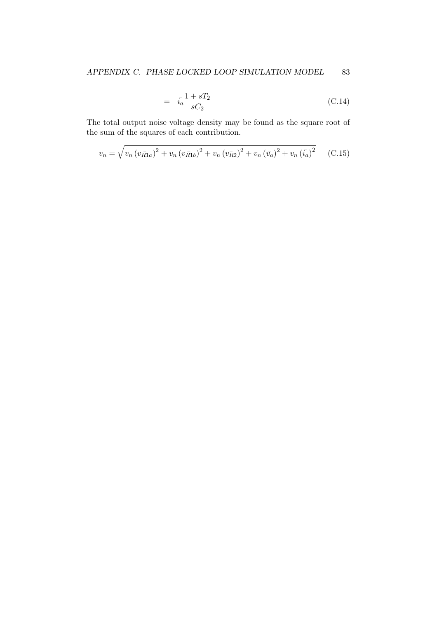$$
= i_a \frac{1 + sT_2}{sC_2}
$$
 (C.14)

The total output noise voltage density may be found as the square root of the sum of the squares of each contribution.

$$
v_n = \sqrt{v_n (v_{R1a})^2 + v_n (v_{R1b})^2 + v_n (v_{R2})^2 + v_n (v_a)^2 + v_n (\bar{i}_a)^2}
$$
 (C.15)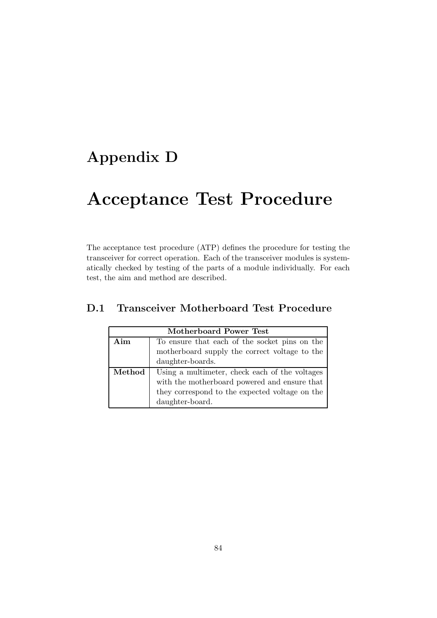# Appendix D

# Acceptance Test Procedure

The acceptance test procedure (ATP) defines the procedure for testing the transceiver for correct operation. Each of the transceiver modules is systematically checked by testing of the parts of a module individually. For each test, the aim and method are described.

| Motherboard Power Test |                                                |  |
|------------------------|------------------------------------------------|--|
| Aim                    | To ensure that each of the socket pins on the  |  |
|                        | motherboard supply the correct voltage to the  |  |
|                        | daughter-boards.                               |  |
| Method                 | Using a multimeter, check each of the voltages |  |
|                        | with the motherboard powered and ensure that   |  |
|                        | they correspond to the expected voltage on the |  |
|                        | daughter-board.                                |  |

## D.1 Transceiver Motherboard Test Procedure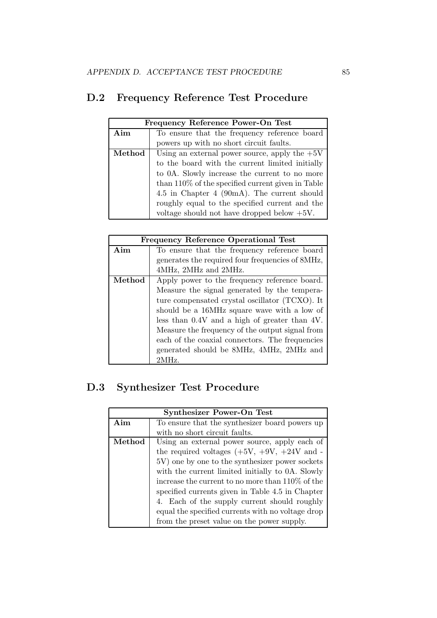# D.2 Frequency Reference Test Procedure

| Frequency Reference Power-On Test |                                                      |  |
|-----------------------------------|------------------------------------------------------|--|
| Aim                               | To ensure that the frequency reference board         |  |
|                                   | powers up with no short circuit faults.              |  |
| Method                            | Using an external power source, apply the $+5V$      |  |
|                                   | to the board with the current limited initially      |  |
|                                   | to 0A. Slowly increase the current to no more        |  |
|                                   | than $110\%$ of the specified current given in Table |  |
|                                   | 4.5 in Chapter 4 (90mA). The current should          |  |
|                                   | roughly equal to the specified current and the       |  |
|                                   | voltage should not have dropped below $+5V$ .        |  |

| <b>Frequency Reference Operational Test</b> |                                                  |
|---------------------------------------------|--------------------------------------------------|
| Aim                                         | To ensure that the frequency reference board     |
|                                             | generates the required four frequencies of 8MHz, |
|                                             | 4MHz, 2MHz and 2MHz.                             |
| Method                                      | Apply power to the frequency reference board.    |
|                                             | Measure the signal generated by the tempera-     |
|                                             | ture compensated crystal oscillator (TCXO). It   |
|                                             | should be a 16MHz square wave with a low of      |
|                                             | less than 0.4V and a high of greater than 4V.    |
|                                             | Measure the frequency of the output signal from  |
|                                             | each of the coaxial connectors. The frequencies  |
|                                             | generated should be 8MHz, 4MHz, 2MHz and         |
|                                             | 2MHz.                                            |

# D.3 Synthesizer Test Procedure

|        | <b>Synthesizer Power-On Test</b>                  |
|--------|---------------------------------------------------|
| Aim    | To ensure that the synthesizer board powers up    |
|        | with no short circuit faults.                     |
| Method | Using an external power source, apply each of     |
|        | the required voltages $(+5V, +9V, +24V, )$ and -  |
|        | 5V) one by one to the synthesizer power sockets   |
|        | with the current limited initially to 0A. Slowly  |
|        | increase the current to no more than 110\% of the |
|        | specified currents given in Table 4.5 in Chapter  |
|        | 4. Each of the supply current should roughly      |
|        | equal the specified currents with no voltage drop |
|        | from the preset value on the power supply.        |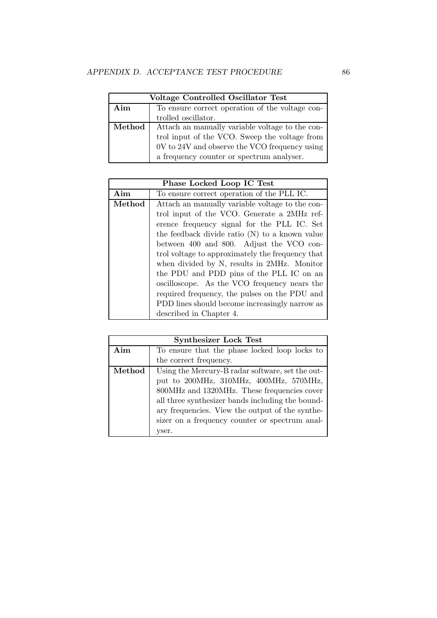|        | Voltage Controlled Oscillator Test              |  |
|--------|-------------------------------------------------|--|
| Aim    | To ensure correct operation of the voltage con- |  |
|        | trolled oscillator.                             |  |
| Method | Attach an manually variable voltage to the con- |  |
|        | trol input of the VCO. Sweep the voltage from   |  |
|        | 0V to 24V and observe the VCO frequency using   |  |
|        | a frequency counter or spectrum analyser.       |  |

|        | Phase Locked Loop IC Test                        |
|--------|--------------------------------------------------|
| Aim    | To ensure correct operation of the PLL IC.       |
| Method | Attach an manually variable voltage to the con-  |
|        | trol input of the VCO. Generate a 2MHz ref-      |
|        | erence frequency signal for the PLL IC. Set      |
|        | the feedback divide ratio $(N)$ to a known value |
|        | between 400 and 800. Adjust the VCO con-         |
|        | trol voltage to approximately the frequency that |
|        | when divided by N, results in 2MHz. Monitor      |
|        | the PDU and PDD pins of the PLL IC on an         |
|        | oscilloscope. As the VCO frequency nears the     |
|        | required frequency, the pulses on the PDU and    |
|        | PDD lines should become increasingly narrow as   |
|        | described in Chapter 4.                          |

| <b>Synthesizer Lock Test</b> |                                                  |  |
|------------------------------|--------------------------------------------------|--|
| Aim                          | To ensure that the phase locked loop locks to    |  |
|                              | the correct frequency.                           |  |
| Method                       | Using the Mercury-B radar software, set the out- |  |
|                              | put to 200MHz, 310MHz, 400MHz, 570MHz,           |  |
|                              | 800MHz and 1320MHz. These frequencies cover      |  |
|                              | all three synthesizer bands including the bound- |  |
|                              | ary frequencies. View the output of the synthe-  |  |
|                              | sizer on a frequency counter or spectrum anal-   |  |
|                              | yser.                                            |  |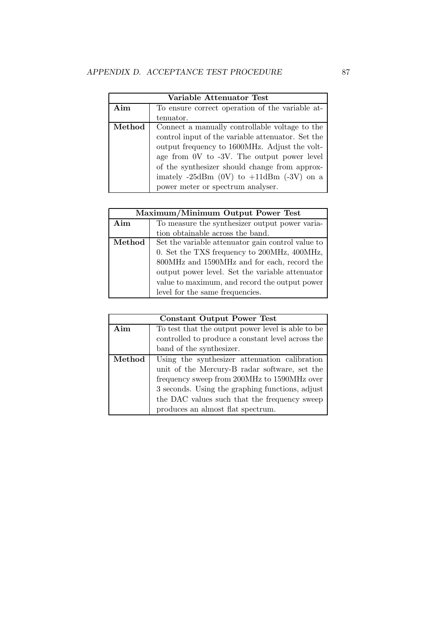| Variable Attenuator Test |                                                            |  |
|--------------------------|------------------------------------------------------------|--|
| Aim                      | To ensure correct operation of the variable at-            |  |
|                          | tenuator.                                                  |  |
| Method                   | Connect a manually controllable voltage to the             |  |
|                          | control input of the variable attenuator. Set the          |  |
|                          | output frequency to 1600MHz. Adjust the volt-              |  |
|                          | age from 0V to -3V. The output power level                 |  |
|                          | of the synthesizer should change from approx-              |  |
|                          | imately $-25\text{dBm}$ (0V) to $+11\text{dBm}$ (-3V) on a |  |
|                          | power meter or spectrum analyser.                          |  |

| Maximum/Minimum Output Power Test |                                                   |
|-----------------------------------|---------------------------------------------------|
| Aim                               | To measure the synthesizer output power varia-    |
|                                   | tion obtainable across the band.                  |
| Method                            | Set the variable attenuator gain control value to |
|                                   | 0. Set the TXS frequency to 200MHz, 400MHz,       |
|                                   | 800MHz and 1590MHz and for each, record the       |
|                                   | output power level. Set the variable attenuator   |
|                                   | value to maximum, and record the output power     |
|                                   | level for the same frequencies.                   |

| <b>Constant Output Power Test</b> |                                                   |
|-----------------------------------|---------------------------------------------------|
| Aim                               | To test that the output power level is able to be |
|                                   | controlled to produce a constant level across the |
|                                   | band of the synthesizer.                          |
| Method                            | Using the synthesizer attenuation calibration     |
|                                   | unit of the Mercury-B radar software, set the     |
|                                   | frequency sweep from 200MHz to 1590MHz over       |
|                                   | 3 seconds. Using the graphing functions, adjust   |
|                                   | the DAC values such that the frequency sweep      |
|                                   | produces an almost flat spectrum.                 |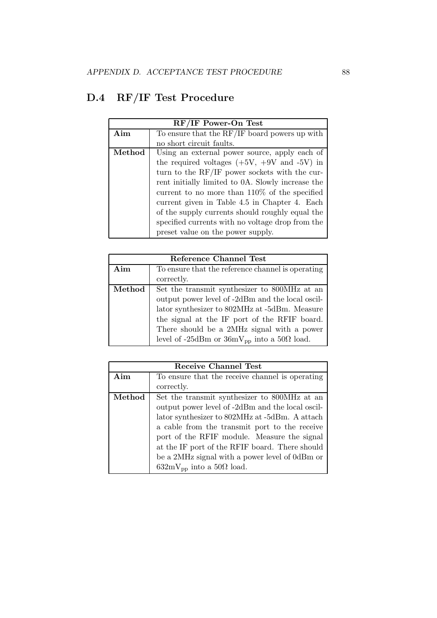# D.4 RF/IF Test Procedure

| $RF/IF$ Power-On Test |                                                   |
|-----------------------|---------------------------------------------------|
| Aim                   | To ensure that the RF/IF board powers up with     |
|                       | no short circuit faults.                          |
| Method                | Using an external power source, apply each of     |
|                       | the required voltages $(+5V, +9V, )$ and $-5V$ in |
|                       | turn to the RF/IF power sockets with the cur-     |
|                       | rent initially limited to 0A. Slowly increase the |
|                       | current to no more than $110\%$ of the specified  |
|                       | current given in Table 4.5 in Chapter 4. Each     |
|                       | of the supply currents should roughly equal the   |
|                       | specified currents with no voltage drop from the  |
|                       | preset value on the power supply.                 |

| Reference Channel Test |                                                        |
|------------------------|--------------------------------------------------------|
| Aim                    | To ensure that the reference channel is operating      |
|                        | correctly.                                             |
| Method                 | Set the transmit synthesizer to 800MHz at an           |
|                        | output power level of -2dBm and the local oscil-       |
|                        | lator synthesizer to 802MHz at -5dBm. Measure          |
|                        | the signal at the IF port of the RFIF board.           |
|                        | There should be a 2MHz signal with a power             |
|                        | level of -25dBm or $36mV_{pp}$ into a $50\Omega$ load. |

| Receive Channel Test |                                                     |
|----------------------|-----------------------------------------------------|
| Aim                  | To ensure that the receive channel is operating     |
|                      | correctly.                                          |
| Method               | Set the transmit synthesizer to 800MHz at an        |
|                      | output power level of -2dBm and the local oscil-    |
|                      | lator synthesizer to 802MHz at -5dBm. A attach      |
|                      | a cable from the transmit port to the receive       |
|                      | port of the RFIF module. Measure the signal         |
|                      | at the IF port of the RFIF board. There should      |
|                      | be a 2MHz signal with a power level of 0dBm or      |
|                      | $632 \text{mV}_{\text{pp}}$ into a $50\Omega$ load. |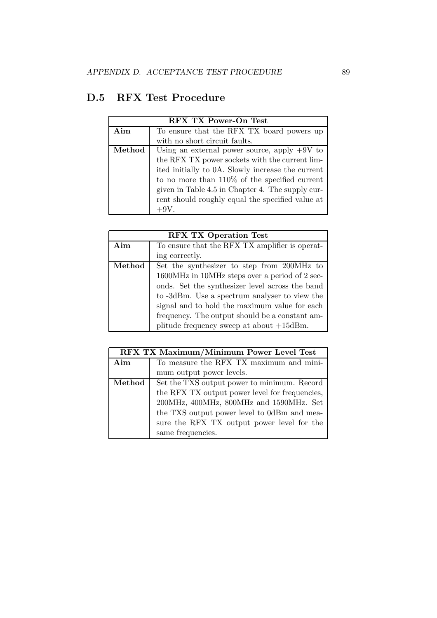## D.5 RFX Test Procedure

| RFX TX Power-On Test |                                                   |
|----------------------|---------------------------------------------------|
| Aim                  | To ensure that the RFX TX board powers up         |
|                      | with no short circuit faults.                     |
| Method               | Using an external power source, apply $+9V$ to    |
|                      | the RFX TX power sockets with the current lim-    |
|                      | ited initially to 0A. Slowly increase the current |
|                      | to no more than $110\%$ of the specified current  |
|                      | given in Table 4.5 in Chapter 4. The supply cur-  |
|                      | rent should roughly equal the specified value at  |
|                      |                                                   |

| <b>RFX TX Operation Test</b> |                                                 |
|------------------------------|-------------------------------------------------|
| Aim                          | To ensure that the RFX TX amplifier is operat-  |
|                              | ing correctly.                                  |
| Method                       | Set the synthesizer to step from 200MHz to      |
|                              | 1600MHz in 10MHz steps over a period of 2 sec-  |
|                              | onds. Set the synthesizer level across the band |
|                              | to -3dBm. Use a spectrum analyser to view the   |
|                              | signal and to hold the maximum value for each   |
|                              | frequency. The output should be a constant am-  |
|                              | plitude frequency sweep at about $+15$ dBm.     |

| RFX TX Maximum/Minimum Power Level Test |                                                |
|-----------------------------------------|------------------------------------------------|
| Aim                                     | To measure the RFX TX maximum and mini-        |
|                                         | mum output power levels.                       |
| Method                                  | Set the TXS output power to minimum. Record    |
|                                         | the RFX TX output power level for frequencies, |
|                                         | 200MHz, 400MHz, 800MHz and 1590MHz. Set        |
|                                         | the TXS output power level to 0dBm and mea-    |
|                                         | sure the RFX TX output power level for the     |
|                                         | same frequencies.                              |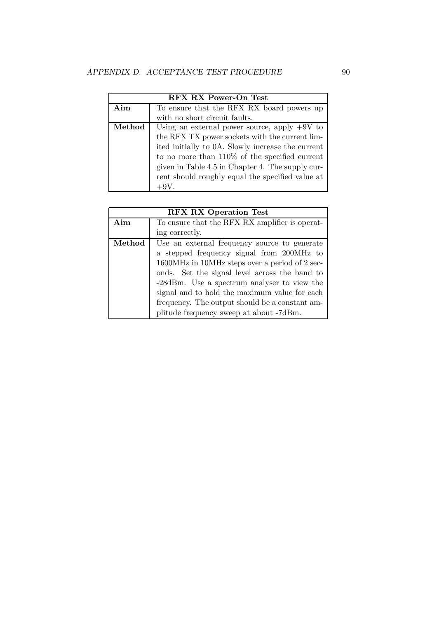| <b>RFX RX Power-On Test</b> |                                                   |
|-----------------------------|---------------------------------------------------|
| Aim                         | To ensure that the RFX RX board powers up         |
|                             | with no short circuit faults.                     |
| Method                      | Using an external power source, apply $+9V$ to    |
|                             | the RFX TX power sockets with the current lim-    |
|                             | ited initially to 0A. Slowly increase the current |
|                             | to no more than $110\%$ of the specified current  |
|                             | given in Table 4.5 in Chapter 4. The supply cur-  |
|                             | rent should roughly equal the specified value at  |
|                             | $+9V.$                                            |

| <b>RFX RX Operation Test</b> |                                                |
|------------------------------|------------------------------------------------|
| Aim                          | To ensure that the RFX RX amplifier is operat- |
|                              | ing correctly.                                 |
| Method                       | Use an external frequency source to generate   |
|                              | a stepped frequency signal from 200MHz to      |
|                              | 1600MHz in 10MHz steps over a period of 2 sec- |
|                              | onds. Set the signal level across the band to  |
|                              | -28dBm. Use a spectrum analyser to view the    |
|                              | signal and to hold the maximum value for each  |
|                              | frequency. The output should be a constant am- |
|                              | plitude frequency sweep at about -7dBm.        |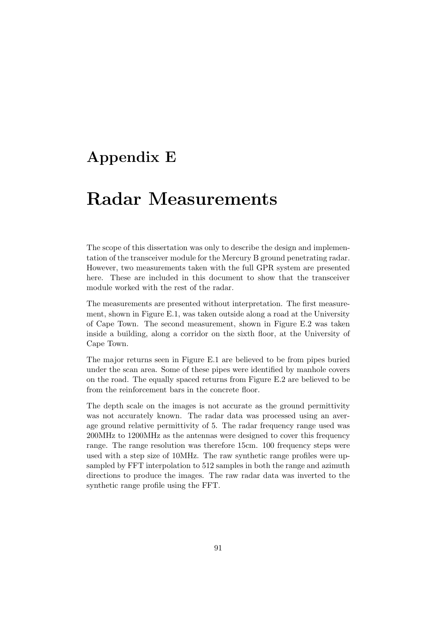# Appendix E

# Radar Measurements

The scope of this dissertation was only to describe the design and implementation of the transceiver module for the Mercury B ground penetrating radar. However, two measurements taken with the full GPR system are presented here. These are included in this document to show that the transceiver module worked with the rest of the radar.

The measurements are presented without interpretation. The first measurement, shown in Figure E.1, was taken outside along a road at the University of Cape Town. The second measurement, shown in Figure E.2 was taken inside a building, along a corridor on the sixth floor, at the University of Cape Town.

The major returns seen in Figure E.1 are believed to be from pipes buried under the scan area. Some of these pipes were identified by manhole covers on the road. The equally spaced returns from Figure E.2 are believed to be from the reinforcement bars in the concrete floor.

The depth scale on the images is not accurate as the ground permittivity was not accurately known. The radar data was processed using an average ground relative permittivity of 5. The radar frequency range used was 200MHz to 1200MHz as the antennas were designed to cover this frequency range. The range resolution was therefore 15cm. 100 frequency steps were used with a step size of 10MHz. The raw synthetic range profiles were upsampled by FFT interpolation to 512 samples in both the range and azimuth directions to produce the images. The raw radar data was inverted to the synthetic range profile using the FFT.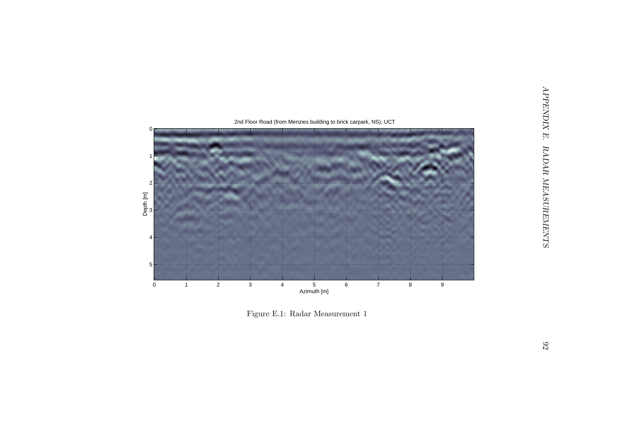

Figure E.1: Radar Measurement 1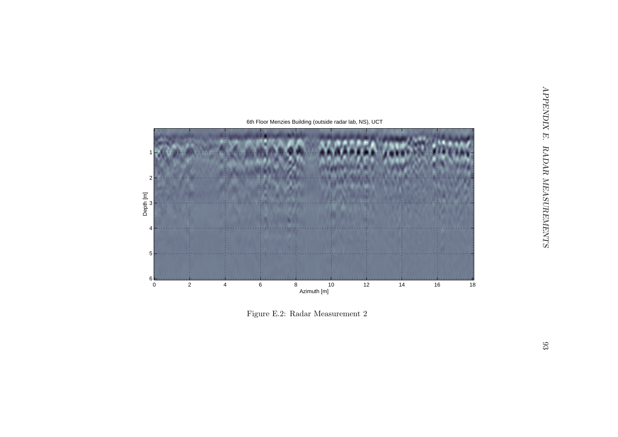

Figure E.2: Radar Measurement 2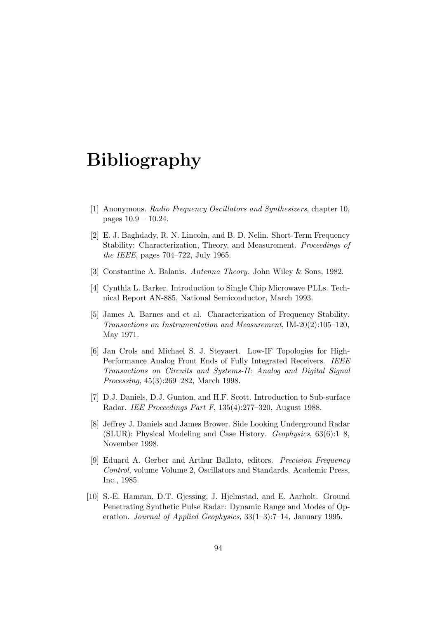## Bibliography

- [1] Anonymous. Radio Frequency Oscillators and Synthesizers, chapter 10, pages 10.9 – 10.24.
- [2] E. J. Baghdady, R. N. Lincoln, and B. D. Nelin. Short-Term Frequency Stability: Characterization, Theory, and Measurement. Proceedings of the IEEE, pages 704–722, July 1965.
- [3] Constantine A. Balanis. Antenna Theory. John Wiley & Sons, 1982.
- [4] Cynthia L. Barker. Introduction to Single Chip Microwave PLLs. Technical Report AN-885, National Semiconductor, March 1993.
- [5] James A. Barnes and et al. Characterization of Frequency Stability. Transactions on Instrumentation and Measurement, IM-20(2):105–120, May 1971.
- [6] Jan Crols and Michael S. J. Steyaert. Low-IF Topologies for High-Performance Analog Front Ends of Fully Integrated Receivers. IEEE Transactions on Circuits and Systems-II: Analog and Digital Signal Processing, 45(3):269–282, March 1998.
- [7] D.J. Daniels, D.J. Gunton, and H.F. Scott. Introduction to Sub-surface Radar. IEE Proceedings Part F, 135(4):277–320, August 1988.
- [8] Jeffrey J. Daniels and James Brower. Side Looking Underground Radar (SLUR): Physical Modeling and Case History. Geophysics, 63(6):1–8, November 1998.
- [9] Eduard A. Gerber and Arthur Ballato, editors. Precision Frequency Control, volume Volume 2, Oscillators and Standards. Academic Press, Inc., 1985.
- [10] S.-E. Hamran, D.T. Gjessing, J. Hjelmstad, and E. Aarholt. Ground Penetrating Synthetic Pulse Radar: Dynamic Range and Modes of Operation. Journal of Applied Geophysics, 33(1–3):7–14, January 1995.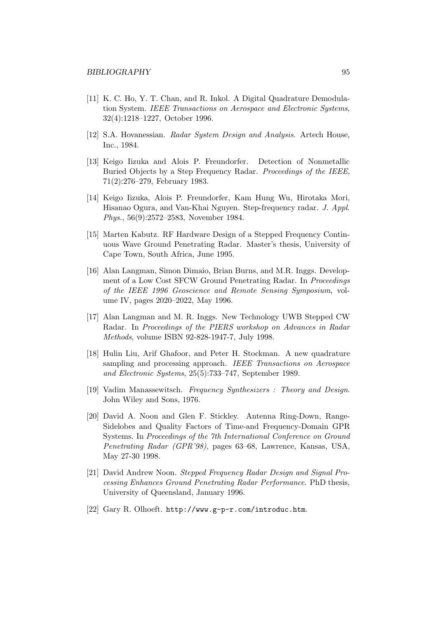- [11] K. C. Ho, Y. T. Chan, and R. Inkol. A Digital Quadrature Demodulation System. IEEE Transactions on Aerospace and Electronic Systems, 32(4):1218–1227, October 1996.
- [12] S.A. Hovanessian. Radar System Design and Analysis. Artech House, Inc., 1984.
- [13] Keigo Iizuka and Alois P. Freundorfer. Detection of Nonmetallic Buried Objects by a Step Frequency Radar. *Proceedings of the IEEE*, 71(2):276–279, February 1983.
- [14] Keigo Iizuka, Alois P. Freundorfer, Kam Hung Wu, Hirotaka Mori, Hisanao Ogura, and Van-Khai Nguyen. Step-frequency radar. J. Appl. Phys., 56(9):2572–2583, November 1984.
- [15] Marten Kabutz. RF Hardware Design of a Stepped Frequency Continuous Wave Ground Penetrating Radar. Master's thesis, University of Cape Town, South Africa, June 1995.
- [16] Alan Langman, Simon Dimaio, Brian Burns, and M.R. Inggs. Development of a Low Cost SFCW Ground Penetrating Radar. In Proceedings of the IEEE 1996 Geoscience and Remote Sensing Symposium, volume IV, pages 2020–2022, May 1996.
- [17] Alan Langman and M. R. Inggs. New Technology UWB Stepped CW Radar. In Proceedings of the PIERS workshop on Advances in Radar Methods, volume ISBN 92-828-1947-7, July 1998.
- [18] Hulin Liu, Arif Ghafoor, and Peter H. Stockman. A new quadrature sampling and processing approach. IEEE Transactions on Aerospace and Electronic Systems, 25(5):733–747, September 1989.
- [19] Vadim Manassewitsch. Frequency Synthesizers : Theory and Design. John Wiley and Sons, 1976.
- [20] David A. Noon and Glen F. Stickley. Antenna Ring-Down, Range-Sidelobes and Quality Factors of Time-and Frequency-Domain GPR Systems. In Proceedings of the 7th International Conference on Ground Penetrating Radar (GPR'98), pages 63–68, Lawrence, Kansas, USA, May 27-30 1998.
- [21] David Andrew Noon. Stepped Frequency Radar Design and Signal Processing Enhances Ground Penetrating Radar Performance. PhD thesis, University of Queensland, January 1996.
- [22] Gary R. Olhoeft. http://www.g-p-r.com/introduc.htm.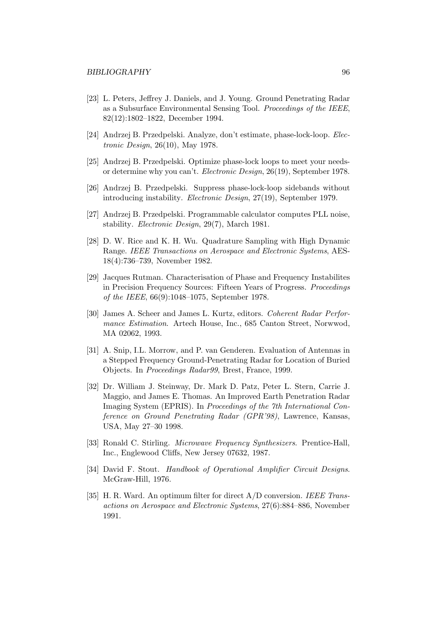- [23] L. Peters, Jeffrey J. Daniels, and J. Young. Ground Penetrating Radar as a Subsurface Environmental Sensing Tool. Proceedings of the IEEE, 82(12):1802–1822, December 1994.
- [24] Andrzej B. Przedpelski. Analyze, don't estimate, phase-lock-loop. Electronic Design, 26(10), May 1978.
- [25] Andrzej B. Przedpelski. Optimize phase-lock loops to meet your needsor determine why you can't. Electronic Design, 26(19), September 1978.
- [26] Andrzej B. Przedpelski. Suppress phase-lock-loop sidebands without introducing instability. Electronic Design, 27(19), September 1979.
- [27] Andrzej B. Przedpelski. Programmable calculator computes PLL noise, stability. Electronic Design, 29(7), March 1981.
- [28] D. W. Rice and K. H. Wu. Quadrature Sampling with High Dynamic Range. IEEE Transactions on Aerospace and Electronic Systems, AES-18(4):736–739, November 1982.
- [29] Jacques Rutman. Characterisation of Phase and Frequency Instabilites in Precision Frequency Sources: Fifteen Years of Progress. Proceedings of the IEEE, 66(9):1048–1075, September 1978.
- [30] James A. Scheer and James L. Kurtz, editors. Coherent Radar Performance Estimation. Artech House, Inc., 685 Canton Street, Norwwod, MA 02062, 1993.
- [31] A. Snip, I.L. Morrow, and P. van Genderen. Evaluation of Antennas in a Stepped Frequency Ground-Penetrating Radar for Location of Buried Objects. In Proceedings Radar99, Brest, France, 1999.
- [32] Dr. William J. Steinway, Dr. Mark D. Patz, Peter L. Stern, Carrie J. Maggio, and James E. Thomas. An Improved Earth Penetration Radar Imaging System (EPRIS). In Proceedings of the 7th International Conference on Ground Penetrating Radar (GPR'98), Lawrence, Kansas, USA, May 27–30 1998.
- [33] Ronald C. Stirling. Microwave Frequency Synthesizers. Prentice-Hall, Inc., Englewood Cliffs, New Jersey 07632, 1987.
- [34] David F. Stout. Handbook of Operational Amplifier Circuit Designs. McGraw-Hill, 1976.
- [35] H. R. Ward. An optimum filter for direct A/D conversion. IEEE Transactions on Aerospace and Electronic Systems, 27(6):884–886, November 1991.